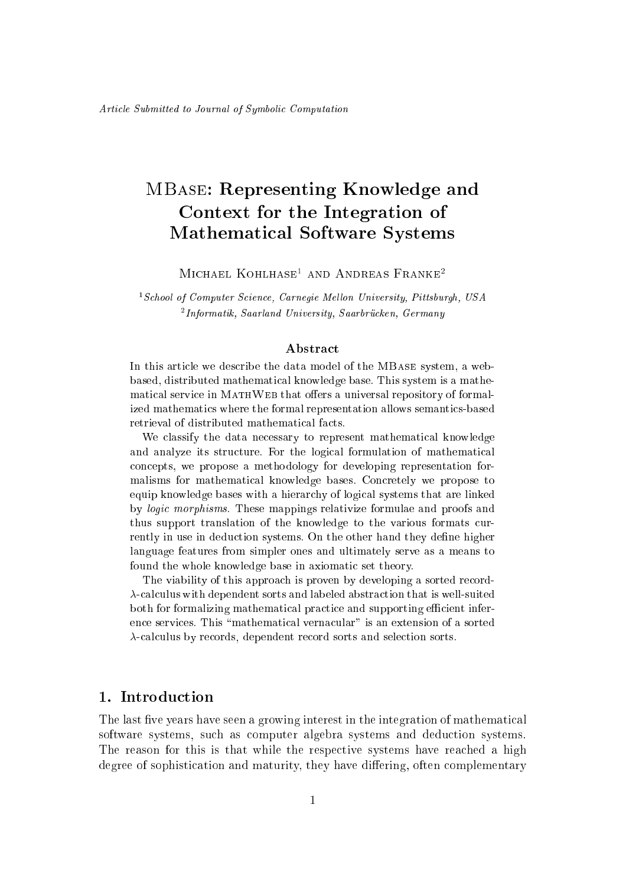# **MBASE: Representing Knowledge and** Context for the Integration of **Mathematical Software Systems**

MICHAEL KOHLHASE<sup>1</sup> AND ANDREAS FRANKE<sup>2</sup>

<sup>1</sup> School of Computer Science, Carnegie Mellon University, Pittsburgh, USA  ${}^{2}$ Informatik, Saarland University, Saarbrücken, Germany

## Abstract

In this article we describe the data model of the MBASE system, a webbased, distributed mathematical knowledge base. This system is a mathematical service in MATHWEB that offers a universal repository of formalized mathematics where the formal representation allows semantics-based retrieval of distributed mathematical facts.

We classify the data necessary to represent mathematical knowledge and analyze its structure. For the logical formulation of mathematical concepts, we propose a methodology for developing representation formalisms for mathematical knowledge bases. Concretely we propose to equip knowledge bases with a hierarchy of logical systems that are linked by *logic morphisms*. These mappings relativize formulae and proofs and thus support translation of the knowledge to the various formats currently in use in deduction systems. On the other hand they define higher language features from simpler ones and ultimately serve as a means to found the whole knowledge base in axiomatic set theory.

The viability of this approach is proven by developing a sorted record- $\lambda$ -calculus with dependent sorts and labeled abstraction that is well-suited both for formalizing mathematical practice and supporting efficient inference services. This "mathematical vernacular" is an extension of a sorted  $\lambda$ -calculus by records, dependent record sorts and selection sorts.

## 1. Introduction

The last five years have seen a growing interest in the integration of mathematical software systems, such as computer algebra systems and deduction systems. The reason for this is that while the respective systems have reached a high degree of sophistication and maturity, they have differing, often complementary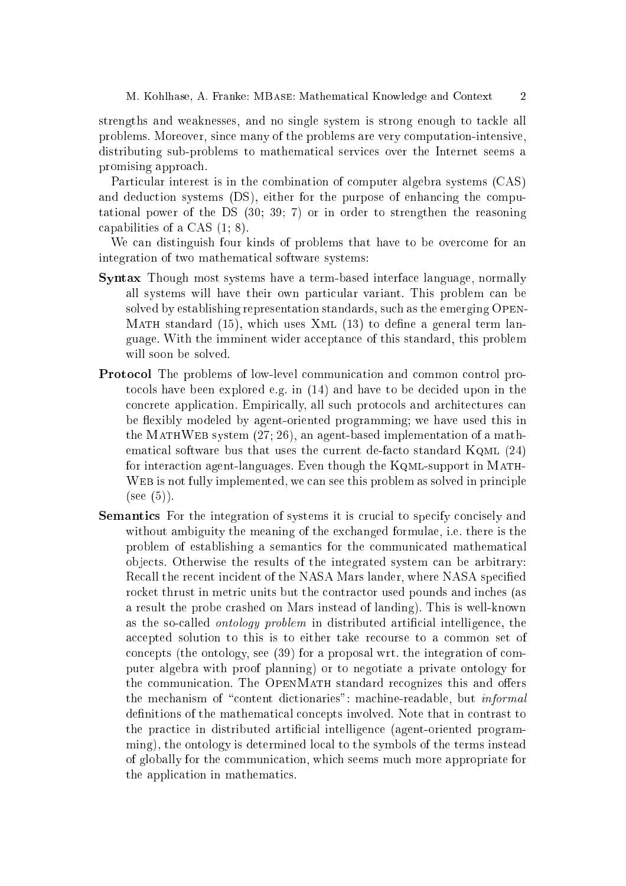M. Kohlhase, A. Franke: MBASE: Mathematical Knowledge and Context 2

strengths and weaknesses, and no single system is strong enough to tackle all problems. Moreover, sin
e many of the problems are very omputation-intensive, distributing sub-problems to mathemati
al servi
es over the Internet seems a promising approa
h.

Particular interest is in the combination of computer algebra systems (CAS) and deduction systems (DS), either for the purpose of enhancing the computational power of the DS (30; 39; 7) or in order to strengthen the reasoning apabilities of a CAS (1; 8).

We can distinguish four kinds of problems that have to be overcome for an integration of two mathemati
al software systems:

- Syntax Though most systems have a term-based interfa
e language, normally all systems will have their own particular variant. This problem can be solved by establishing representation standards, such as the emerging OPEN-MATH standard  $(15)$ , which uses XML  $(13)$  to define a general term language. With the imminent wider acceptance of this standard, this problem will soon be solved.
- **Protocol** The problems of low-level communication and common control proto cols have been explored e.g. in (14) and have to be decided upon in the concrete application. Empirically, all such protocols and architectures can be flexibly modeled by agent-oriented programming; we have used this in the MATHWEB system  $(27; 26)$ , an agent-based implementation of a mathematical software bus that uses the current de-facto standard KQML (24) for interaction agent-languages. Even though the KQML-support in MATH-WEB is not fully implemented, we can see this problem as solved in principle  $(see (5)).$
- **Semantics** For the integration of systems it is crucial to specify concisely and without ambiguity the meaning of the ex
hanged formulae, i.e. there is the problem of establishing a semantics for the communicated mathematical ob je
ts. Otherwise the results of the integrated system an be arbitrary: Recall the recent incident of the NASA Mars lander, where NASA specified rocket thrust in metric units but the contractor used pounds and inches (as a result the probe rashed on Mars instead of landing). This is well-known as the so-called *ontology problem* in distributed artificial intelligence, the accepted solution to this is to either take recourse to a common set of concepts (the ontology, see (39) for a proposal wrt. the integration of computer algebra with proof planning) or to negotiate a private ontology for the communication. The OPENMATH standard recognizes this and offers the mechanism of "content dictionaries": machine-readable, but *informal* definitions of the mathematical concepts involved. Note that in contrast to the practice in distributed artificial intelligence (agent-oriented programming), the ontology is determined lo
al to the symbols of the terms instead of globally for the ommuni
ation, whi
h seems mu
h more appropriate for the application in mathematics.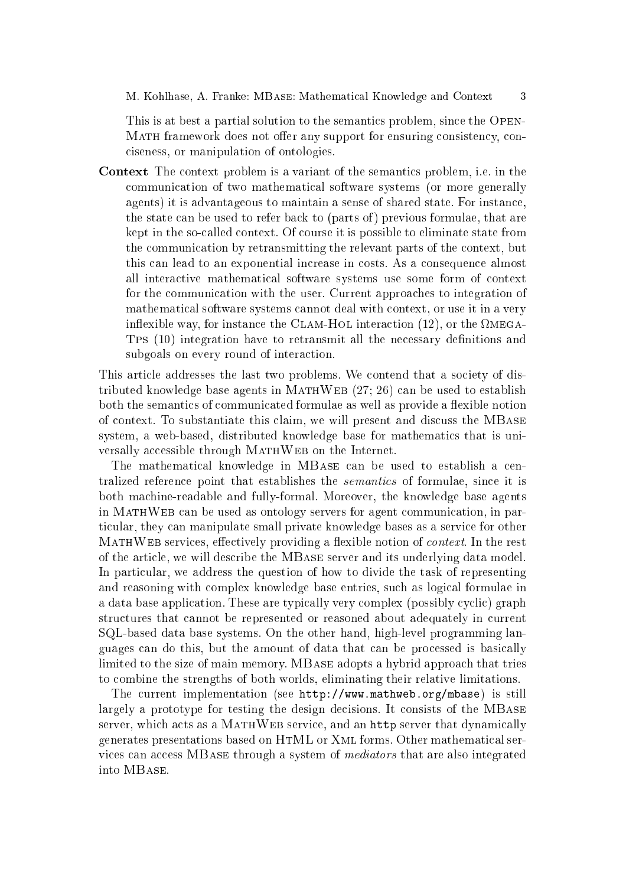This is at best a partial solution to the semantics problem, since the OPEN-MATH framework does not offer any support for ensuring consistency, coniseness, or manipulation of ontologies.

Context The ontext problem is a variant of the semanti
s problem, i.e. in the ommuni
ation of two mathemati
al software systems (or more generally agents) it is advantageous to maintain a sense of shared state. For instan
e, the state can be used to refer back to (parts of) previous formulae, that are kept in the soalled ontext. Of ourse it is possible to eliminate state from the ommuni
ation by retransmitting the relevant parts of the ontext, but this an lead to an exponential in
rease in osts. As a onsequen
e almost all intera
tive mathemati
al software systems use some form of ontext for the ommuni
ation with the user. Current approa
hes to integration of mathemati
al software systems annot deal with ontext, or use it in a very in
exible way, for instan
e the Clam-Hol intera
tion (12), or the mega-TPS (10) integration have to retransmit all the necessary definitions and subgoals on every round of interaction.

This arti
le addresses the last two problems. We ontend that a so
iety of distributed knowledge base agents in MATHWEB  $(27; 26)$  can be used to establish both the semantics of communicated formulae as well as provide a flexible notion of ontext. To substantiate this laim, we will present and dis
uss the MBase system, a web-based, distributed knowledge base for mathematics that is universally accessible through MATHWEB on the Internet.

The mathematical knowledge in MBASE can be used to establish a centralized reference point that establishes the *semantics* of formulae, since it is both ma
hine-readable and fully-formal. Moreover, the knowledge base agents in MATHWEB can be used as ontology servers for agent communication, in particular, they can manipulate small private knowledge bases as a service for other MATHWEB services, effectively providing a flexible notion of *context*. In the rest of the arti
le, we will des
ribe the MBase server and its underlying data model. In particular, we address the question of how to divide the task of representing and reasoning with omplex knowledge base entries, su
h as logi
al formulae in a data base application. These are typically very complex (possibly cyclic) graph structures that cannot be represented or reasoned about adequately in current SQL-based data base systems. On the other hand, high-level programming languages an do this, but the amount of data that an be pro
essed is basi
ally limited to the size of main memory. MBASE adopts a hybrid approach that tries to ombine the strengths of both worlds, eliminating their relative limitations.

The current implementation (see http://www.mathweb.org/mbase) is still largely a prototype for testing the design decisions. It consists of the MBASE server, which acts as a MATHWEB service, and an http server that dynamically generates presentations based on HtML or Xml forms. Other mathemati
al services can access MBASE through a system of *mediators* that are also integrated into MBase.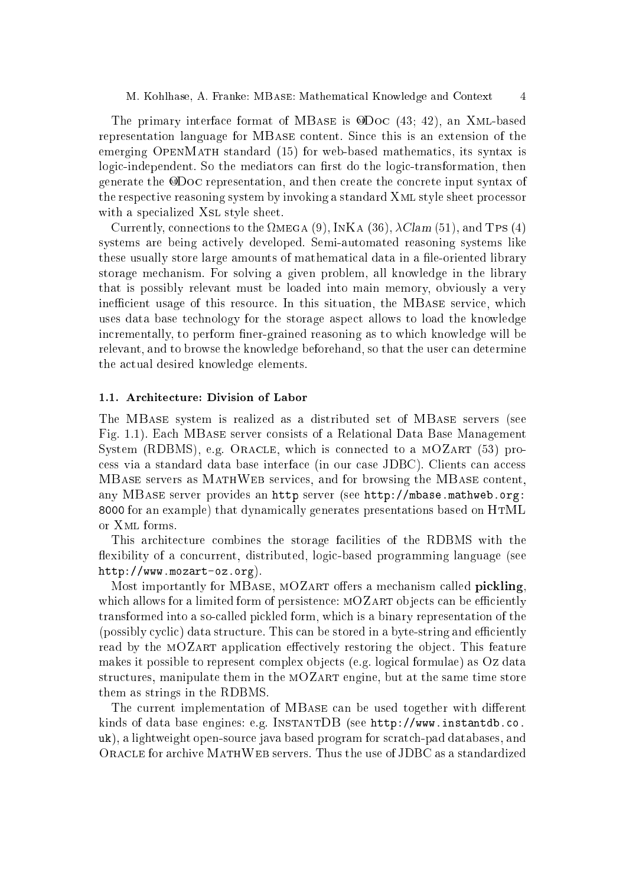The primary interface format of MBASE is ODOC (43; 42), an XML-based representation language for MBase ontent. Sin
e this is an extension of the emerging OPENMATH standard (15) for web-based mathematics, its syntax is logic-independent. So the mediators can first do the logic-transformation, then generate the ODOC representation, and then create the concrete input syntax of the respe
tive reasoning system by invoking a standard Xml style sheet pro
essor with a specialized XSL style sheet.

once the time that the time the state  $\{0,1\}$  and  $\{0,1\}$  , the set of  $\{1,2\}$ systems are being actively developed. Semi-automated reasoning systems like these usually store large amounts of mathematical data in a file-oriented library storage me
hanism. For solving a given problem, all knowledge in the library that is possibly relevant must be loaded into main memory, obviously a very inefficient usage of this resource. In this situation, the MBASE service, which uses data base te
hnology for the storage aspe
t allows to load the knowledge incrementally, to perform finer-grained reasoning as to which knowledge will be relevant, and to browse the knowledge beforehand, so that the user can determine the a
tual desired knowledge elements.

#### 1.1. Ar
hite
ture: Division of Labor

The MBase system is realized as a distributed set of MBase servers (see Fig. 1.1). Ea
h MBase server onsists of a Relational Data Base Management System (RDBMS), e.g. ORACLE, which is connected to a MOZART (53) proess via a standard data base interfa
e (in our ase JDBC). Clients an a

ess MBase servers as MathWeb servi
es, and for browsing the MBase ontent, any MBase server provides an http server (see http://mbase.mathweb.org: 8000 for an example) that dynami
ally generates presentations based on HtML or Xml forms.

This ar
hite
ture ombines the storage fa
ilities of the RDBMS with the flexibility of a concurrent, distributed, logic-based programming language (see http://www.mozart-oz.org).

Most importantly for MBASE, MOZART offers a mechanism called **pickling**, which allows for a limited form of persistence:  $MOZART$  objects can be efficiently transformed into a soalled pi
kled form, whi
h is a binary representation of the (possibly cyclic) data structure. This can be stored in a byte-string and efficiently read by the MOZART application effectively restoring the object. This feature makes it possible to represent complex objects (e.g. logical formulae) as Oz data structures, manipulate them in the MOZART engine, but at the same time store them as strings in the RDBMS.

The current implementation of MBASE can be used together with different kinds of data base engines: e.g. INSTANTDB (see http://www.instantdb.co. uk), a lightweight open-sour
e java based program for s
rat
h-pad databases, and ORACLE for archive MATHWEB servers. Thus the use of JDBC as a standardized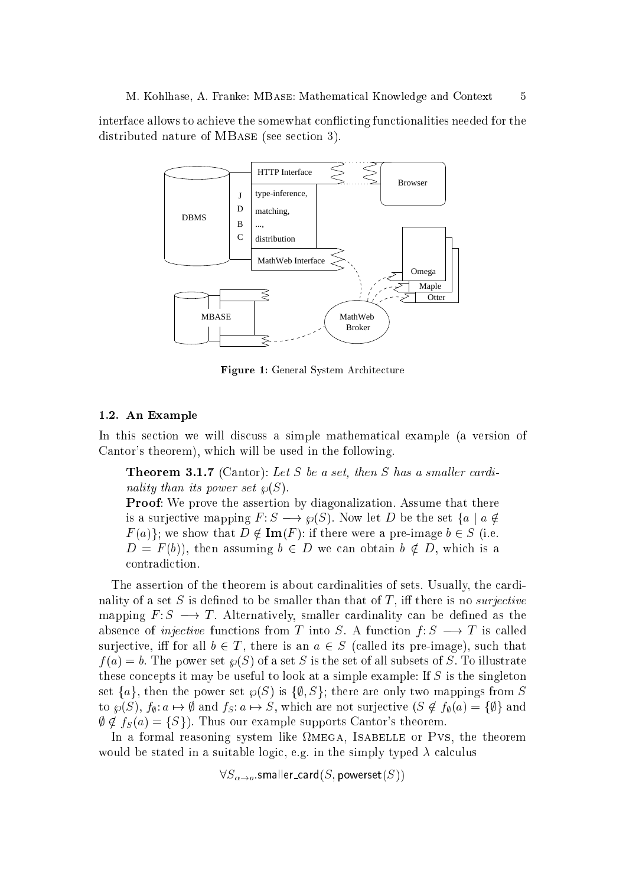interface allows to achieve the somewhat conflicting functionalities needed for the distributed nature of MBASE (see section 3).



Figure 1: General System Ar
hite
ture

## 1.2. An Example

In this section we will discuss a simple mathematical example (a version of Cantor's theorem), which will be used in the following.

**Theorem 3.1.7** (Cantor): Let S be a set, then S has a smaller cardinality than its power set  $\wp(S)$ .

**Proof:** We prove the assertion by diagonalization. Assume that there is a surjective mapping  $F: S \longrightarrow \varphi(S)$ . Now let D be the set  $\{a \mid a \notin S\}$  $F(a)$ ; we show that  $D \notin \text{Im}(F)$ : if there were a pre-image  $b \in S$  (i.e.  $D = F(b)$ , then assuming  $b \in D$  we can obtain  $b \notin D$ , which is a ontradi
tion.

The assertion of the theorem is about cardinalities of sets. Usually, the cardinality of a set S is defined to be smaller than that of  $T$ , iff there is no *surjective* mapping  $F: S \longrightarrow T$ . Alternatively, smaller cardinality can be defined as the absence of *injective* functions from T into S. A function  $f: S \longrightarrow T$  is called surjective, iff for all  $b \in T$ , there is an  $a \in S$  (called its pre-image), such that  $f(a) = b$ . The power set  $\wp(S)$  of a set S is the set of all subsets of S. To illustrate these concepts it may be useful to look at a simple example: If  $S$  is the singleton set  ${a}$ , then the power set  $\wp(S)$  is  ${\emptyset, S}$ ; there are only two mappings from S to  $\wp(S)$ ,  $f_{\emptyset} : a \mapsto \emptyset$  and  $f_S : a \mapsto S$ , which are not surjective  $(S \notin f_{\emptyset}(a) = {\emptyset}$  and  $\emptyset \notin f_S(a) = \{S\}\)$ . Thus our example supports Cantor's theorem.

In a formal reasoning system like mega, Isabelle or Pvs, the theorem would be stated in a suitable logic, e.g. in the simply typed  $\lambda$  calculus

$$
\forall S_{\alpha \to o}
$$
.smaller-card $(S, \text{powerset}(S))$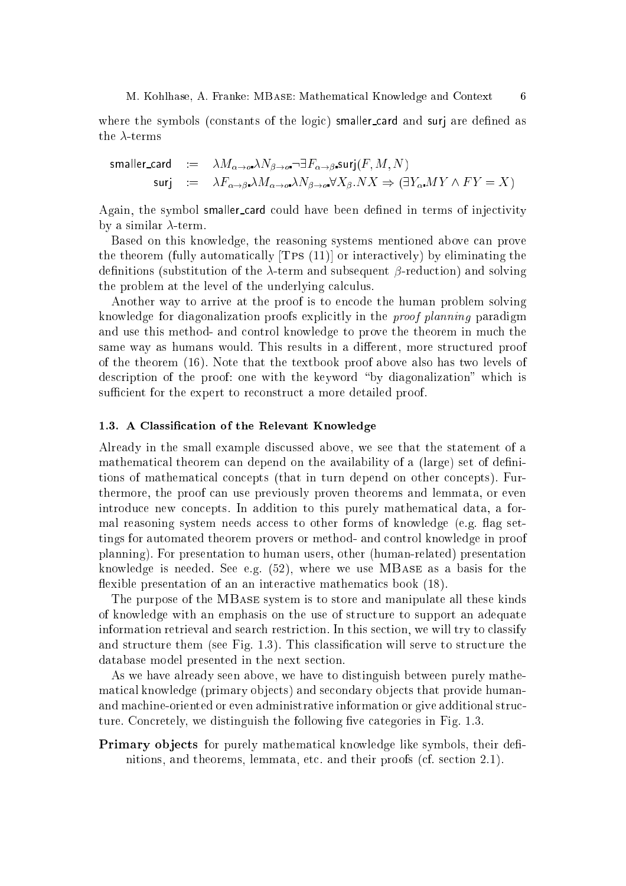where the symbols (constants of the logic) smaller\_card and surj are defined as the  $\lambda$ -terms

smaller-card := 
$$
\lambda M_{\alpha \to 0} \lambda N_{\beta \to 0} \neg \exists F_{\alpha \to \beta} \text{surj}(F, M, N)
$$
  
surj :=  $\lambda F_{\alpha \to \beta} \lambda M_{\alpha \to 0} \lambda N_{\beta \to 0} \forall X_{\beta} \cdot N X \Rightarrow (\exists Y_{\alpha} M Y \wedge FY = X)$ 

Again, the symbol smaller card could have been defined in terms of injectivity by a similar  $\lambda$ -term.

Based on this knowledge, the reasoning systems mentioned above an prove the theorem (fully automatically  $[TPs(11)]$  or interactively) by eliminating the definitions (substitution of the  $\lambda$ -term and subsequent  $\beta$ -reduction) and solving the problem at the level of the underlying calculus.

Another way to arrive at the proof is to encode the human problem solving knowledge for diagonalization proofs explicitly in the *proof planning* paradigm and use this method- and control knowledge to prove the theorem in much the same way as humans would. This results in a different, more structured proof of the theorem (16). Note that the textbook proof above also has two levels of description of the proof: one with the keyword "by diagonalization" which is sufficient for the expert to reconstruct a more detailed proof.

## 1.3. A Classification of the Relevant Knowledge

Already in the small example discussed above, we see that the statement of a mathematical theorem can depend on the availability of a (large) set of definitions of mathematical concepts (that in turn depend on other concepts). Furthermore, the proof an use previously proven theorems and lemmata, or even introduce new concepts. In addition to this purely mathematical data, a formal reasoning system needs access to other forms of knowledge (e.g. flag settings for automated theorem provers or method- and ontrol knowledge in proof planning). For presentation to human users, other (human-related) presentation knowledge is needed. See e.g.  $(52)$ , where we use MBASE as a basis for the flexible presentation of an an interactive mathematics book (18).

The purpose of the MBase system is to store and manipulate all these kinds of knowledge with an emphasis on the use of structure to support an adequate information retrieval and search restriction. In this section, we will try to classify and structure them (see Fig. 1.3). This classification will serve to structure the database model presented in the next section.

As we have already seen above, we have to distinguish between purely mathematical knowledge (primary objects) and secondary objects that provide humanand machine-oriented or even administrative information or give additional structure. Concretely, we distinguish the following five categories in Fig. 1.3.

**Primary objects** for purely mathematical knowledge like symbols, their definitions, and theorems, lemmata, etc. and their proofs (cf. section 2.1).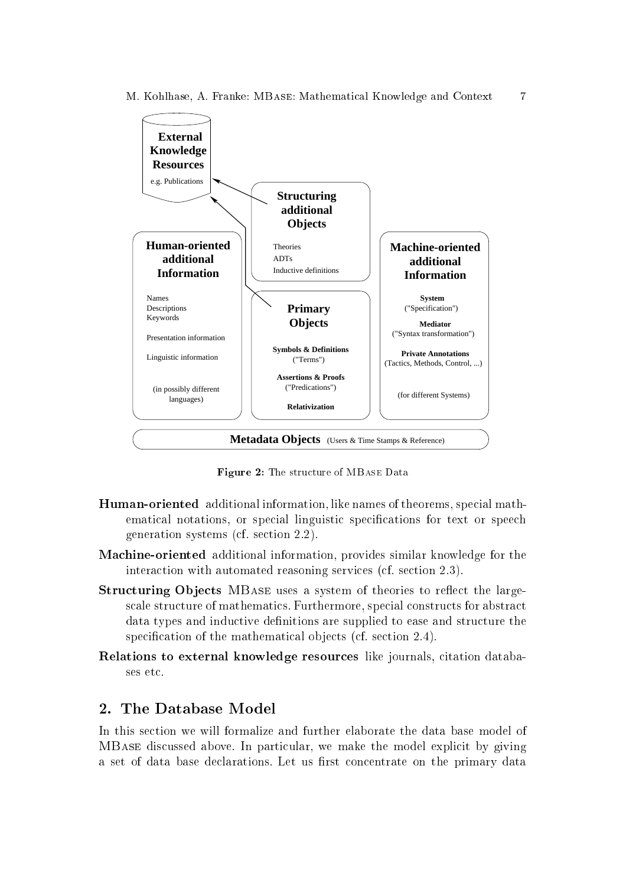

Figure 2: The structure of MBASE Data

- Human-oriented additional information, like names of theorems, spe
ial mathematical notations, or special linguistic specifications for text or speech generation systems (
f. se
tion 2.2).
- Ma
hine-oriented additional information, provides similar knowledge for the interaction with automated reasoning services (cf. section 2.3).
- **Structuring Objects** MBASE uses a system of theories to reflect the largescale structure of mathematics. Furthermore, special constructs for abstract data types and inductive definitions are supplied to ease and structure the specification of the mathematical objects (cf. section 2.4).
- Relations to external knowledge resources like journals, citation databases et
.

## 2. The Database Models and Database Models

In this se
tion we will formalize and further elaborate the data base model of MBASE discussed above. In particular, we make the model explicit by giving a set of data base declarations. Let us first concentrate on the primary data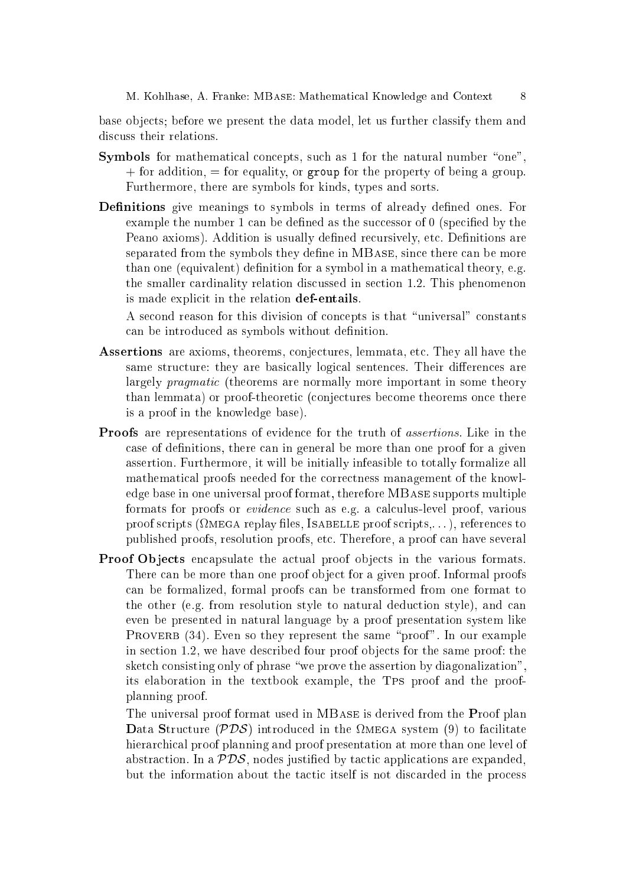M. Kohlhase, A. Franke: MBASE: Mathematical Knowledge and Context

base ob je
ts; before we present the data model, let us further lassify them and discuss their relations.

- Symbols for mathematical concepts, such as 1 for the natural number "one",  $+$  for addition,  $=$  for equality, or group for the property of being a group. Furthermore, there are symbols for kinds, types and sorts.
- **Definitions** give meanings to symbols in terms of already defined ones. For example the number 1 can be defined as the successor of 0 (specified by the Peano axioms). Addition is usually defined recursively, etc. Definitions are separated from the symbols they define in MBASE, since there can be more than one (equivalent) definition for a symbol in a mathematical theory, e.g. the smaller ardinality relation dis
ussed in se
tion 1.2. This phenomenon is made explicit in the relation def-entails.

A second reason for this division of concepts is that "universal" constants can be introduced as symbols without definition.

- Assertions are axioms, theorems, conjectures, lemmata, etc. They all have the same structure: they are basically logical sentences. Their differences are largely *pragmatic* (theorems are normally more important in some theory than lemmata) or proof-theoretic (conjectures become theorems once there is a proof in the knowledge base).
- Proofs are representations of evidence for the truth of *assertions*. Like in the case of definitions, there can in general be more than one proof for a given assertion. Furthermore, it will be initially infeasible to totally formalize all mathemati
al proofs needed for the orre
tness management of the knowledge base in one universal proof format, therefore MBase supports multiple formats for proofs or *evidence* such as e.g. a calculus-level proof, various protection process ( ), replay to the contract protection protection and the contract of the contract of the co published proofs, resolution proofs, et
. Therefore, a proof an have several
- **Proof Objects** encapsulate the actual proof objects in the various formats. There can be more than one proof object for a given proof. Informal proofs an be formalized, formal proofs an be transformed from one format to the other (e.g. from resolution style to natural deduction style), and can even be presented in natural language by a proof presentation system like PROVERB (34). Even so they represent the same "proof". In our example in se
tion 1.2, we have des
ribed four proof ob je
ts for the same proof: the sketch consisting only of phrase "we prove the assertion by diagonalization", its elaboration in the textbook example, the Tps proof and the proofplanning proof.

The universal proof format used in MBASE is derived from the **Proof** plan  $\mathcal{L}$  to factor (9) to factor (9) to factor (9) to factor (9) to factor (9) to factor (9) to factor (9) to factor (9) to factor (9) to factor (9) to factor (9) to factor (9) to factor (9) to factor (9) to factor (9) to hierarchical proof planning and proof presentation at more than one level of abstraction. In a  $PDS$ , nodes justified by tactic applications are expanded, but the information about the tactic itself is not discarded in the process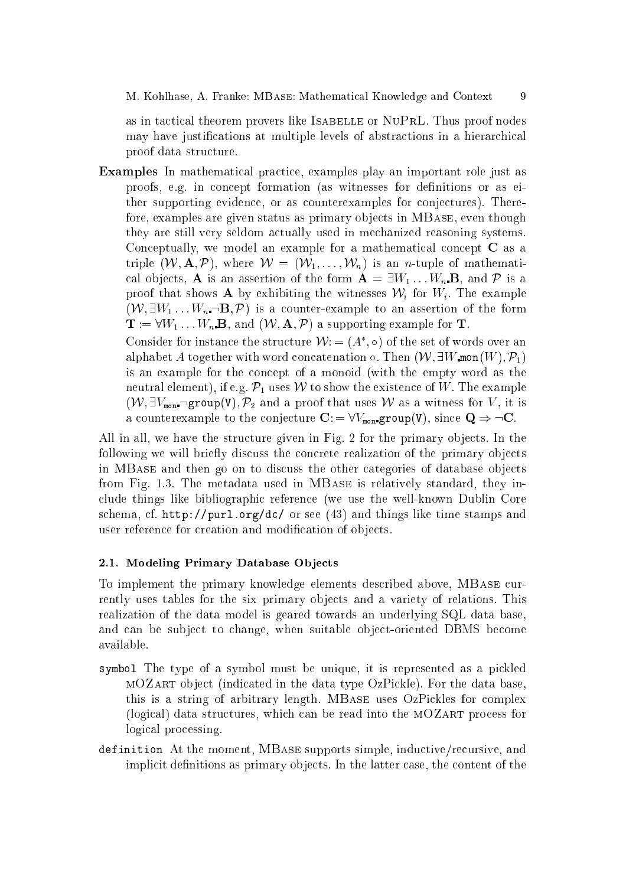as in tactical theorem provers like ISABELLE or NUPRL. Thus proof nodes may have justifications at multiple levels of abstractions in a hierarchical proof data stru
ture.

Examples In mathematical practice, examples play an important role just as proofs, e.g. in concept formation (as witnesses for definitions or as either supporting evidence, or as counterexamples for conjectures). Therefore, examples are given status as primary objects in MBASE, even though they are still very seldom a
tually used in me
hanized reasoning systems. Conceptually, we model an example for a mathematical concept C as a triple  $(W, \mathbf{A}, \mathcal{P})$ , where  $W = (W_1, \ldots, W_n)$  is an *n*-tuple of mathematical objects, **A** is an assertion of the form  $\mathbf{A} = \exists W_1 \dots W_n \mathbf{B}$ , and  $\mathcal{P}$  is a proof that shows A by exhibiting the witnesses  $\mathcal{W}_i$  for  $W_i$ . The example  $(W, \exists W_1 \dots W_n \neg B, \mathcal{P})$  is a counter-example to an assertion of the form  $\mathbf{T} := \forall W_1 \dots W_n \mathbf{B}$ , and  $(\mathcal{W}, \mathbf{A}, \mathcal{P})$  a supporting example for **T**.

Consider for instance the structure  $\mathcal{W} = (A, \circ)$  of the set of words over an alphabet A together with word concatenation  $\circ$ . Then  $(W, \exists W \text{mon}(W), \mathcal{P}_1)$ is an example for the concept of a monoid (with the empty word as the neutral element), if e.g.  $\mathcal{P}_1$  uses W to show the existence of W. The example  $(W, \exists V_{\text{mon}}$ -group(V),  $\mathcal{P}_2$  and a proof that uses W as a witness for V, it is a counterexample to the conjecture  $\mathbf{C} = \forall V_{\text{mon}}$  group(V), since  $\mathbf{Q} \Rightarrow \neg \mathbf{C}$ .

All in all, we have the structure given in Fig. 2 for the primary objects. In the following we will briefly discuss the concrete realization of the primary objects in MBASE and then go on to discuss the other categories of database objects from Fig. 1.3. The metadata used in MBase is relatively standard, they in clude things like bibliographic reference (we use the well-known Dublin Core schema, cf. http://purl.org/dc/ or see (43) and things like time stamps and user reference for creation and modification of objects.

## 2.1. Modeling Primary Database Objects

To implement the primary knowledge elements described above, MBASE currently uses tables for the six primary objects and a variety of relations. This realization of the data model is geared towards an underlying SQL data base, and can be subject to change, when suitable object-oriented DBMS become available.

- symbol The type of a symbol must be unique, it is represented as a pi
kled MOZART object (indicated in the data type OzPickle). For the data base, this is a string of arbitrary length. MBASE uses OzPickles for complex (logical) data structures, which can be read into the MOZART process for logical processing.
- tive and the moment and moment, and many property simple, induced in the moment of many implicit definitions as primary objects. In the latter case, the content of the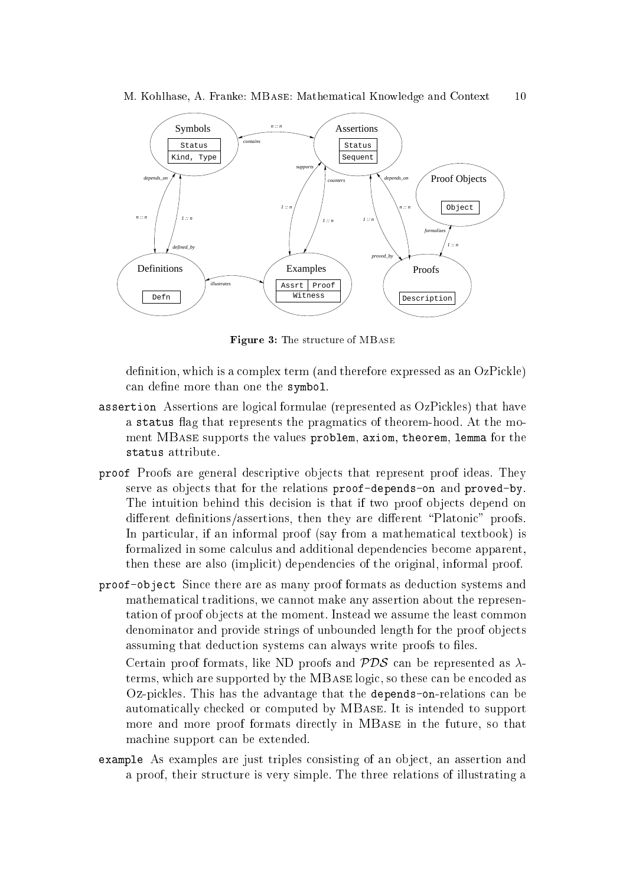

Figure 3: The structure of MBASE

definition, which is a complex term (and therefore expressed as an OzPickle) can define more than one the symbol.

- assertion assertions are longitude as oppositions and the state  $\mu$  that have  $\mu$ a status flag that represents the pragmatics of theorem-hood. At the moment MBase supports the values problem, axiom, theorem, lemma for the
- proof Proofs are general des
riptive ob je
ts that represent proof ideas. They serve as objects that for the relations proof-depends-on and proved-by. The intuition behind this decision is that if two proof objects depend on different definitions/assertions, then they are different "Platonic" proofs. In particular, if an informal proof (say from a mathematical textbook) is formalized in some calculus and additional dependencies become apparent. then these are also (implicit) dependencies of the original, informal proof.
- proof-obje
t Sin
e there are as many proof formats as dedu
tion systems and mathemati
al traditions, we annot make any assertion about the representation of proof objects at the moment. Instead we assume the least common denominator and provide strings of unbounded length for the proof objects assuming that deduction systems can always write proofs to files.

Certain proof formats, like ND proofs and  $PDS$  can be represented as  $\lambda$ terms, which are supported by the MBASE logic, so these can be encoded as Oz-pi
kles. This has the advantage that the depends-on-relations an be automati
ally he
ked or omputed by MBase. It is intended to support more and more proof formats directly in MBASE in the future, so that ma
hine support an be extended.

example As examples are just triples onsisting of an ob je
t, an assertion and a proof, their stru
ture is very simple. The three relations of illustrating a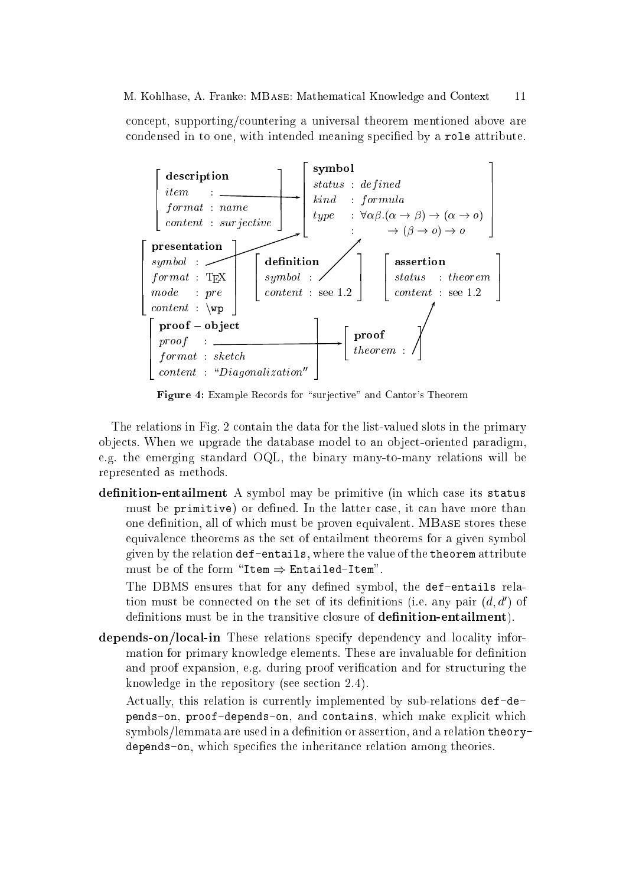on
ept, supporting/
ountering a universal theorem mentioned above are condensed in to one, with intended meaning specified by a role attribute.



Figure 4: Example Records for "surjective" and Cantor's Theorem

The relations in Fig. 2 ontain the data for the list-valued slots in the primary objects. When we upgrade the database model to an object-oriented paradigm, e.g. the emerging standard OQL, the binary many-to-many relations will be represented as methods.

definition-entailment A symbol may be primitive (in which case its status must be primitive) or defined. In the latter case, it can have more than one definition, all of which must be proven equivalent. MBASE stores these equivalen
e theorems as the set of entailment theorems for a given symbol given by the relation def-entails, where the value of the theorem attribute must be of the form "Item  $\Rightarrow$  Entailed-Item".

The DBMS ensures that for any defined symbol, the def-entails relation must be connected on the set of its definitions (i.e. any pair  $(a, a$  ) of definitions must be in the transitive closure of **definition-entailment**).

depends-on/local-in These relations specify dependency and locality information for primary knowledge elements. These are invaluable for definition and proof expansion, e.g. during proof verification and for structuring the knowledge in the repository (see section 2.4).

Actually, this relation is currently implemented by sub-relations  $def-de$ pends-on, proof-depends-on, and contains, which make explicit which symbols/lemmata are used in a definition or assertion, and a relation theorydepends-on, which specifies the inheritance relation among theories.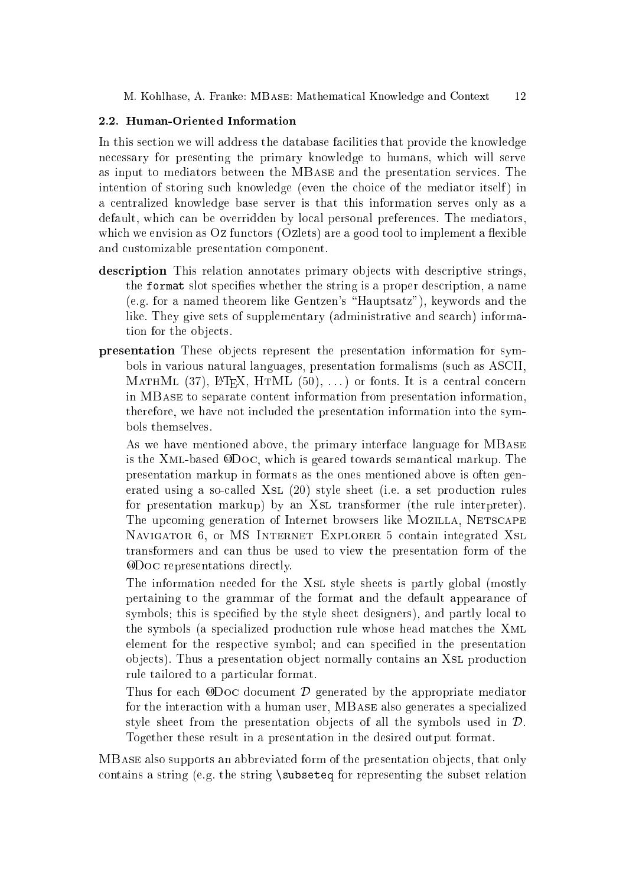## 2.2. Human-Oriented Information

In this section we will address the database facilities that provide the knowledge ne
essary for presenting the primary knowledge to humans, whi
h will serve as input to mediators between the MBase and the presentation servi
es. The intention of storing such knowledge (even the choice of the mediator itself) in a entralized knowledge base server is that this information serves only as a default, whi
h an be overridden by lo
al personal preferen
es. The mediators, which we envision as  $Oz$  functors  $(Oz$  are a good tool to implement a flexible and ustomizable presentation omponent.

- description This relation annotates primary objects with descriptive strings. the format slot specifies whether the string is a proper description, a name (e.g. for a named theorem like Gentzen's \Hauptsatz"), keywords and the like. They give sets of supplementary (administrative and search) information for the objects.
- **presentation** These objects represent the presentation information for symbols in various natural languages, presentation formalisms (su
h as ASCII, MATHML  $(37)$ , L<sup>AT</sup>FX, HTML  $(50)$ , ...) or fonts. It is a central concern in MBase to separate ontent information from presentation information, therefore, we have not in
luded the presentation information into the symbols themselves.

As we have mentioned above, the primary interface language for MBASE is the XML-based ODOC, which is geared towards semantical markup. The presentation markup in formats as the ones mentioned above is often generated using a so-called XsL (20) style sheet (i.e. a set production rules for presentation markup) by an Xsl transformer (the rule interpreter). The upcoming generation of Internet browsers like MOZILLA, NETSCAPE NAVIGATOR 6, or MS INTERNET EXPLORER 5 contain integrated XSL transformers and an thus be used to view the presentation form of the **@Doc** representations directly.

The information needed for the Xsl style sheets is partly global (mostly pertaining to the grammar of the format and the default appearan
e of symbols; this is specified by the style sheet designers), and partly local to the symbols (a spe
ialized produ
tion rule whose head mat
hes the Xml element for the respective symbol; and can specified in the presentation objects). Thus a presentation object normally contains an XSL production rule tailored to a particular format.

Thus for each  $\Theta$ DOC document  $\mathcal D$  generated by the appropriate mediator for the interaction with a human user, MBASE also generates a specialized style sheet from the presentation objects of all the symbols used in  $\mathcal{D}$ . Together these result in a presentation in the desired output format.

MBASE also supports an abbreviated form of the presentation objects, that only contains a string (e.g. the string \subseteq for representing the subset relation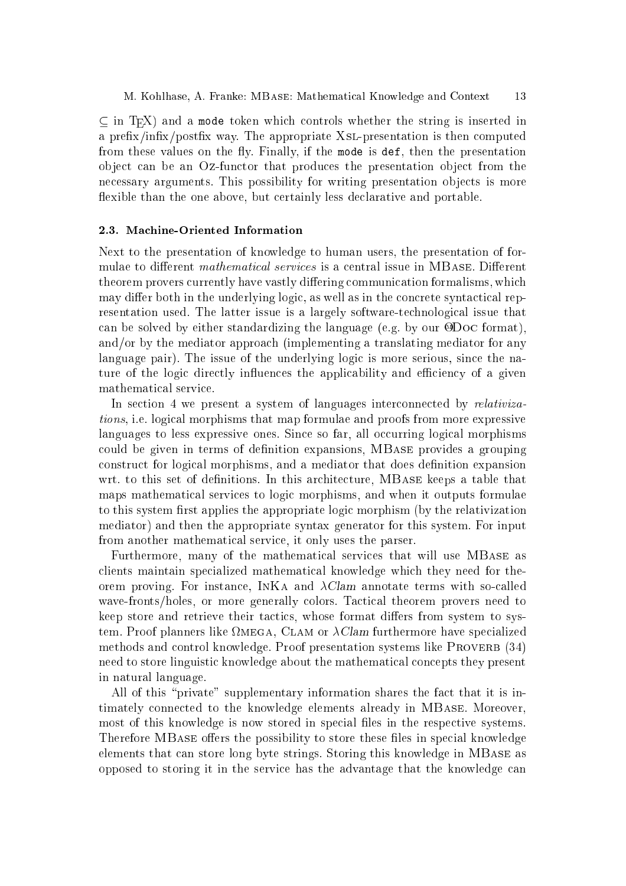$\sim$  10 MeV and a mode token which the string is inserted in string is inserted in a prefix/infix/postfix way. The appropriate XSL-presentation is then computed from these values on the fly. Finally, if the mode is def, then the presentation object can be an Oz-functor that produces the presentation object from the necessary arguments. This possibility for writing presentation objects is more flexible than the one above, but certainly less declarative and portable.

## 2.3. Ma
hine-Oriented Information

Next to the presentation of knowledge to human users, the presentation of formulae to different *mathematical services* is a central issue in MBASE. Different theorem provers currently have vastly differing communication formalisms, which may differ both in the underlying logic, as well as in the concrete syntactical representation used. The latter issue is a largely software-te
hnologi
al issue that can be solved by either standardizing the language (e.g. by our  $\Theta$ DOC format), and/or by the mediator approach (implementing a translating mediator for any language pair). The issue of the underlying logic is more serious, since the nature of the logic directly influences the applicability and efficiency of a given mathemati
al servi
e.

In section 4 we present a system of languages interconnected by relativizations, i.e. logi
al morphisms that map formulae and proofs from more expressive languages to less expressive ones. Since so far, all occurring logical morphisms could be given in terms of definition expansions, MBASE provides a grouping onstru
t for logi
al morphisms, and a mediator that does denition expansion wrt. to this set of definitions. In this architecture, MBASE keeps a table that maps mathemati
al servi
es to logi morphisms, and when it outputs formulae to this system first applies the appropriate logic morphism (by the relativization mediator) and then the appropriate syntax generator for this system. For input from another mathemati
al servi
e, it only uses the parser.

Furthermore, many of the mathematical services that will use MBASE as clients maintain specialized mathematical knowledge which they need for theorem proving. For instance, INKA and  $\lambda$ Clam annotate terms with so-called wave-fronts/holes, or more generally colors. Tactical theorem provers need to keep store and retrieve their tactics, whose format differs from system to system. Proof planners like mega, Clam or Clam furthermore have spe
ialized methods and ontrol knowledge. Proof presentation systems like Proverb (34) need to store linguistic knowledge about the mathematical concepts they present in natural language.

All of this "private" supplementary information shares the fact that it is intimately onne
ted to the knowledge elements already in MBase. Moreover, most of this knowledge is now stored in special files in the respective systems. Therefore MBASE offers the possibility to store these files in special knowledge elements that can store long byte strings. Storing this knowledge in MBASE as opposed to storing it in the servi
e has the advantage that the knowledge an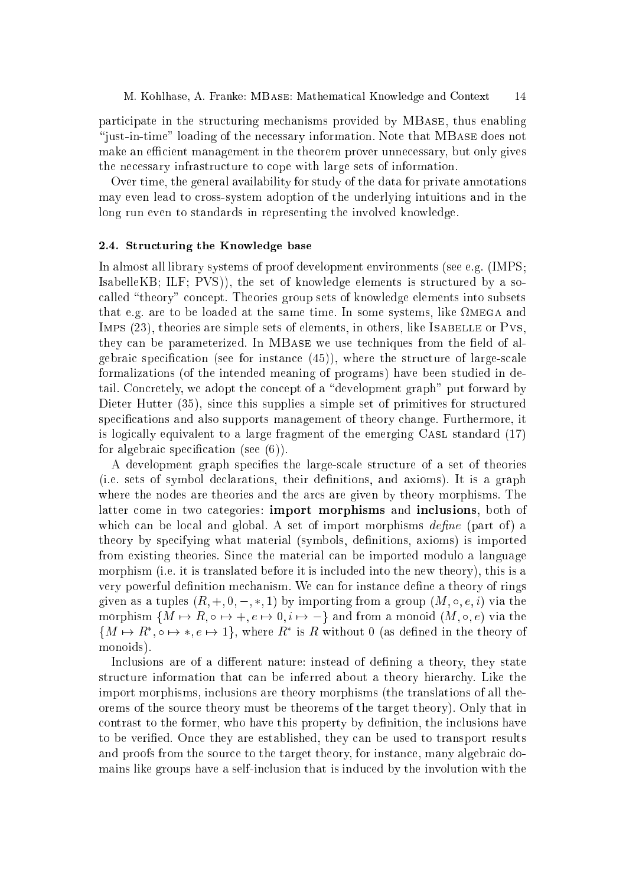participate in the structuring mechanisms provided by MBASE, thus enabling "just-in-time" loading of the necessary information. Note that MBASE does not make an efficient management in the theorem prover unnecessary, but only gives the ne
essary infrastru
ture to ope with large sets of information.

Over time, the general availability for study of the data for private annotations may even lead to cross-system adoption of the underlying intuitions and in the long run even to standards in representing the involved knowledge.

### 2.4. Structuring the Knowledge base

In almost all library systems of proof development environments (see e.g. (IMPS; IsabelleKB; ILF; PVS), the set of knowledge elements is structured by a socalled "theory" concept. Theories group sets of knowledge elements into subsets that e.g. are to be loaded at the same time. In some systems, like mega and IMPS (23), theories are simple sets of elements, in others, like ISABELLE or Pvs, they can be parameterized. In MBASE we use techniques from the field of algebraic specification (see for instance  $(45)$ ), where the structure of large-scale formalizations (of the intended meaning of programs) have been studied in detail. Concretely, we adopt the concept of a "development graph" put forward by Dieter Hutter (35), since this supplies a simple set of primitives for structured specifications and also supports management of theory change. Furthermore, it is logically equivalent to a large fragment of the emerging CASL standard (17) for algebraic specification (see  $(6)$ ).

A development graph specifies the large-scale structure of a set of theories (i.e. sets of symbol de
larations, their denitions, and axioms). It is a graph where the nodes are theories and the ar
s are given by theory morphisms. The latter come in two categories: **import morphisms** and **inclusions**, both of which can be local and global. A set of import morphisms  $define$  (part of) a theory by specifying what material (symbols, definitions, axioms) is imported from existing theories. Sin
e the material an be imported modulo a language morphism (i.e. it is translated before it is in
luded into the new theory), this is a very powerful definition mechanism. We can for instance define a theory of rings given as a tuples  $(R, +, 0, -, *, 1)$  by importing from a group  $(M, \circ, e, i)$  via the morphism  $\{M \mapsto R, \circ \mapsto , e \mapsto 0, i \mapsto -\}$  and from a monoid  $(M, \circ, e)$  via the  $\{M \mapsto K, \circ \mapsto \ast, e \mapsto 1\}$ , where  $K$  is  $K$  without  $0$  (as defined in the theory of monoids).

Inclusions are of a different nature: instead of defining a theory, they state structure information that can be inferred about a theory hierarchy. Like the import morphisms, in
lusions are theory morphisms (the translations of all theorems of the sour
e theory must be theorems of the target theory). Only that in contrast to the former, who have this property by definition, the inclusions have to be veried. On
e they are established, they an be used to transport results and proofs from the source to the target theory, for instance, many algebraic domains like groups have a self-in
lusion that is indu
ed by the involution with the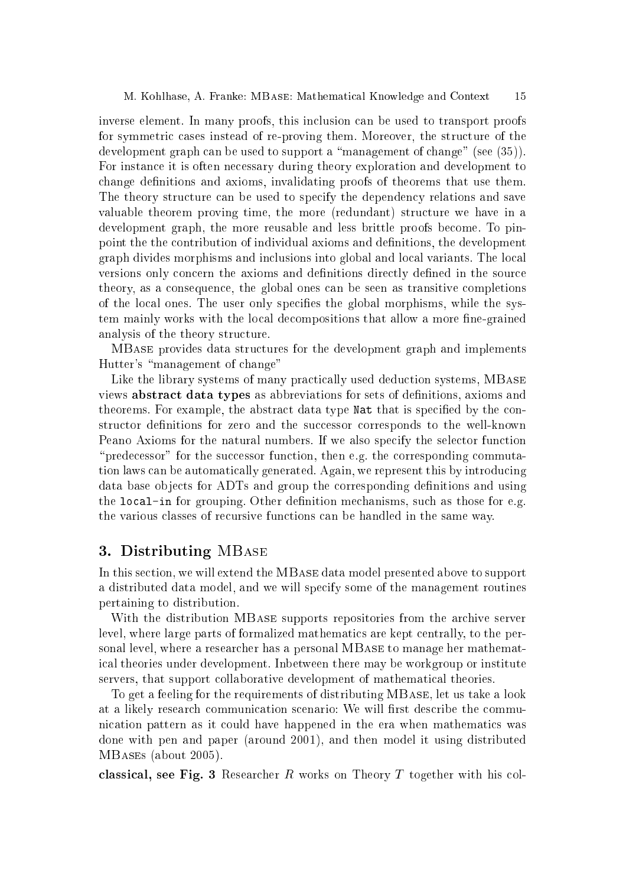15

inverse element. In many proofs, this in
lusion an be used to transport proofs for symmetric cases instead of re-proving them. Moreover, the structure of the development graph can be used to support a "management of change" (see (35)). For instan
e it is often ne
essary during theory exploration and development to change definitions and axioms, invalidating proofs of theorems that use them. The theory structure can be used to specify the dependency relations and save valuable theorem proving time, the more (redundant) structure we have in a development graph, the more reusable and less brittle proofs be
ome. To pinpoint the the contribution of individual axioms and definitions, the development graph divides morphisms and inclusions into global and local variants. The local versions only concern the axioms and definitions directly defined in the source theory, as a onsequen
e, the global ones an be seen as transitive ompletions of the local ones. The user only specifies the global morphisms, while the system mainly works with the local decompositions that allow a more fine-grained analysis of the theory stru
ture.

MBase provides data stru
tures for the development graph and implements Hutter's "management of change"

Like the library systems of many practically used deduction systems, MBASE views abstract data types as abbreviations for sets of definitions, axioms and theorems. For example, the abstract data type Nat that is specified by the constructor definitions for zero and the successor corresponds to the well-known Peano Axioms for the natural numbers. If we also specify the selector function "predecessor" for the successor function, then e.g. the corresponding commutation laws can be automatically generated. Again, we represent this by introducing data base objects for ADTs and group the corresponding definitions and using the local-in for grouping. Other definition mechanisms, such as those for e.g. the various lasses of re
ursive fun
tions an be handled in the same way.

## 3. Distribution of the MBase of the MBase of the MBase of the MBase of the MBase of the MBase of the MBase of

In this section, we will extend the MBase data model presented above to support a distributed data model, and we will spe
ify some of the management routines pertaining to distribution.

With the distribution MBASE supports repositories from the archive server level, where large parts of formalized mathematics are kept centrally, to the personal level, where a resear
her has a personal MBase to manage her mathemati
al theories under development. Inbetween there may be workgroup or institute servers, that support ollaborative development of mathemati
al theories.

To get a feeling for the requirements of distributing MBase, let us take a look at a likely research communication scenario: We will first describe the communi
ation pattern as it ould have happened in the era when mathemati
s was done with pen and paper (around 2001), and then model it using distributed MBases (about 2005).

classical, see Fig. 3 Researcher R works on Theory T together with his col-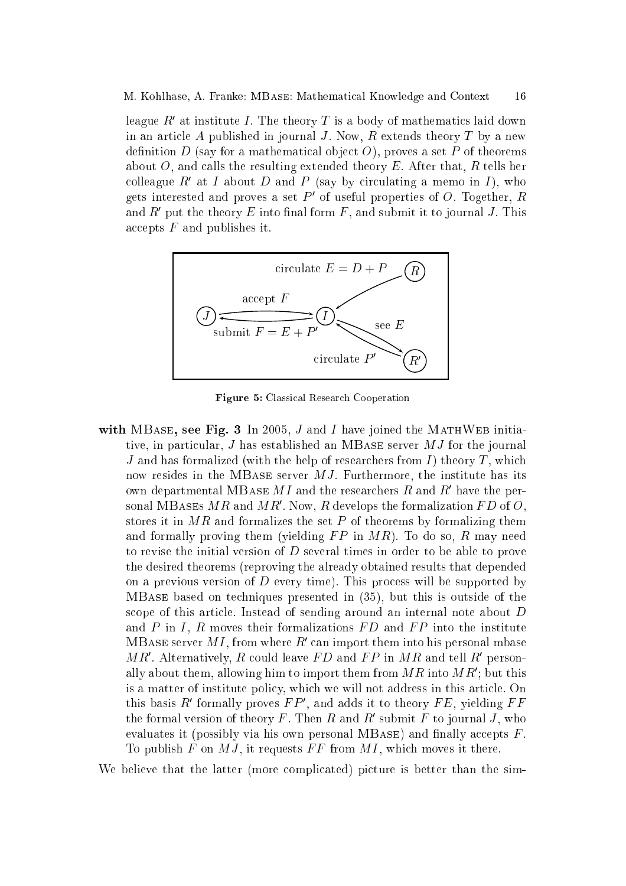ieague  $\kappa$  at institute  $\iota$ . The theory  $\iota$  is a body of mathematics faid down in an article A published in journal J. Now, R extends theory  $T$  by a new definition D (say for a mathematical object O), proves a set P of theorems about  $O$ , and calls the resulting extended theory  $E$ . After that,  $R$  tells her colleague  $R$  at I about  $D$  and  $P$  (say by circulating a memo in I), who gets interested and proves a set  $P$  -of useful properties of  $O$ . Together,  $R$ and  $R$  -put the theory  $E$  into mial form  $F$  , and submit it to journal  $J$  . This accepts  $F$  and publishes it.



Figure 5: Classi
al Resear
h Cooperation

with MBase, see Fig. 3 In 2005, J and I have joined the MATHWEB initiative, in particular, J has established an MBASE server  $MJ$  for the journal J and has formalized (with the help of researchers from  $I$ ) theory  $T$ , which now resides in the MBASE server  $MJ$ . Furthermore, the institute has its own departmental MDASE *M1* and the researchers  $R$  and  $R$  have the personal MDASES MR and MR . Now, R develops the formalization F D of  $U,$ stores it in  $MR$  and formalizes the set  $P$  of theorems by formalizing them and formally proving them (yielding  $FP$  in  $MR$ ). To do so, R may need to revise the initial version of D several times in order to be able to prove the desired theorems (reproving the already obtained results that depended on a previous version of  $D$  every time). This process will be supported by MBase based on te
hniques presented in (35), but this is outside of the s
ope of this arti
le. Instead of sending around an internal note about D and  $P$  in  $I$ ,  $R$  moves their formalizations  $FD$  and  $FP$  into the institute IN DASE SETVET M I , from where  $R$  -can import them into his personal mbase  $M\,R$  . Alternatively,  $R$  could leave  $F\,D$  and  $F\,F$  in  $M\,R$  and tell  $R$  personally about them, allowing him to import them from  $M\bar{R}$  into  $M\bar{R}$  ; but this is a matter of institute poli
y, whi
h we will not address in this arti
le. On this basis  $R$  formally proves  $\Gamma$  P , and adds it to theory  $\Gamma$  E, yielding F F the formal version of theory  $F$  . Then  $R$  and  $R$  submit  $F$  to journal  $J$  , who evaluates it (possibly via his own personal MBASE) and finally accepts  $F$ . To publish F on  $MJ$ , it requests FF from MI, which moves it there.

We believe that the latter (more complicated) picture is better than the sim-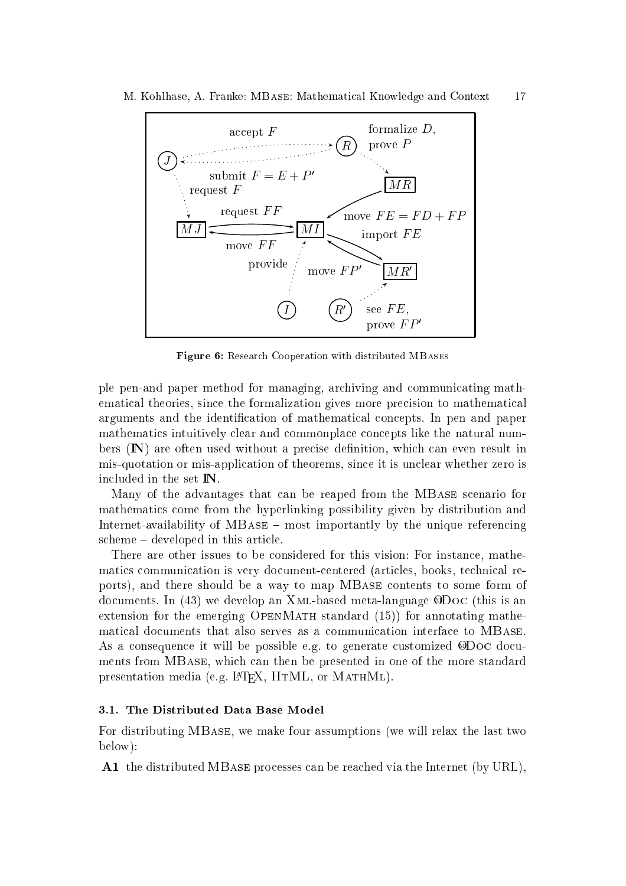

Figure 6: Research Cooperation with distributed MBASEs

ple pen-and paper method for managing, archiving and communicating mathematical theories, since the formalization gives more precision to mathematical arguments and the identification of mathematical concepts. In pen and paper mathematics intuitively clear and commonplace concepts like the natural numbers  $(\mathbb{N})$  are often used without a precise definition, which can even result in mis-quotation or mis-appli
ation of theorems, sin
e it is un
lear whether zero is included in the set  $\mathbb{N}$ .

Many of the advantages that an be reaped from the MBase s
enario for mathemati
s ome from the hyperlinking possibility given by distribution and Internet-availability of MBASE  $-$  most importantly by the unique referencing scheme – developed in this article.

There are other issues to be onsidered for this vision: For instan
e, mathematics communication is very document-centered (articles, books, technical reports), and there should be a way to map MBase ontents to some form of documents. In (43) we develop an XML-based meta-language ODOC (this is an extension for the emerging OPENMATH standard  $(15)$  for annotating mathemati
al do
uments that also serves as a ommuni
ation interfa
e to MBase. As a consequence it will be possible e.g. to generate customized ODoc documents from MBase, whi
h an then be presented in one of the more standard presentation media (e.g.  $\text{MTFX}$ ,  $\text{HTML}$ , or  $\text{MATHML}$ ).

## 3.1. The Distributed Data Base Model

For distributing MBase, we make four assumptions (we will relax the last two below):

A1 the distributed MBASE processes can be reached via the Internet (by URL).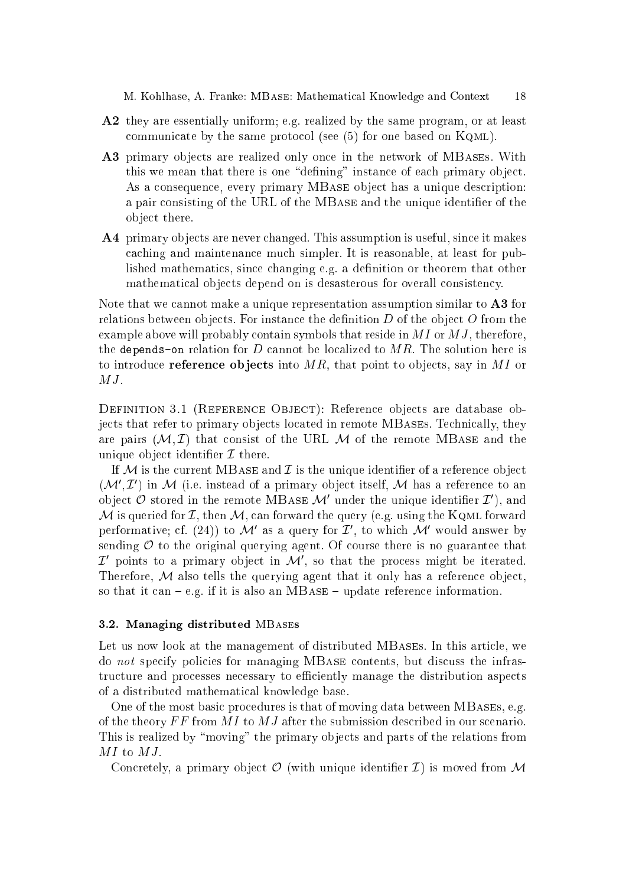- A2 they are essentially uniform; e.g. realized by the same program, or at least communicate by the same protocol (see (5) for one based on KQML).
- A3 primary objects are realized only once in the network of MBASES. With this we mean that there is one "defining" instance of each primary object. As a consequence, every primary MBASE object has a unique description: a pair consisting of the URL of the MBASE and the unique identifier of the ob je
t there.
- A4 primary objects are never changed. This assumption is useful, since it makes a
hing and maintenan
e mu
h simpler. It is reasonable, at least for published mathematics, since changing e.g. a definition or theorem that other mathematical objects depend on is desasterous for overall consistency.

Note that we cannot make a unique representation assumption similar to A3 for relations between objects. For instance the definition  $D$  of the object  $O$  from the example above will probably contain symbols that reside in  $MI$  or  $MJ$ , therefore, the depends-on relation for D cannot be localized to  $MR$ . The solution here is to introduce **reference** objects into  $MR$ , that point to objects, say in MI or  $MJ$ .

DEFINITION 3.1 (REFERENCE OBJECT): Reference objects are database objects that refer to primary objects located in remote MBASES. Technically, they are pairs  $(M, I)$  that consist of the URL M of the remote MBASE and the unique object identifier  $\mathcal I$  there.

If M is the current MBASE and  $\mathcal I$  is the unique identifier of a reference object  $(\mathcal{M}, \mathcal{L})$  in  $\mathcal{M}$  (i.e. instead of a primary object itself,  $\mathcal{M}$  has a reference to an object  $\bm{\cup}$  stored in the remote MBASE  $\bm{\mathcal{M}}$  under the unique identiner  $\bm{\mathcal{L}}$  ), and M is queried for I, then M, an forward the query (e.g. using the Kqml forward performative; cf. (24)) to M as a query for  $L$ , to which M would answer by sending  $\mathcal O$  to the original querying agent. Of course there is no guarantee that  $\overline{\nu}$  points to a primary object in  $\overline{\nu}$ , so that the process might be iterated. Therefore,  $M$  also tells the querying agent that it only has a reference object, so that it can  $-e.g.$  if it is also an MBASE  $-\text{ update reference information.}$ 

#### 3.2. Managing distributed MBases

Let us now look at the management of distributed MBASES. In this article, we do *not* specify policies for managing MBASE contents, but discuss the infrastructure and processes necessary to efficiently manage the distribution aspects of a distributed mathemati
al knowledge base.

One of the most basic procedures is that of moving data between MBASEs, e.g. of the theory  $FF$  from MI to MJ after the submission described in our scenario. This is realized by "moving" the primary objects and parts of the relations from  $MI$  to  $MJ$ .

Concretely, a primary object  $\mathcal O$  (with unique identifier  $\mathcal I$ ) is moved from  $\mathcal M$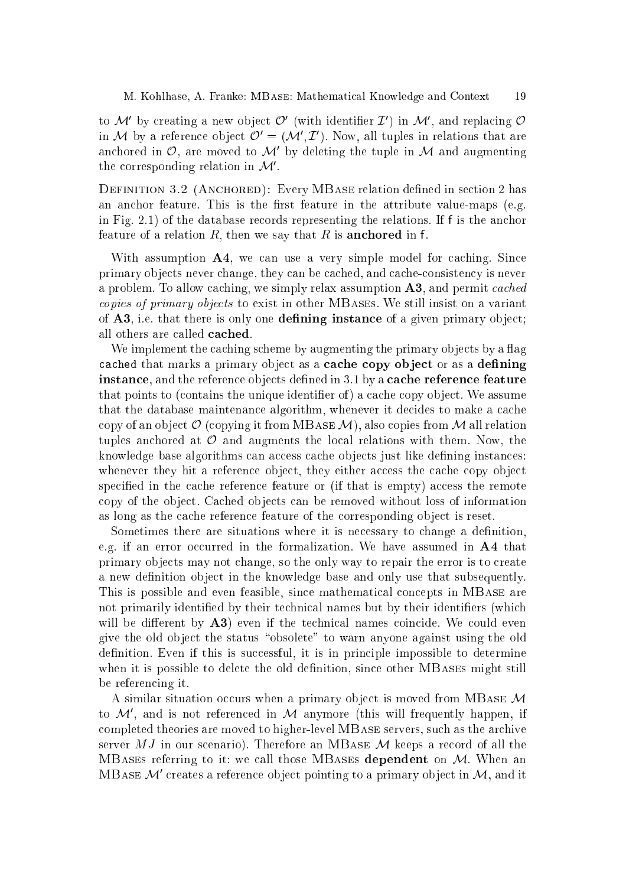to  $\mathcal{M}$  by creating a new object  $\mathcal{O}$  (with identifier  $L$  ) in  $\mathcal{M}$  , and replacing  $\mathcal{O}$ in  $\mathcal M$  by a reference object  $\mathcal O^+ = (\mathcal M, \mathcal L^+)$ . Now, all tuples in relations that are anchored in  $\mathcal{O}$ , are moved to  $\mathcal{M}$  by defeting the tuple in  $\mathcal{M}$  and augmenting the corresponding relation in  $\mathcal M$  .

DEFINITION 3.2 (ANCHORED): Every MBASE relation defined in section 2 has an anchor feature. This is the first feature in the attribute value-maps (e.g. in Fig. 2.1) of the database re
ords representing the relations. If <sup>f</sup> is the an
hor feature of a relation  $R$ , then we say that  $R$  is **anchored** in f.

With assumption A4, we can use a very simple model for caching. Since primary objects never change, they can be cached, and cache-consistency is never a problem. To allow caching, we simply relax assumption  $\bf{A3}$ , and permit *cached* copies of primary objects to exist in other MBASES. We still insist on a variant of  $\bf{A3}$ , i.e. that there is only one **defining instance** of a given primary object; all others are called cached.

We implement the caching scheme by augmenting the primary objects by a flag t a that may be a primary ob jet to the state of the state of the state of the state of the state of the state of instance, and the reference objects defined in 3.1 by a cache reference feature that points to (contains the unique identifier of) a cache copy object. We assume that the database maintenance algorithm, whenever it decides to make a cache copy of an object  $\mathcal{O}$  (copying it from MBASE  $\mathcal{M}$ ), also copies from M all relation tuples anchored at  $\mathcal O$  and augments the local relations with them. Now, the knowledge base algorithms can access cache objects just like defining instances: whenever they hit a reference object, they either access the cache copy object specified in the cache reference feature or (if that is empty) access the remote opy of the ob je
t. Ca
hed ob je
ts an be removed without loss of information as long as the cache reference feature of the corresponding object is reset.

Sometimes there are situations where it is necessary to change a definition, e.g. if an error occurred in the formalization. We have assumed in  $\mathbf{A4}$  that primary objects may not change, so the only way to repair the error is to create a new definition object in the knowledge base and only use that subsequently. This is possible and even feasible, since mathematical concepts in MBASE are not primarily identified by their technical names but by their identifiers (which will be different by  $\mathbf{A3}$  even if the technical names coincide. We could even give the old object the status "obsolete" to warn anyone against using the old definition. Even if this is successful, it is in principle impossible to determine when it is possible to delete the old definition, since other MBASEs might still be referen
ing it.

A similar situation occurs when a primary object is moved from MBASE  $\mathcal M$ to /v; and is not referenced in /v; anymore (this will frequently happen, if completed theories are moved to higher-level MBASE servers, such as the archive server  $MJ$  in our scenario). Therefore an MBASE M keeps a record of all the MBASEs referring to it: we call those MBASEs dependent on  $M$ . When an m DASE TVI creates a reference object pointing to a primary object in TVI, and it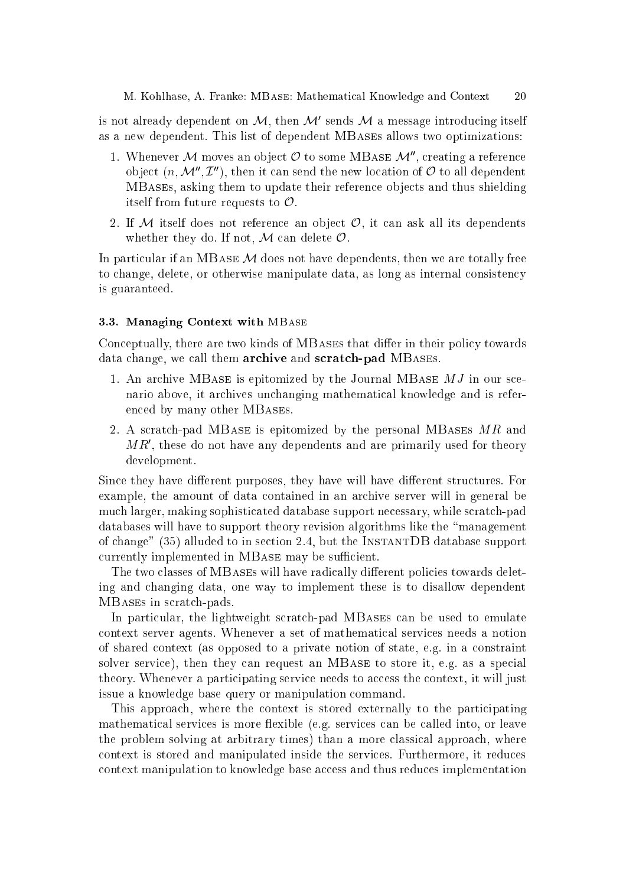is not afready dependent on  $\mathcal{M},$  then  $\mathcal{M}$  sends  $\mathcal{M}$  a message introducing itself as a new dependent. This list of dependent MBases allows two optimizations:

- 1. Whenever  $\mathcal{M}$  moves an object  $\mathcal{O}$  to some MDASE  $\mathcal{M}$  , creating a reference object  $(n, \mathcal{M}_\cup, \mathcal{L}_\cup)$ , then it can send the new location of  $\mathcal{O}_\cup$  to all dependent MBASES, asking them to update their reference objects and thus shielding itself from future requests to  $\mathcal{O}$ .
- 2. If M itself does not reference an object  $\mathcal{O}$ , it can ask all its dependents whether they do. If not,  $M$  can delete  $O$ .

In particular if an MBASE  $M$  does not have dependents, then we are totally free to change, delete, or otherwise manipulate data, as long as internal consistency is guaranteed.

## 3.3. Managing Context with MBase

Conceptually, there are two kinds of MBASEs that differ in their policy towards data change, we call them **archive** and **scratch-pad** MBASEs.

- 1. An archive MBASE is epitomized by the Journal MBASE MJ in our scenario above, it ar
hives un
hanging mathemati
al knowledge and is referenced by many other MBASES.
- 2. A scratch-pad MBASE is epitomized by the personal MBASES MR and  $M\kappa$  , these do not have any dependents and are primarily used for theory development.

Since they have different purposes, they have will have different structures. For example, the amount of data ontained in an ar
hive server will in general be much larger, making sophisticated database support necessary, while scratch-pad databases will have to support theory revision algorithms like the "management" of hange" (35) alluded to in se
tion 2.4, but the InstantDB database support currently implemented in MBASE may be sufficient.

The two classes of MBASEs will have radically different policies towards deleting and hanging data, one way to implement these is to disallow dependent MBases in s
rat
h-pads.

In particular, the lightweight scratch-pad MBASEs can be used to emulate ontext server agents. Whenever a set of mathemati
al servi
es needs a notion of shared ontext (as opposed to a private notion of state, e.g. in a onstraint solver service), then they can request an MBASE to store it, e.g. as a special theory. Whenever a participating service needs to access the context, it will just issue a knowledge base query or manipulation ommand.

This approach, where the context is stored externally to the participating mathematical services is more flexible (e.g. services can be called into, or leave the problem solving at arbitrary times) than a more classical approach, where ontext is stored and manipulated inside the servi
es. Furthermore, it redu
es context manipulation to knowledge base access and thus reduces implementation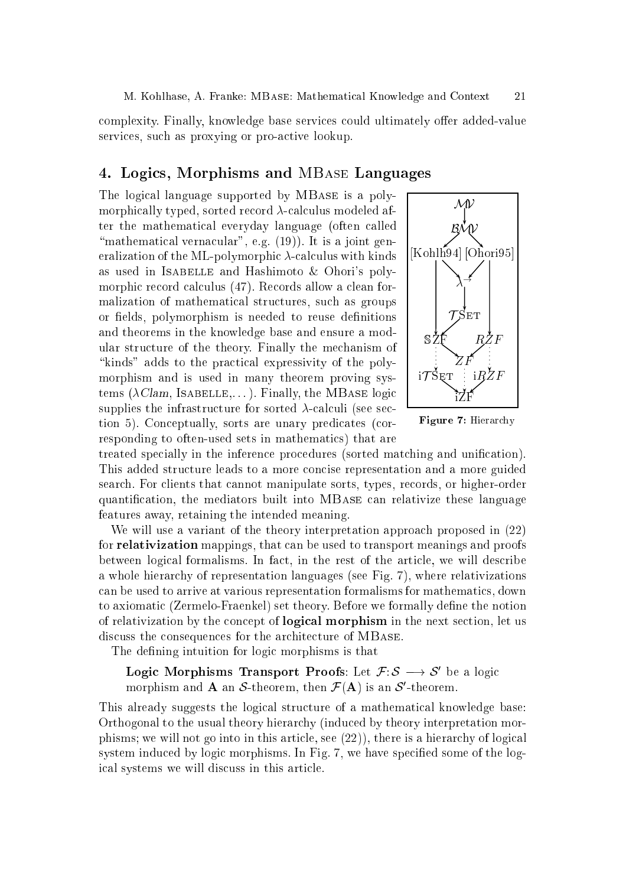complexity. Finally, knowledge base services could ultimately offer added-value services, such as proxying or pro-active lookup.

## $\mathcal{L} = \mathcal{L} \cap \mathcal{L}$  , which are defined and  $\mathcal{L} = \mathcal{L} \cap \mathcal{L}$

The logical language supported by MBASE is a polymorphically typed, sorted record  $\lambda$ -calculus modeled after the mathemati
al everyday language (often alled "mathematical vernacular", e.g.  $(19)$ ). It is a joint generalization of the ML-polymorphic  $\lambda$ -calculus with kinds as used in ISABELLE and Hashimoto & Ohori's polymorphic record calculus (47). Records allow a clean formalization of mathemati
al stru
tures, su
h as groups or fields, polymorphism is needed to reuse definitions and theorems in the knowledge base and ensure a modular stru
ture of the theory. Finally the me
hanism of "kinds" adds to the practical expressivity of the polymorphism and is used in many theorem proving systems ( $\lambda Clam$ , ISABELLE,...). Finally, the MBASE logic supplies the infrastructure for sorted  $\lambda$ -calculi (see section 5). Conceptually, sorts are unary predicates (corresponding to often-used sets in mathemati
s) that are



Figure 7: Hierar
hy

treated specially in the inference procedures (sorted matching and unification). This added stru
ture leads to a more on
ise representation and a more guided search. For clients that cannot manipulate sorts, types, records, or higher-order quantification, the mediators built into MBASE can relativize these language features away, retaining the intended meaning.

We will use a variant of the theory interpretation approach proposed in  $(22)$ for relativization mappings, that an be used to transport meanings and proofs between logical formalisms. In fact, in the rest of the article, we will describe a whole hierar
hy of representation languages (see Fig. 7), where relativizations an be used to arrive at various representation formalisms for mathemati
s, down to axiomatic (Zermelo-Fraenkel) set theory. Before we formally define the notion of relativization by the concept of **logical morphism** in the next section, let us discuss the consequences for the architecture of MBASE.

The defining intuition for logic morphisms is that

**Logic Morphisms Transport Proofs**: Let  $f: S \longrightarrow S$  be a logic morphism and  $\bf A$  an  $\cal S$ -theorem, then  ${\cal F}(\bf A)$  is an  $\cal S$  -theorem.

This already suggests the logical structure of a mathematical knowledge base: Orthogonal to the usual theory hierar
hy (indu
ed by theory interpretation morphisms; we will not go into in this article, see  $(22)$ , there is a hierarchy of logical system induced by logic morphisms. In Fig. 7, we have specified some of the logical systems we will discuss in this article.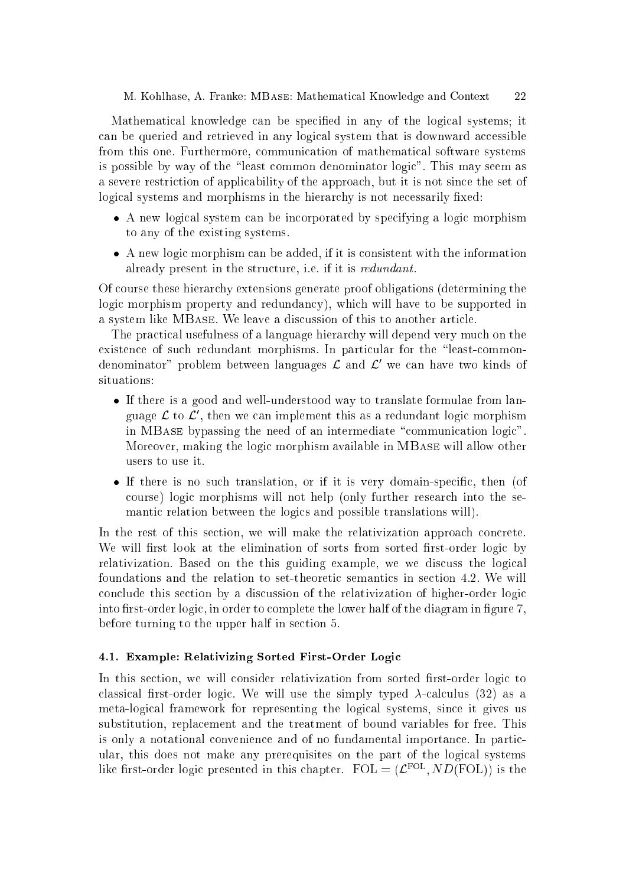Mathematical knowledge can be specified in any of the logical systems; it can be queried and retrieved in any logical system that is downward accessible from this one. Furthermore, ommuni
ation of mathemati
al software systems is possible by way of the "least common denominator logic". This may seem as a severe restriction of applicability of the approach, but it is not since the set of logical systems and morphisms in the hierarchy is not necessarily fixed:

- al system and a logic contract the interesting and a logically contract to the contract of the contract of the to any of the existing systems.
- an be added, if it is it is interesting to it is it is a consistent with the interesting the information of th already present in the structure, i.e. if it is redundant.

Of ourse these hierar
hy extensions generate proof obligations (determining the logic morphism property and redundancy), which will have to be supported in a system like MBase. We leave a dis
ussion of this to another arti
le.

The practical usefulness of a language hierarchy will depend very much on the existence of such redundant morphisms. In particular for the "least-commondenominator – problem between languages  $\boldsymbol{\mathcal{L}}$  and  $\boldsymbol{\mathcal{L}}$  we can have two kinds of situations:

- If there is a good and well-understood way to translate formulae from language  $L$  to  $L$  , then we can implement this as a redundant logic morphism in MBASE bypassing the need of an intermediate "communication logic". Moreover, making the logi morphism available in MBase will allow other users to use it.
- If there is no support in the interesting of its very domain-species  $\mathbf{r}$  is very domain-species of  $\mathbf{r}$ ourse) logi morphisms will not help (only further resear
h into the semantic relation between the logics and possible translations will).

In the rest of this section, we will make the relativization approach concrete. We will first look at the elimination of sorts from sorted first-order logic by relativization. Based on the this guiding example, we we discuss the logical foundations and the relation to set-theoretic semantics in section 4.2. We will on
lude this se
tion by a dis
ussion of the relativization of higher-order logi into first-order logic, in order to complete the lower half of the diagram in figure 7, before turning to the upper half in section 5.

## 4.1. Example: Relativizing Sorted First-Order Logi

In this section, we will consider relativization from sorted first-order logic to classical first-order logic. We will use the simply typed  $\lambda$ -calculus (32) as a meta-logi
al framework for representing the logi
al systems, sin
e it gives us substitution, repla
ement and the treatment of bound variables for free. This is only a notational onvenien
e and of no fundamental importan
e. In parti
 ular, this does not make any prerequisites on the part of the logical systems like first-order logic presented in this chapter.  $FOL = (L^{FOL}, ND(FOL))$  is the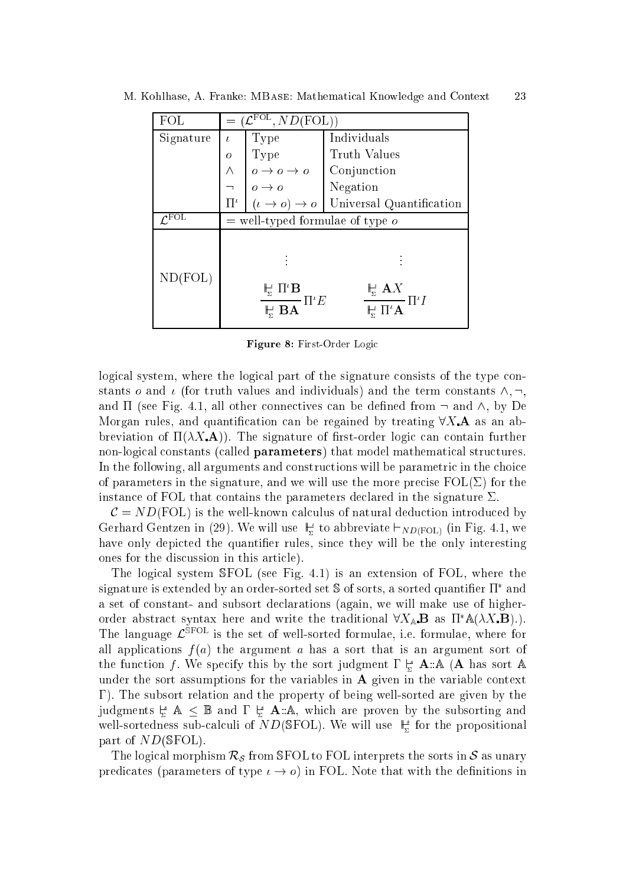| FOL                        | $=$ $(\mathcal{L}^{\text{FOL}}, ND(\text{FOL}))$                                                                                                                                                                                                                                                                                                                |                                       |                                                      |
|----------------------------|-----------------------------------------------------------------------------------------------------------------------------------------------------------------------------------------------------------------------------------------------------------------------------------------------------------------------------------------------------------------|---------------------------------------|------------------------------------------------------|
| Signature                  | $\iota$                                                                                                                                                                                                                                                                                                                                                         | Type                                  | Individuals                                          |
|                            | $\overline{O}$                                                                                                                                                                                                                                                                                                                                                  |                                       |                                                      |
|                            |                                                                                                                                                                                                                                                                                                                                                                 |                                       |                                                      |
|                            |                                                                                                                                                                                                                                                                                                                                                                 |                                       |                                                      |
|                            | $\Pi^{\iota}$                                                                                                                                                                                                                                                                                                                                                   |                                       |                                                      |
| $\mathcal{L}^{\text{FOL}}$ | Type<br>$o \rightarrow o \rightarrow o$<br>$\begin{array}{c} \text{Truth Values} \\ o \rightarrow o \rightarrow o \\ \text{Population} \\ (t \rightarrow o) \rightarrow o \end{array}$<br>$\begin{array}{c} \text{Truth Values} \\ \text{Conjunction} \\ \text{Negation} \\ \text{Universal Quantification} \end{array}$<br>$=$ well-typed formulae of type $o$ |                                       |                                                      |
|                            |                                                                                                                                                                                                                                                                                                                                                                 |                                       |                                                      |
|                            |                                                                                                                                                                                                                                                                                                                                                                 |                                       |                                                      |
| ND(FOL)                    |                                                                                                                                                                                                                                                                                                                                                                 |                                       |                                                      |
|                            |                                                                                                                                                                                                                                                                                                                                                                 | $\mathbb{E} \prod^{\iota} \mathbf{B}$ | $\mathbb{E}$ $\mathbf{A}X$                           |
|                            |                                                                                                                                                                                                                                                                                                                                                                 | – $\Pi^{\iota}E$                      | $\frac{1}{\mathbb{H} \cdot \Pi \cdot A} \Pi \cdot I$ |
|                            |                                                                                                                                                                                                                                                                                                                                                                 |                                       |                                                      |

M. Kohlhase, A. Franke: MBase: Mathemati
al Knowledge and Context 23

Figure 8: First-Order Logi

logical system, where the logical part of the signature consists of the type constants o and  $\iota$  (for truth values and individuals) and the term constants  $\wedge$ ,  $\neg$ . and  $\Pi$  (see Fig. 4.1, all other connectives can be defined from  $\neg$  and  $\wedge$ , by De Morgan rules, and quantification can be regained by treating  $\forall X \cdot \mathbf{A}$  as an abbreviation of  $\Pi(\lambda X \mathbf{A})$ . The signature of first-order logic can contain further non-logical constants (called **parameters**) that model mathematical structures. In the following, all arguments and constructions will be parametric in the choice of parameters in the signature, and we will use the more precise  $FOL(\Sigma)$  for the instance of FOL that contains the parameters declared in the signature  $\Sigma$ .

e tion is the well-known all the well-known introduced all the second control to the second of  $\mathcal{C}$ Gerhard Gentzen in (29). We will use  $\frac{1}{k_2}$  to abbreviate  $\sqsubset_{ND(FOL)}$  (in Fig. 4.1, we have only depicted the quantifier rules, since they will be the only interesting ones for the discussion in this article).

The logical system SFOL (see Fig. 4.1) is an extension of FOL, where the signature is extended by an order-sorted set  $S$  of sorts, a sorted quantifier  $\Pi^*$  and a set of onstant- and subsort de
larations (again, we will make use of higherorder abstract syntax here and write the traditional  $\forall X_{\mathbb{A}}\mathbf{B}$  as  $\Pi^*\mathbb{A}(\lambda X.\mathbf{B}).$ The language  $\mathcal{L}^{\text{SFOL}}$  is the set of well-sorted formulae, i.e. formulae, where for all applications  $f(a)$  the argument a has a sort that is an argument sort of the function f. We specify this by the sort judgment  $\Gamma \xi$  A::A (A has sort A under the sort assumptions for the variables in  $A$  given in the variable context ). The subsort relation and the property of being well-sorted are given by the judgments  $\frac{1}{2}$  A  $\leq$  B and  $\Gamma$   $\frac{1}{2}$  A::A, which are proven by the subsorting and well-sortedness sub-calculi of  $ND(\text{SFOL})$ . We will use  $\frac{1}{\sqrt{2}}$  for the propositional part of  $ND(\text{SFOL})$ .

The logical morphism  $\mathcal{R}_{\mathcal{S}}$  from SFOL to FOL interprets the sorts in  $\mathcal{S}$  as unary predicates (parameters of type  $\iota \to o$ ) in FOL. Note that with the definitions in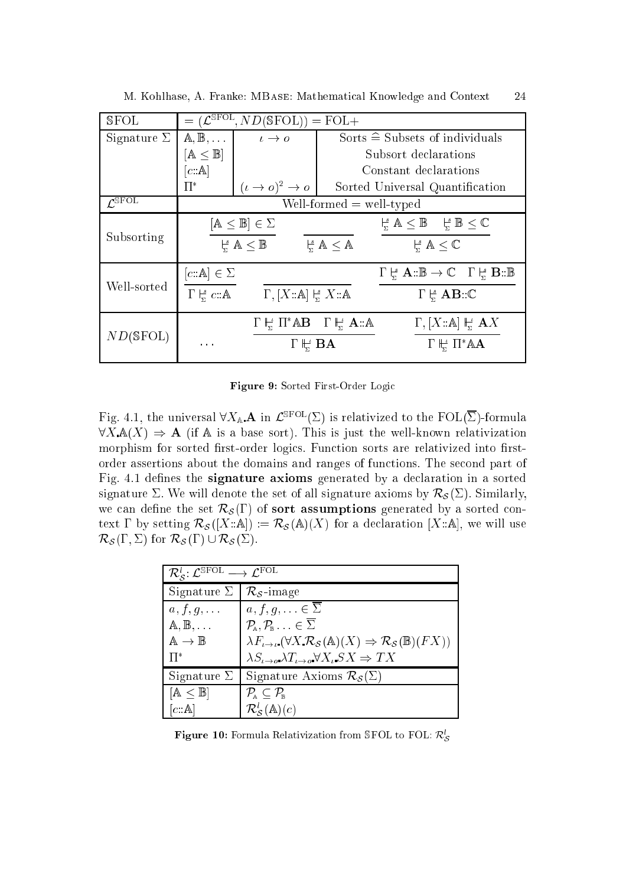| <b>SFOL</b>                 | $= (\mathcal{L}^{\mathbb{S}\overline{\text{FOL}}}$<br>$(ND(SFOL)) = FOL +$ |                                                                                           |                                            |                       |                                                                                                                                                            |
|-----------------------------|----------------------------------------------------------------------------|-------------------------------------------------------------------------------------------|--------------------------------------------|-----------------------|------------------------------------------------------------------------------------------------------------------------------------------------------------|
| Signature $\Sigma$          | $A, B, \ldots$                                                             | $\iota \to o$                                                                             |                                            |                       | Sorts $\hat{=}$ Subsets of individuals                                                                                                                     |
|                             | $\mathbb{A} \leq \mathbb{B}$                                               |                                                                                           |                                            | Subsort declarations  |                                                                                                                                                            |
|                             | [c::A]                                                                     |                                                                                           |                                            | Constant declarations |                                                                                                                                                            |
|                             | $\Pi^*$                                                                    | $(\iota \to o)^2 \to o$                                                                   |                                            |                       | Sorted Universal Quantification                                                                                                                            |
| $\mathcal{L}^{\text{SFOL}}$ | $Well-formed = well-typeed$                                                |                                                                                           |                                            |                       |                                                                                                                                                            |
|                             |                                                                            | $[A \leq \mathbb{B}] \in \Sigma$                                                          |                                            |                       | $\n  \n  \in \mathbb{A} \leq \mathbb{B} \n  \n  \in \mathbb{B} \leq \mathbb{C}$                                                                            |
| Subsorting                  |                                                                            | $\frac{1}{2} \mathbb{A} \leq \mathbb{B}$                                                  | $\frac{s}{b}$ $\mathbb{A} \leq \mathbb{A}$ |                       | $L^s$ $\mathbb{A} \leq \mathbb{C}$                                                                                                                         |
|                             | $[c::A] \in \Sigma$                                                        |                                                                                           |                                            |                       | $\Gamma \vdash_{\Sigma}^{\mathscr{E}} \mathbf{A} \colon \mathbb{B} \to \mathbb{C} \quad \Gamma \vdash_{\Sigma}^{\mathscr{E}} \mathbf{B} \colon \mathbb{B}$ |
| Well-sorted                 | $\Gamma \vdash c : A$                                                      | $\Gamma$ , $[X:\mathbb{A}] \stackrel{s}{\in} X:\mathbb{A}$                                |                                            |                       | $\Gamma \models A B :: \mathbb{C}$                                                                                                                         |
| $ND$ (SFOL)                 |                                                                            | $\Gamma \models \Pi^* \mathbb{A} \mathbf{B} \quad \Gamma \models \mathbf{A} : \mathbb{A}$ |                                            |                       | $\Gamma, [X:\mathbb{A}] \models AX$                                                                                                                        |
|                             | .                                                                          | $\Gamma \models BA$                                                                       |                                            |                       | $\Gamma \vdash \Pi^* A A$                                                                                                                                  |

M. Kohlhase, A. Franke: MBASE: Mathematical Knowledge and Context

Figure 9: Sorted First-Order Logic

Fig. 4.1, the universal  $\forall X_{\mathbb{A}}.\mathbf{A}$  in  $\mathcal{L}^{\text{SFOL}}(\Sigma)$  is relativized to the FOL $(\overline{\Sigma})$ -formula  $\forall X \mathbb{A}(X) \Rightarrow A$  (if A is a base sort). This is just the well-known relativization morphism for sorted first-order logics. Function sorts are relativized into firstorder assertions about the domains and ranges of functions. The second part of Fig. 4.1 defines the **signature axioms** generated by a declaration in a sorted signature  $\Sigma$ . We will denote the set of all signature axioms by  $\mathcal{R}_{\mathcal{S}}(\Sigma)$ . Similarly, we can define the set  $\mathcal{R}_{\mathcal{S}}(\Gamma)$  of sort assumptions generated by a sorted context  $\Gamma$  by setting  $\mathcal{R}_{\mathcal{S}}([X:\mathbb{A}]) := \mathcal{R}_{\mathcal{S}}(\mathbb{A})(X)$  for a declaration  $[X:\mathbb{A}],$  we will use  $\mathcal{R}_{\mathcal{S}}(\Gamma, \Sigma)$  for  $\mathcal{R}_{\mathcal{S}}(\Gamma) \cup \mathcal{R}_{\mathcal{S}}(\Sigma)$ .

| $\mathcal{R}_s^l: \mathcal{L}^{\text{SPOL}} \longrightarrow \overline{\mathcal{L}^{\text{FOL}}}$ |                                                                                                                                          |
|--------------------------------------------------------------------------------------------------|------------------------------------------------------------------------------------------------------------------------------------------|
| Signature $\Sigma$                                                                               | $\mathcal{R}_{\mathcal{S}}$ -image                                                                                                       |
| $a, f, g, \ldots$                                                                                | $a, f, g, \ldots \in \overline{\Sigma}$                                                                                                  |
| $A, B, \ldots$                                                                                   | $\mathcal{P}_{A}, \mathcal{P}_{B}, \ldots \in \overline{\Sigma}$                                                                         |
| $\mathbb{A} \to \mathbb{B}$                                                                      | $\lambda F_{\iota \to \iota}(\forall X. \mathcal{R}_{\mathcal{S}}(\mathbb{A})(X) \Rightarrow \mathcal{R}_{\mathcal{S}}(\mathbb{B})(FX))$ |
| $\Pi^*$                                                                                          | $\lambda S_{\iota \to o} \lambda T_{\iota \to o} \forall X_{\iota} SX \Rightarrow TX$                                                    |
| Signature $\Sigma$                                                                               | Signature Axioms $\mathcal{R}_{\mathcal{S}}(\Sigma)$                                                                                     |
| $[A \leq \mathbb{B}]$                                                                            | $\mathcal{P}_{\mathbb{A}} \subseteq \mathcal{P}_{\mathbb{B}}$                                                                            |
| [c::A]                                                                                           | $\mathcal{R}_\mathcal{S}^l(\mathbb{A})(c)$                                                                                               |

**Figure 10:** Formula Relativization from SFOL to FOL:  $\mathcal{R}_s^l$ 

24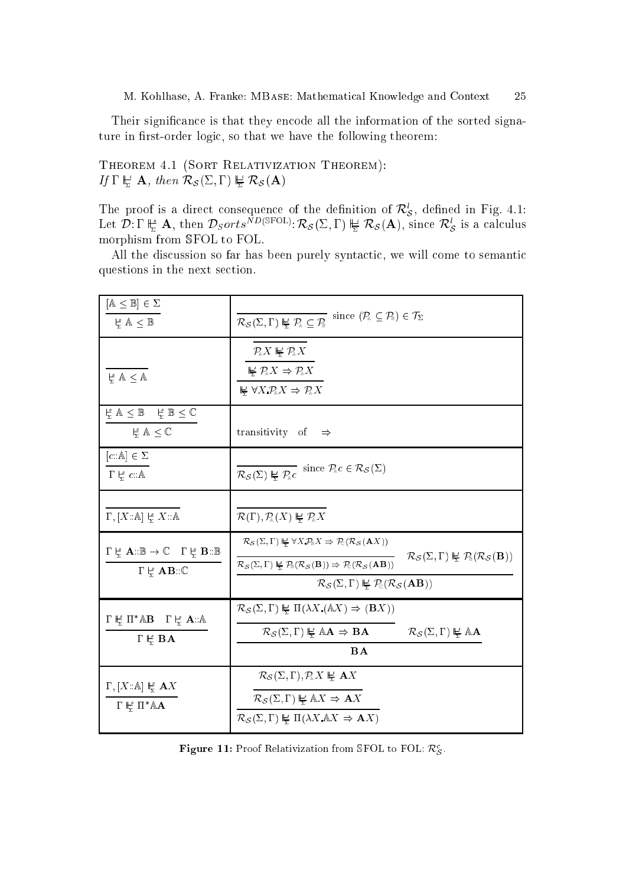Their significance is that they encode all the information of the sorted signature in first-order logic, so that we have the following theorem:

## THEOREM 4.1 (SORT RELATIVIZATION THEOREM): If  $\Gamma \Vdash_{\Sigma} \mathbf{A}$ , then  $\mathcal{R}_{\mathcal{S}}(\Sigma, \Gamma) \vDash \mathcal{R}_{\mathcal{S}}(\mathbf{A})$

The proof is a direct consequence of the definition of  $\mathcal{R}_{\mathcal{S}}^l$ , defined in Fig. 4.1:<br>Let  $\mathcal{D}:\Gamma \Vdash_{\Sigma}^s \mathbf{A}$ , then  $\mathcal{D}_{\mathcal{S}}orts^{ND(SFOL)}: \mathcal{R}_{\mathcal{S}}(\Sigma,\Gamma) \Vdash_{\Sigma}^t \mathcal{R}_{\mathcal{S}}(\mathbf{A})$ , since  $\mathcal{R}_{\mathcal{S}}^l$  morphism from SFOL to FOL.

All the discussion so far has been purely syntactic, we will come to semantic questions in the next section.

| $[A \leq \mathbb{B}] \in \Sigma$<br>$L_n^s \mathbb{A} \leq \mathbb{B}$                                                                                                                                                                                                        | $\mathcal{R}_{\mathcal{S}}(\Sigma,\Gamma)\stackrel{\overbrace{\Vdash}{\models}}{\Vdash\!\!\!\to}\mathcal{P}_{\mathbb{A}}\subseteq\mathcal{P}_{\mathbb{B}}\ \ \mathrm{since}\ (\mathcal{P}_{\mathbb{A}}\subseteq\mathcal{P}_{\mathbb{B}})\in\mathcal{T}_{\Sigma}$                                                                                                                                                                                            |                                                                                                                        |
|-------------------------------------------------------------------------------------------------------------------------------------------------------------------------------------------------------------------------------------------------------------------------------|-------------------------------------------------------------------------------------------------------------------------------------------------------------------------------------------------------------------------------------------------------------------------------------------------------------------------------------------------------------------------------------------------------------------------------------------------------------|------------------------------------------------------------------------------------------------------------------------|
| $\n  \n  < \mathbb{A} \leq \mathbb{A}$                                                                                                                                                                                                                                        | $\mathcal{P}_{\mathbb{A}}X \vDash \mathcal{P}_{\mathbb{A}}X$<br>$L \nightharpoonup R X \Rightarrow P_{\mathbb{A}} X$<br>$L \ncong \forall X \mathcal{P}_{\mathbb{A}} X \Rightarrow \mathcal{P}_{\mathbb{A}} X$                                                                                                                                                                                                                                              |                                                                                                                        |
| $\label{eq:3.1} \begin{array}{ll} \natural^s \mathbb{A} \leq \mathbb{B} & \natural^s \mathbb{B} \leq \mathbb{C} \end{array}$<br>$\n  F\n  F\n  F\n  F\n  F\n  F\n  F\n  F\n  F\n  F\n  F\n  F\n  F\n  F\n  F\n  F\n  F\n  F\n  F\n  F\n  F\n  F\n  F\n  F\n  F\n  F\n  F\n  $ | transitivity of $\Rightarrow$                                                                                                                                                                                                                                                                                                                                                                                                                               |                                                                                                                        |
| $[c::A] \in \Sigma$<br>$\Gamma \models c : A$                                                                                                                                                                                                                                 | $\overline{\mathcal{R}_{\mathcal{S}}(\Sigma) \Vdashq_{\Sigma} \mathcal{P}_{\mathbb{A}} c} \text{ since } \mathcal{P}_{\mathbb{A}} c \in \mathcal{R}_{\mathcal{S}}(\Sigma)$                                                                                                                                                                                                                                                                                  |                                                                                                                        |
| $\Gamma, [X::A] \Leftrightarrow X::A$                                                                                                                                                                                                                                         | $\mathcal{R}(\Gamma), \mathcal{P}_{\mathbb{A}}(X) \not\models \mathcal{P}_{\mathbb{A}} X$                                                                                                                                                                                                                                                                                                                                                                   |                                                                                                                        |
| $\Gamma \underset{\Sigma}{\upharpoonright} \mathbf{A} : \mathbb{B} \to \mathbb{C} \quad \Gamma \underset{\Sigma}{\upharpoonright} \mathbf{B} : \mathbb{B}$<br>$\Gamma \nvdash$ $AB::C$                                                                                        | $\mathcal{R}_{\mathcal{S}}(\Sigma,\Gamma) \not\models \forall X \mathcal{R}_{\mathbb{R}} X \Rightarrow \mathcal{R}(\mathcal{R}_{\mathcal{S}}(\mathbf{A} X))$<br>$\mathcal{R}_{\mathcal{S}}(\Sigma,\Gamma) \not\models \mathcal{R}(\mathcal{R}_{\mathcal{S}}(\mathbf{B})) \Rightarrow \mathcal{R}(\mathcal{R}_{\mathcal{S}}(\mathbf{AB}))$<br>$\mathcal{R}_{\mathcal{S}}(\Sigma,\Gamma) \not\models \mathcal{P}_{\mathbb{C}}(\mathcal{R}_{\mathcal{S}}(AB))$ | $\mathcal{R}_{\mathcal{S}}(\Sigma,\Gamma) \not\models \mathcal{P}_{\mathbb{B}}(\mathcal{R}_{\mathcal{S}}(\mathbf{B}))$ |
| $\Gamma \nightharpoonup$ <b>BA</b>                                                                                                                                                                                                                                            | $\mathcal{R}_{\mathcal{S}}(\Sigma,\Gamma) \not\models \Pi(\lambda X \land \Delta X) \Rightarrow (\mathbf{B}X))$<br>$\mathcal{R}_{\mathcal{S}}(\Sigma,\Gamma) \models \mathbb{A}\mathbf{A} \Rightarrow \mathbf{B}\mathbf{A}$<br>BA                                                                                                                                                                                                                           | $\mathcal{R}_{\mathcal{S}}(\Sigma,\Gamma) \not\models \mathbb{A}\mathbf{A}$                                            |
| $\Gamma$ , $[X::A] \not\models_{\Sigma} \mathbf{A} X$                                                                                                                                                                                                                         | $\mathcal{R}_{\mathcal{S}}(\Sigma,\Gamma),\mathcal{P}_{\mathbb{A}}X \models X$<br>$\mathcal{R}_{\mathcal{S}}(\Sigma,\Gamma) \not\models \mathbb{A} X \Rightarrow \mathbf{A} X$<br>$\mathcal{R}_{\mathcal{S}}(\Sigma,\Gamma) \not\models \Pi(\lambda X \land X \Rightarrow \mathbf{A}X)$                                                                                                                                                                     |                                                                                                                        |

**Figure 11:** Proof Relativization from SFOL to FOL:  $\mathcal{R}_{\mathcal{S}}^c$ .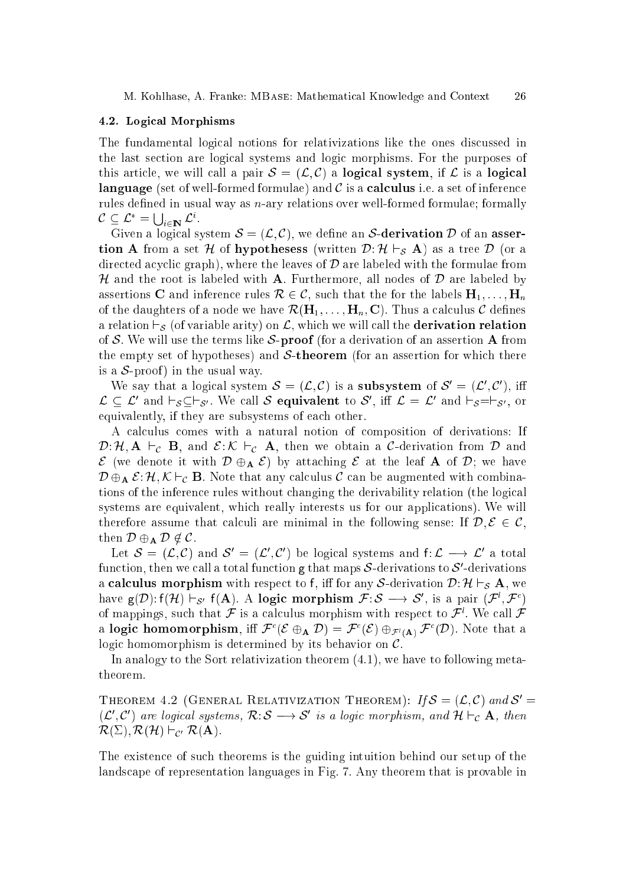## 4.2. Logi
al Morphisms

The fundamental logi
al notions for relativizations like the ones dis
ussed in the last section are logical systems and logic morphisms. For the purposes of this article, we will call a pair  $\mathcal{S} = (\mathcal{L}, \mathcal{C})$  a logical system, if  $\mathcal{L}$  is a logical language (set of well-formed formulae) and  $\mathcal C$  is a calculus i.e. a set of inference rules defined in usual way as  $n$ -ary relations over well-formed formulae; formally  $\mathcal{C} \subseteq \mathcal{L}^* = \bigcup\nolimits_{i \in {\bf N}} \mathcal{L}^i.$ 

Given a logical system  $S = (\mathcal{L}, \mathcal{C})$ , we define an S-derivation D of an assertion A from a set  $\mathcal{A}$  from a set  $\mathcal{B}$  as a tree D  $\mathcal{A}$  as a tree D  $\mathcal{A}$  as a tree D  $\mathcal{A}$ directed acyclic graph), where the leaves of  $\mathcal D$  are labeled with the formulae from H and the root is labeled with A. Furthermore, all nodes of <sup>D</sup> are labeled by assertions C and inference rules  $\mathcal{R} \in \mathcal{C}$ , such that the for the labels  $H_1, \ldots, H_n$ of the daughters of a node we have  $\mathcal{R}(\mathbf{H}_1, \ldots, \mathbf{H}_n, \mathbf{C})$ . Thus a calculus C defines a relation  $\mathcal{S}$  (or variable arity) on L, which will derive an limit arithmetic relation relation  $\mathcal{S}$ of S. We will use the terms like  $S\text{-proof}$  (for a derivation of an assertion A from the empty set of hypotheses) and  $S$ -theorem (for an assertion for which there is a  $S$ -proof) in the usual way.

we say that a logical system  $\delta = (L, C)$  is a **subsystem** of  $\delta = (L, C)$ , in  $L \subseteq L$  and  $\sqsubset_S \sqsubset_{\sqsubset_S} S$ . We call S equivalent to S, if  $L = L$  and  $\sqsubset_S = \sqsubset_{S'}$ , or equivalently, if they are subsystems of ea
h other.

A calculus comes with a natural notion of composition of derivations: If  $\mathcal{L} = \mathcal{L} \mathcal{L} = \mathcal{L} \mathcal{L} = \mathcal{L} \mathcal{L} = \mathcal{L} \mathcal{L}$  then we obtain a C-derivation from D and D and D and D and D and D and D and D and D and D and D and D and D and D and D and D and D and D and D and D and D and  $\varepsilon$  (we denote it with  $D \oplus_A \varepsilon$ ) by attaching  $\varepsilon$  at the leaf  $A$  of  $D$ ; we have  $\nu \oplus_A c : \pi, \kappa \vdash_{\mathcal{C}} \mathbf{D}$ . Note that any calculus  $c$  can be augmented with combinations of the inference rules without changing the derivability relation (the logical systems are equivalent, which really interests us for our applications). We will therefore assume that calculi are minimal in the following sense: If  $\mathcal{D}, \mathcal{E} \in \mathcal{C}$ , then  $\mathcal{D} \oplus_A \mathcal{D} \notin \mathcal{C}$ .

Let  $\phi = (\mathcal{L}, \mathcal{C})$  and  $\phi = (\mathcal{L}, \mathcal{C})$  be logical systems and  $\iota : \mathcal{L} \longrightarrow \mathcal{L}$  a total function, then we call a total function  $g$  that maps  $\mathcal{S}\text{-}\alpha$ erivations to  $\mathcal{S}\text{-}\alpha$ erivations also more to f all and the form in the first contract of the state of the state of the state  $\omega$  and it is have  $g(D)$ :  $f(H) \sqsubset_{S'} f(A)$ . A logic morphism  $f: S \longrightarrow S$ , is a pair  $(f^*, f^*)$ of mappings, such that  ${\cal F}$  is a calculus morphism with respect to  ${\cal F}$  , we call  ${\cal F}$ a logic nomomorphism, if  $\mathcal{F}(\mathcal{E} \oplus_A \mathcal{D}) = \mathcal{F}(\mathcal{E}) \oplus_{\mathcal{F}^l(A)} \mathcal{F}^l(\mathcal{D})$ . Note that a logi homomorphism is determined by its behavior on C.

In analogy to the Sort relativization theorem (4.1), we have to following metatheorem.

THEOREM 4.2 (GENERAL RELATIVIZATION THEOREM): If  $S = (\mathcal{L}, \mathcal{C})$  and  $\mathcal{S}' =$  $(\mathcal{L}\; , \mathcal{C}\;)$  are logical systems,  $\mathcal{R}:\mathcal{S}\longrightarrow\mathcal{S}\;$  is a logic morphism, and  $\mathcal{H}\sqsubset_{\mathcal{C}}\mathbf{A},$  then  $\mathcal{R}(\Sigma)$ ,  $\mathcal{R}(\mathcal{H}) \vdash_{\mathcal{C}'} \mathcal{R}(\mathbf{A})$ .

The existence of such theorems is the guiding intuition behind our setup of the lands
ape of representation languages in Fig. 7. Any theorem that is provable in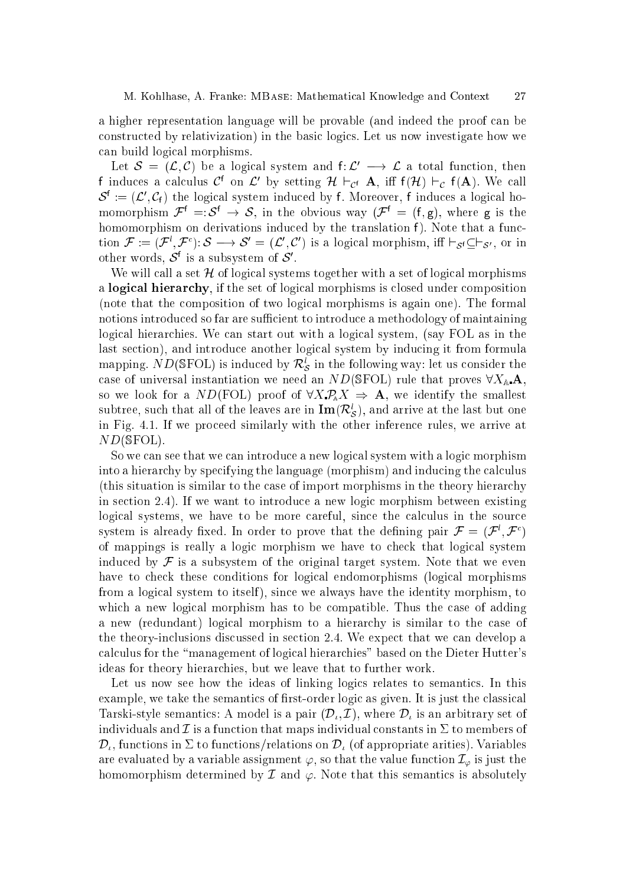a higher representation language will be provable (and indeed the proof can be onstru
ted by relativization) in the basi logi
s. Let us now investigate how we an build logi
al morphisms.

Let  $\mathcal{S} = (\mathcal{L}, \mathcal{C})$  be a logical system and  $f: \mathcal{L}' \longrightarrow \mathcal{L}$  a total function, then i induces a calculus C on L by setting  $\pi \vdash_{\mathcal{C}^f} A$ , in  $(\pi) \vdash_{\mathcal{C}} (\mathbf{A})$ . We call  $\mathcal{S}^+ := (\mathcal{L}^-, \mathcal{C}_f)$  the logical system induced by f. Moreover, f induces a logical nomomorphism  $\mathcal{F}^f = \mathcal{S}^f \rightarrow \mathcal{S}$ , in the obvious way  $(\mathcal{F}^f = (f, g)$ , where  $g$  is the homomorphism on derivations induced by the translation f). Note that a function  $\mathcal{F} := (\mathcal{F}^{\dagger}, \mathcal{F}^{\dagger}) : \mathcal{S} \longrightarrow \mathcal{S}^{\dagger} = (\mathcal{L}, \mathcal{C}^{\dagger})$  is a logical morphism, in  $\sqcap_{\mathcal{S}^{\dagger}} \subseteq \sqcap_{\mathcal{S}^{\dagger}}$ , or in other words,  $\mathcal{S}$  is a subsystem of  $\mathcal{S}$  .

We will call a set  $\mathcal H$  of logical systems together with a set of logical morphisms a **logical hierarchy**, if the set of logical morphisms is closed under composition (note that the omposition of two logi
al morphisms is again one). The formal notions introduced so far are sufficient to introduce a methodology of maintaining logical hierarchies. We can start out with a logical system, (say FOL as in the last section), and introduce another logical system by inducing it from formula mapping.  $ND(\text{SFOL})$  is induced by  $\mathcal{R}^{\iota}_{\mathcal{S}}$  in the following way: let us consider the case of universal instantiation we need an  $ND(\text{SFOL})$  rule that proves  $\forall X_{\mathbb{A}}\mathbf{A}$ , so we look for a  $ND(FOL)$  proof of  $\forall X \cdot P_A X \Rightarrow A$ , we identify the smallest subtree, such that all of the leaves are in  $\mathbf{Im}(\mathcal{K}_{\mathcal{S}}),$  and arrive at the last but one in Fig. 4.1. If we pro
eed similarly with the other inferen
e rules, we arrive at  $ND$ (SFOL).

So we can see that we can introduce a new logical system with a logic morphism into a hierarchy by specifying the language (morphism) and inducing the calculus (this situation is similar to the ase of import morphisms in the theory hierar
hy in se
tion 2.4). If we want to introdu
e a new logi morphism between existing logical systems, we have to be more careful, since the calculus in the source system is already fixed. In order to prove that the defining pair  $\mathcal{F} = (\mathcal{F}, \mathcal{F}^*)$ of mappings is really a logic morphism we have to check that logical system induced by  $\mathcal F$  is a subsystem of the original target system. Note that we even have to check these conditions for logical endomorphisms (logical morphisms from a logical system to itself), since we always have the identity morphism, to which a new logical morphism has to be compatible. Thus the case of adding a new (redundant) logical morphism to a hierarchy is similar to the case of the theory-in
lusions dis
ussed in se
tion 2.4. We expe
t that we an develop a calculus for the "management of logical hierarchies" based on the Dieter Hutter's ideas for theory hierarchies, but we leave that to further work.

Let us now see how the ideas of linking logics relates to semantics. In this example, we take the semantics of first-order logic as given. It is just the classical Tarski-style semantics: A model is a pair  $(\mathcal{D}_{\iota}, \mathcal{I})$ , where  $\mathcal{D}_{\iota}$  is an arbitrary set of individuals and  $\mathcal I$  is a function that maps individual constants in  $\Sigma$  to members of  $\mathcal{D}_{\iota}$ , functions in  $\Sigma$  to functions/relations on  $\mathcal{D}_{\iota}$  (of appropriate arities). Variables are evaluated by a variable assignment  $\varphi$ , so that the value function  $\mathcal{I}_{\varphi}$  is just the homomorphism determined by  $\mathcal I$  and  $\varphi$ . Note that this semantics is absolutely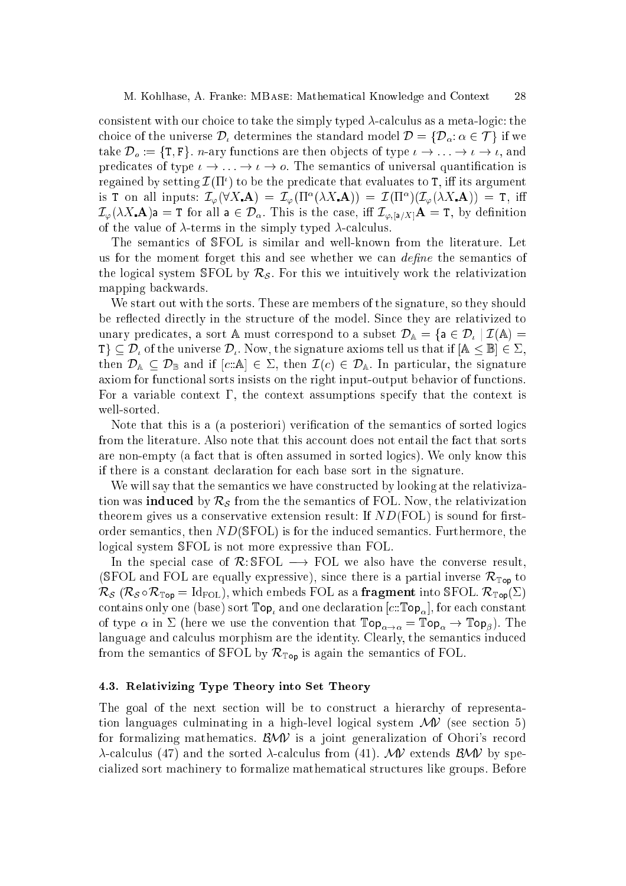consistent with our choice to take the simply typed  $\lambda$ -calculus as a meta-logic: the choice of the universe  $\mathcal{D}_\iota$  determines the standard model  $\mathcal{D} = {\mathcal{D}_\alpha : \alpha \in \mathcal{T}}$  if we take  $\mathcal{D}_o := \{T, F\}$ . *n*-ary functions are then objects of type  $\iota \to \iota \to \iota \to \iota$ , and predicates of type  $\iota \to \ldots \to \iota \to o$ . The semantics of universal quantification is regalitied by setting  $L(T)$  to be the predicate that evaluates to T, in its argument is 1 on an inputs:  $L_{\varphi}(\forall \Lambda \cdot \mathbf{A}) = L_{\varphi}(\Pi \cdot (\Lambda \Lambda \cdot \mathbf{A})) = L(\Pi \cdot ((L_{\varphi}(\Lambda \Lambda \cdot \mathbf{A}))) = 1$ , iii  $\mathcal{I}_{\varphi}(\lambda X. \mathbf{A})$ a = T for all a  $\in \mathcal{D}_{\alpha}$ . This is the case, iff  $\mathcal{I}_{\varphi,[a/X]}$ **A** = T, by definition of the value of  $\lambda$ -terms in the simply typed  $\lambda$ -calculus.

The semanti
s of SFOL is similar and well-known from the literature. Let us for the moment forget this and see whether we can *define* the semantics of the logical system SFOL by  $\mathcal{R}_{\mathcal{S}}$ . For this we intuitively work the relativization mapping ba
kwards.

We start out with the sorts. These are members of the signature, so they should be reflected directly in the structure of the model. Since they are relativized to unary predicates, a sort A must correspond to a subset  $\mathcal{D}_A = \{a \in \mathcal{D}_L | \mathcal{I}(A) =$  $T_{i} \subseteq \mathcal{D}_{i}$  of the universe  $\mathcal{D}_{i}$ . Now, the signature axioms tell us that if  $[A \leq \mathbb{B}] \in \Sigma$ , then  $\mathcal{D}_A \subseteq \mathcal{D}_B$  and if  $[c : A] \in \Sigma$ , then  $\mathcal{I}(c) \in \mathcal{D}_A$ . In particular, the signature axiom for functional sorts insists on the right input-output behavior of functions. For a variable context  $\Gamma$ , the context assumptions specify that the context is well-sorted.

Note that this is a (a posteriori) verification of the semantics of sorted logics from the literature. Also note that this account does not entail the fact that sorts are non-empty (a fact that is often assumed in sorted logics). We only know this if there is a onstant de
laration for ea
h base sort in the signature.

We will say that the semantics we have constructed by looking at the relativization was induced to the semantic semantic contraction to a complete the relativization of  $\sim$ theorem gives us a conservative extension result: If  $ND(FOL)$  is sound for firstorder semantics, then  $ND(\text{SFOL})$  is for the induced semantics. Furthermore, the logi
al system SFOL is not more expressive than FOL.

In the special case of  $\mathcal{R}$ : SFOL  $\longrightarrow$  FOL we also have the converse result, (SFOL and FOL are equally expressive), since there is a partial inverse  $\mathcal{R}_{\text{Top}}$  to  $\mathcal{R}_{\mathcal{S}}$  ( $\mathcal{R}_{\mathcal{S}} \circ \mathcal{R}_{\mathbb{T}_{\text{OD}}}=$  Id<sub>FOL</sub>), which embeds FOL as a **fragment** into SFOL.  $\mathcal{R}_{\mathbb{T}_{\text{OD}}}(\Sigma)$ contains only one (base) sort  $\mathbb{Top}_k$  and one declaration  $[c:\mathbb{Top}_\alpha]$ , for each constant of type  $\alpha$  in  $\Sigma$  (here we use the convention that  $\mathbb{Top}_{\alpha \to \alpha} = \mathbb{Top}_{\alpha} \to \mathbb{Top}_{\beta}$ ). The language and calculus morphism are the identity. Clearly, the semantics induced from the semantics of SFOL by  $\mathcal{R}_{\text{Top}}$  is again the semantics of FOL.

## 4.3. Relativizing Type Theory into Set Theory

The goal of the next section will be to construct a hierarchy of representation languages culminating in a high-level logical system  $\mathcal{MV}$  (see section 5) for formalizing mathematics.  $\mathcal{B} \mathcal{W}$  is a joint generalization of Ohori's record  $\lambda$ -calculus (47) and the sorted  $\lambda$ -calculus from (41). MV extends BMV by speialized sort ma
hinery to formalize mathemati
al stru
tures like groups. Before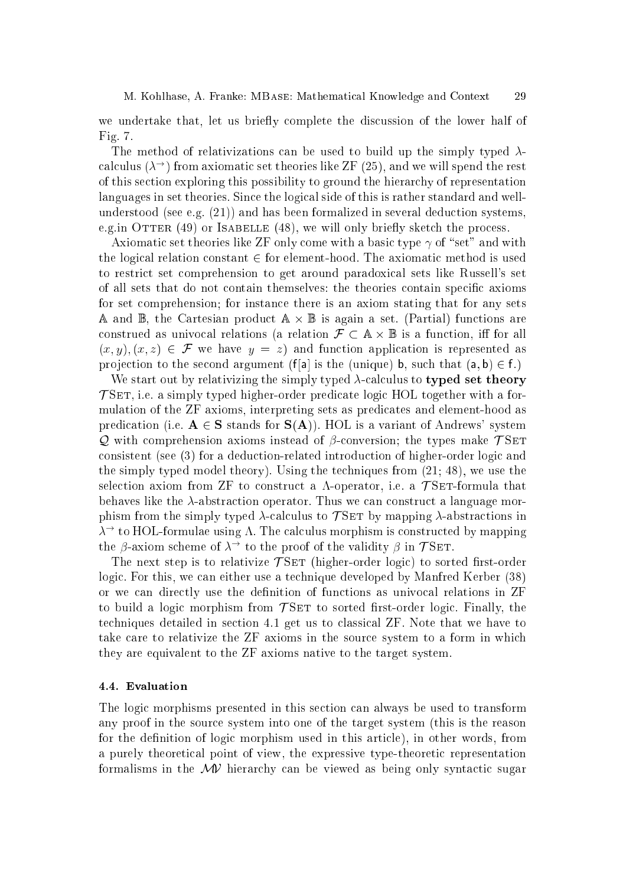we undertake that, let us briefly complete the discussion of the lower half of Fig. 7.

The method of relativizations can be used to build up the simply typed  $\lambda$ calculus ( $\lambda$  ) from axiomatic set theories like  $\Delta$ F ( $\lambda$ 5), and we will spend the rest of this se
tion exploring this possibility to ground the hierar
hy of representation languages in set theories. Since the logical side of this is rather standard and wellunderstood (see e.g. (21)) and has been formalized in several deduction systems, e.g. in OTTER  $(49)$  or ISABELLE  $(48)$ , we will only briefly sketch the process.

Axiomatic set theories like ZF only come with a basic type  $\gamma$  of "set" and with the logical relation constant  $\in$  for element-hood. The axiomatic method is used to restri
t set omprehension to get around paradoxi
al sets like Russell's set of all sets that do not contain themselves: the theories contain specific axioms for set omprehension; for instan
e there is an axiom stating that for any sets A and B, the Cartesian product  $A \times B$  is again a set. (Partial) functions are construed as univocal relations (a relation  $\mathcal{F} \subset \mathbb{A} \times \mathbb{B}$  is a function, iff for all  $(x, y), (x, z) \in \mathcal{F}$  we have  $y = z$ ) and function application is represented as projection to the second argument (f[a] is the (unique) b, such that  $(a, b) \in f$ .)

We start out by relativizing the simply typed  $\lambda$ -calculus to **typed set theory**  $\mathcal{L}$  set, i.e. a simply typed in for-order prediction  $\mathcal{L}$  . To get the simple state  $\mathcal{L}$ mulation of the ZF axioms, interpreting sets as predicates and element-hood as predication (i.e.  $A \in S$  stands for  $S(A)$ ). HOL is a variant of Andrews' system Q with omprehension axioms instead of onversion; the types make <sup>T</sup> Set consistent (see (3) for a deduction-related introduction of higher-order logic and the simply typed model theory). Using the te
hniques from (21; 48), we use the selection axiom from ZF to construct a  $\Lambda$ -operator, i.e. a  $\mathcal{T}$ SET-formula that behaves like the  $\lambda$ -abstraction operator. Thus we can construct a language morphism from the simply typed  $\lambda$ -calculus to TSET by mapping  $\lambda$ -abstractions in  $\lambda$  to HOL-formulae using  $\Lambda$ . The calculus morphism is constructed by mapping the p-axiom scheme of  $\lambda$  to the proof of the validity p in TSET.

The next step is to relativize  $\mathcal{T}$ SET (higher-order logic) to sorted first-order logic. For this, we can either use a technique developed by Manfred Kerber (38) or we can directly use the definition of functions as univocal relations in ZF to build a logic morphism from TSET to sorted first-order logic. Finally, the techniques detailed in section 4.1 get us to classical ZF. Note that we have to take are to relativize the ZF axioms in the sour
e system to a form in whi
h they are equivalent to the ZF axioms native to the target system.

#### 4.4. Evaluation

The logi morphisms presented in this se
tion an always be used to transform any proof in the sour
e system into one of the target system (this is the reason for the definition of logic morphism used in this article), in other words, from a purely theoretical point of view, the expressive type-theoretic representation formalisms in the  $\mathcal{M}$  hierarchy can be viewed as being only syntactic sugar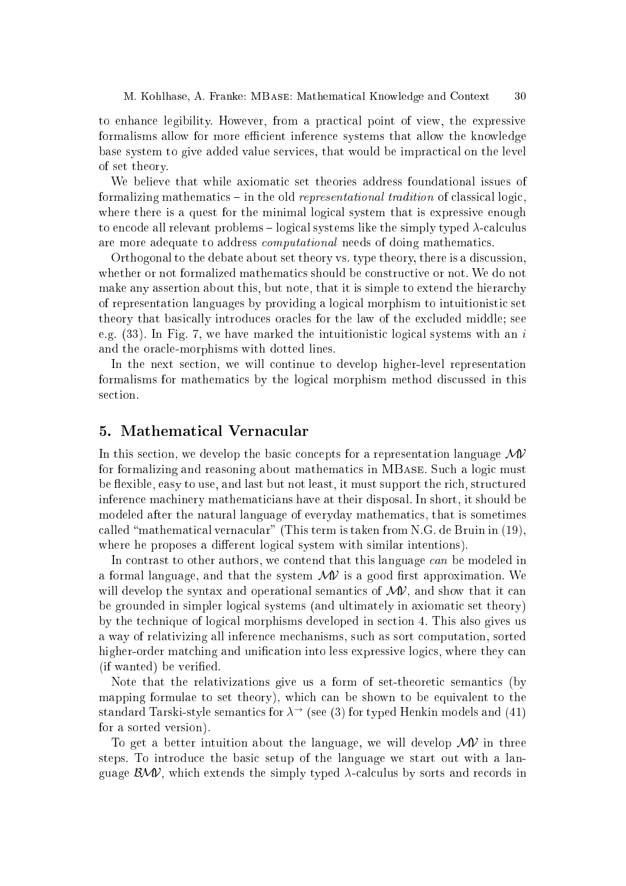to enhance legibility. However, from a practical point of view, the expressive formalisms allow for more efficient inference systems that allow the knowledge base system to give added value servi
es, that would be impra
ti
al on the level of set theory.

We believe that while axiomatic set theories address foundational issues of formalizing mathematics  $-$  in the old *representational tradition* of classical logic, where there is a quest for the minimal logical system that is expressive enough to encode all relevant problems  $-\logical$  systems like the simply typed  $\lambda$ -calculus are more adequate to address *computational* needs of doing mathematics.

Orthogonal to the debate about set theory vs. type theory, there is a dis
ussion, whether or not formalized mathematics should be constructive or not. We do not make any assertion about this, but note, that it is simple to extend the hierarchy of representation languages by providing a logical morphism to intuitionistic set theory that basi
ally introdu
es ora
les for the law of the ex
luded middle; see e.g.  $(33)$ . In Fig. 7, we have marked the intuitionistic logical systems with an i and the ora
le-morphisms with dotted lines.

In the next section, we will continue to develop higher-level representation formalisms for mathematics by the logical morphism method discussed in this section.

In this section, we develop the basic concepts for a representation language  $\mathcal{M}$ for formalizing and reasoning about mathematics in MBASE. Such a logic must be flexible, easy to use, and last but not least, it must support the rich, structured inference machinery mathematicians have at their disposal. In short, it should be modeled after the natural language of everyday mathemati
s, that is sometimes called "mathematical vernacular" (This term is taken from N.G. de Bruin in (19). where he proposes a different logical system with similar intentions).

In contrast to other authors, we contend that this language can be modeled in a formal language, and that the system  $\mathcal{M}$  is a good first approximation. We will develop the syntax and operational semantics of  $\mathcal{M}$ , and show that it can be grounded in simpler logical systems (and ultimately in axiomatic set theory) by the te
hnique of logi
al morphisms developed in se
tion 4. This also gives us a way of relativizing all inferen
e me
hanisms, su
h as sort omputation, sorted higher-order matching and unification into less expressive logics, where they can (if wanted) be verified.

Note that the relativizations give us a form of set-theoretic semantics (by mapping formulae to set theory), which can be shown to be equivalent to the standard Tarski-style semantics for  $\lambda^+$  (see (3) for typed Henkin models and (41) for a sorted version).

To get a better intuition about the language, we will develop  $\mathcal{M}V$  in three steps. To introdu
e the basi setup of the language we start out with a language  $\beta \mathcal{W}$ , which extends the simply typed  $\lambda$ -calculus by sorts and records in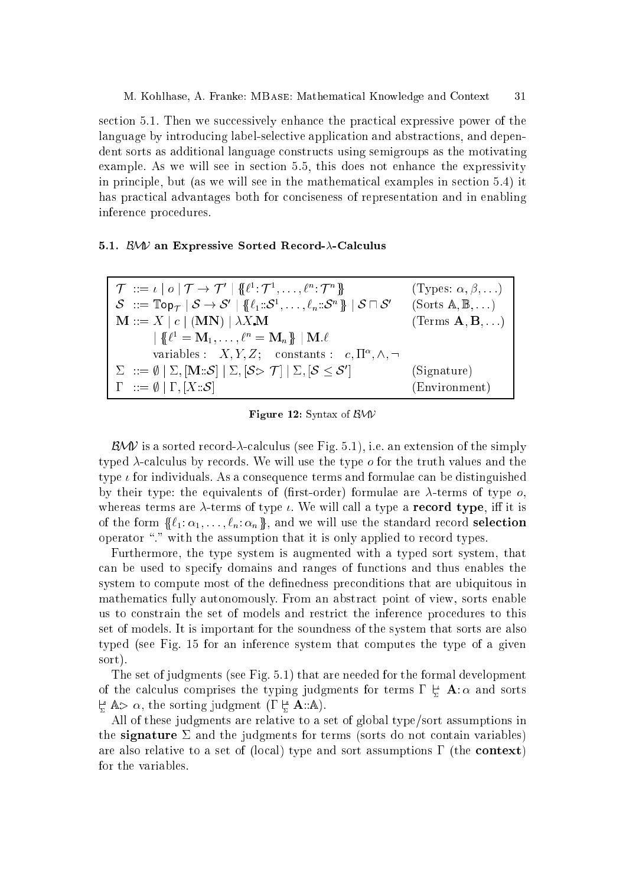section 5.1. Then we successively enhance the practical expressive power of the language by introducing label-selective application and abstractions, and dependent sorts as additional language constructs using semigroups as the motivating example. As we will see in section 5.5, this does not enhance the expressivity in principle, but (as we will see in the mathematical examples in section 5.4) it has practical advantages both for conciseness of representation and in enabling inference procedures.

#### 5.1.  $B\mathcal{W}$  an Expressive Sorted Record- $\lambda$ -Calculus

| $\mathcal{T}$ ::= $\iota \mid o \mid \mathcal{T} \rightarrow \mathcal{T}' \mid \{\!\!\{\ell^1\colon \mathcal{T}^1,\ldots,\ell^n\colon \mathcal{T}^n\}\!\!\}$                                  | (Types: $\alpha, \beta, \ldots$ )        |
|-----------------------------------------------------------------------------------------------------------------------------------------------------------------------------------------------|------------------------------------------|
| $\mathcal{S}$ ::= $\mathbb{Top}_{\tau}$   $\mathcal{S} \rightarrow \mathcal{S}'$   $\{\ell_1 \colon \mathcal{S}^1, \ldots, \ell_n \colon \mathcal{S}^n\}$   $\mathcal{S} \sqcap \mathcal{S}'$ | $(Sorts A, B, \ldots)$                   |
| $\mathbf{M} ::= X \mid c \mid (\mathbf{MN}) \mid \lambda X \mathbf{M}$                                                                                                                        | $(Terms \mathbf{A}, \mathbf{B}, \ldots)$ |
| $\{ \mathcal{E}^1 = \mathbf{M}_1, \ldots, \ell^n = \mathbf{M}_n \} \mid \mathbf{M}.\ell$                                                                                                      |                                          |
| variables : $X, Y, Z$ ; constants : $c, \Pi^{\alpha}, \wedge, \neg$                                                                                                                           |                                          |
| $\Sigma$ ::= $\emptyset$   $\Sigma$ , $[M:\mathcal{S}]$   $\Sigma$ , $[\mathcal{S} > \mathcal{T}]$   $\Sigma$ , $[\mathcal{S} \leq \mathcal{S}']$                                             | (Signature)                              |
| $\Gamma$ ::= $\emptyset$   $\Gamma$ , $[X:\mathcal{S}]$                                                                                                                                       | (Environment)                            |

Figure 12: Syntax of  $B\mathcal{W}$ 

 $\mathcal{B}\mathcal{W}$  is a sorted record- $\lambda$ -calculus (see Fig. 5.1), i.e. an extension of the simply typed  $\lambda$ -calculus by records. We will use the type  $\sigma$  for the truth values and the type  $\iota$  for individuals. As a consequence terms and formulae can be distinguished by their type: the equivalents of (first-order) formulae are  $\lambda$ -terms of type  $\rho$ . whereas terms are  $\lambda$ -terms of type  $\iota$ . We will call a type a **record type**, iff it is of the form  $\{\ell_1:\alpha_1,\ldots,\ell_n:\alpha_n\}$ , and we will use the standard record **selection** operator "." with the assumption that it is only applied to record types.

Furthermore, the type system is augmented with a typed sort system, that can be used to specify domains and ranges of functions and thus enables the system to compute most of the definedness preconditions that are ubiquitous in mathematics fully autonomously. From an abstract point of view, sorts enable us to constrain the set of models and restrict the inference procedures to this set of models. It is important for the soundness of the system that sorts are also typed (see Fig. 15 for an inference system that computes the type of a given sort).

The set of judgments (see Fig. 5.1) that are needed for the formal development of the calculus comprises the typing judgments for terms  $\Gamma \not\models A$ :  $\alpha$  and sorts  $\frac{1}{\lambda_1}$  A>  $\alpha$ , the sorting judgment ( $\Gamma \vdash R : A : A$ ).

All of these judgments are relative to a set of global type/sort assumptions in the **signature**  $\Sigma$  and the judgments for terms (sorts do not contain variables) are also relative to a set of (local) type and sort assumptions  $\Gamma$  (the **context**) for the variables.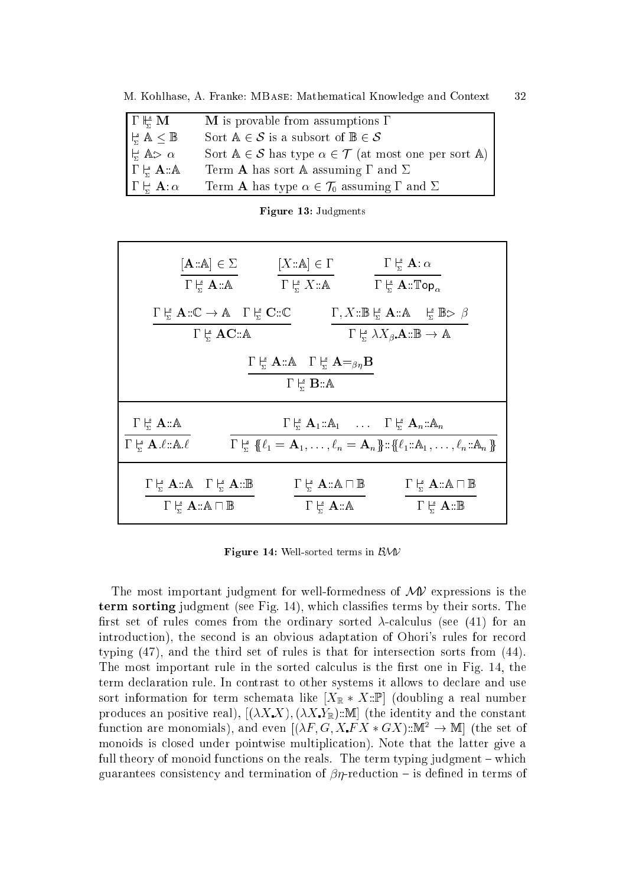M. Kohlhase, A. Franke: MBASE: Mathematical Knowledge and Context

| $\mid \Gamma \Vdash_{\scriptscriptstyle{\Sigma}}^{\!\!\!\!\!\!\!\!\!\circ} \mathbf{M}$ | $\bf{M}$ is provable from assumptions $\Gamma$                                      |
|----------------------------------------------------------------------------------------|-------------------------------------------------------------------------------------|
| $\vert \vdash_{\Sigma} A \leq \mathbb{B}$                                              | Sort $A \in \mathcal{S}$ is a subsort of $\mathbb{B} \in \mathcal{S}$               |
| $\vert \frac{\mathsf{L}}{\Sigma} \mathbb{A} > \alpha \vert$                            | Sort $A \in \mathcal{S}$ has type $\alpha \in \mathcal{T}$ (at most one per sort A) |
| $\Gamma \vdash_{\Sigma}^s \mathbf{A} :: \mathbb{A}$                                    | Term <b>A</b> has sort A assuming $\Gamma$ and $\Sigma$                             |
| $\Gamma \vdash A : \alpha$                                                             | Term <b>A</b> has type $\alpha \in \mathcal{T}_0$ assuming $\Gamma$ and $\Sigma$    |

| <b>Figure 13: Judgments</b> |  |
|-----------------------------|--|
|-----------------------------|--|

| $[\mathbf{A} : A] \in \Sigma$<br>$\Gamma \vdash^s \mathbf{A} : A$                                                                                                                                                                                                                                                                                 | $[X:\mathbb{A}] \in \Gamma$<br>$\Gamma \models X : A$              | $\Gamma \models_{\Sigma} \mathbf{A} : \alpha$<br>$\Gamma \models A : Top_{\alpha}$                                                                                                                                                                              |  |
|---------------------------------------------------------------------------------------------------------------------------------------------------------------------------------------------------------------------------------------------------------------------------------------------------------------------------------------------------|--------------------------------------------------------------------|-----------------------------------------------------------------------------------------------------------------------------------------------------------------------------------------------------------------------------------------------------------------|--|
| $\Gamma \vdash_{\Sigma}^s \mathbf{A} : \mathbb{C} \to \mathbb{A} \quad \Gamma \vdash_{\Sigma}^s \mathbf{C} : \mathbb{C}$<br>$\Gamma \models AC : A$                                                                                                                                                                                               |                                                                    | $\Gamma, X \mathrel{\mathop{:}}\mathbb{B} \models_{\Sigma} \mathbf{A} \mathrel{\mathop{:}}\mathbb{A} \quad \models_{\Sigma} \mathbb{B} \triangleright \beta$<br>$\Gamma \vdash_{\Sigma}^{\mathscr{S}} \lambda X_{\beta} \mathbf{A} : \mathbb{B} \to \mathbb{A}$ |  |
| $\Gamma \models$ <b>A</b> :: A $\Gamma \models$ <b>A</b> $=$ $\beta \eta$ <b>B</b><br>$\Gamma \models \mathbf{B} : A$                                                                                                                                                                                                                             |                                                                    |                                                                                                                                                                                                                                                                 |  |
| $\Gamma \models A : A$<br>$\Gamma \vdash_{\Sigma}^s \mathbf{A}_1 : \mathbb{A}_1 \quad \ldots \quad \Gamma \vdash_{\Sigma}^s \mathbf{A}_n : \mathbb{A}_n$<br>$\Gamma \xi \{ \ell_1 = \mathbf{A}_1, \ldots, \ell_n = \mathbf{A}_n \}$ : $\{ \ell_1 : A_1, \ldots, \ell_n : A_n \}$<br>$\Gamma \vdash_{\nabla}^s \mathbf{A}.\ell :: \mathbb{A}.\ell$ |                                                                    |                                                                                                                                                                                                                                                                 |  |
| $\Gamma \models A : A \quad \Gamma \models A : B$<br>$\Gamma \not\models A : A \sqcap B$                                                                                                                                                                                                                                                          | $\Gamma \vdash A : A \sqcap B$<br>$\Gamma \vdash^s \mathbf{A} : A$ | $\Gamma \vdash_{\Sigma}^{\mathscr{B}} \mathbf{A} : A \sqcap \mathbb{B}$<br>$\Gamma \models A : B$                                                                                                                                                               |  |

Figure 14: Well-sorted terms in  $B\mathcal{W}$ 

The most important judgment for well-formedness of  $\mathcal{M}\mathcal{V}$  expressions is the term sorting judgment (see Fig. 14), which classifies terms by their sorts. The first set of rules comes from the ordinary sorted  $\lambda$ -calculus (see (41) for an introduction), the second is an obvious adaptation of Ohori's rules for record typing  $(47)$ , and the third set of rules is that for intersection sorts from  $(44)$ . The most important rule in the sorted calculus is the first one in Fig. 14, the term declaration rule. In contrast to other systems it allows to declare and use sort information for term schemata like  $[X_{\mathbb{R}} * X : \mathbb{P}]$  (doubling a real number produces an positive real),  $[(\lambda X.X), (\lambda X.Y_{\mathbb{R}}) : \mathbb{M}]$  (the identity and the constant function are monomials), and even  $[(\lambda F, G, X F X * G X) : \mathbb{M}^2 \to \mathbb{M}]$  (the set of monoids is closed under pointwise multiplication). Note that the latter give a full theory of monoid functions on the reals. The term typing judgment – which guarantees consistency and termination of  $\beta\eta$ -reduction – is defined in terms of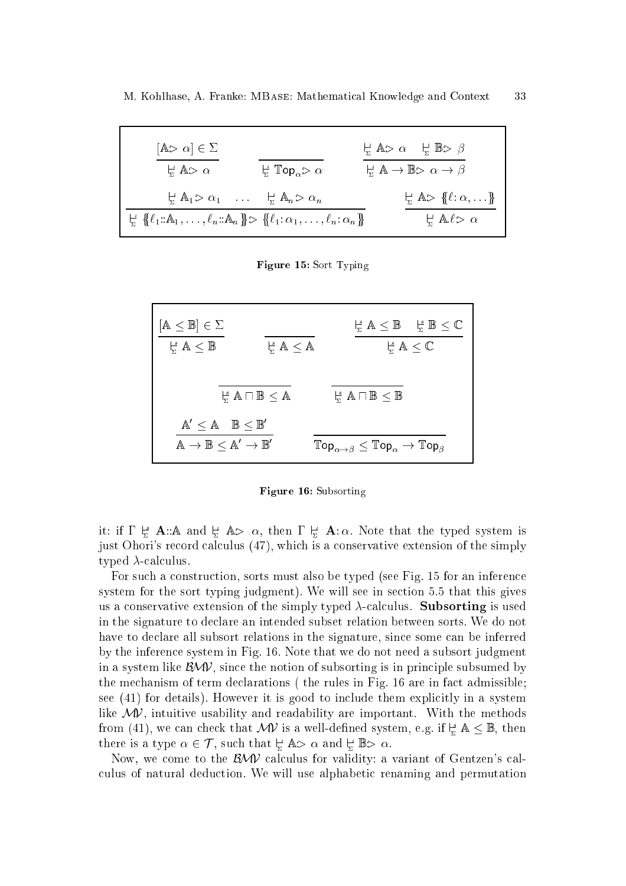| $[A > \alpha] \in \Sigma$                                                                                   |                                                                | $\n  F \land \n  A \land \n  G \land \n  G \land \n  G \land \n  G \land \n  G \land \n  G \land \n  G \land \n  G \land \n  G \land \n  G \land \n  G \land \n  G \land \n  G \land \n  G \land \n  G \land \n  G \land \n  G \land \n  G \land \$ |
|-------------------------------------------------------------------------------------------------------------|----------------------------------------------------------------|-----------------------------------------------------------------------------------------------------------------------------------------------------------------------------------------------------------------------------------------------------|
| $\frac{1}{2}$ A> $\alpha$                                                                                   | $\frac{14}{5}$ Top <sub><math>\alpha</math></sub> $>$ $\alpha$ | $\vdash$ A $\rightarrow$ B $\rightarrow$ $\alpha \rightarrow \beta$                                                                                                                                                                                 |
| $\frac{14}{5}$ A <sub>1</sub> $> \alpha_1$ $\frac{14}{5}$ A <sub>n</sub> $> \alpha_n$                       |                                                                | $\frac{14}{5}$ A> $\{\ell:\alpha,\ldots\}$                                                                                                                                                                                                          |
| $\frac{1}{2} \{ \ell_1 : A_1, \ldots, \ell_n : A_n \} > \{ \ell_1 : \alpha_1, \ldots, \ell_n : \alpha_n \}$ |                                                                | $\frac{1}{2}$ A. $\ell > \alpha$                                                                                                                                                                                                                    |

Figure 15: Sort Typing

| $[A \leq \mathbb{B}] \in \Sigma$<br>$L_{\overline{X}}^s \mathbb{A} \leq \mathbb{B}$                                       | $\n  \n  A\n  A\n$                                           | $\frac{15}{5}$ $\mathbb{A} \leq \mathbb{B}$ $\frac{15}{5}$ $\mathbb{B} \leq \mathbb{C}$<br>$\vdash$ $\mathbb{A} \leq \mathbb{C}$ |
|---------------------------------------------------------------------------------------------------------------------------|--------------------------------------------------------------|----------------------------------------------------------------------------------------------------------------------------------|
|                                                                                                                           | $\n  \frac{1}{2} \mathbb{A} \cap \mathbb{B} \leq \mathbb{A}$ | $\frac{15}{5}$ $\mathbb{A}$ $\Box$ $\mathbb{B}$ $\leq$ $\mathbb{B}$                                                              |
| $\mathbb{A}' < \mathbb{A} \quad \mathbb{B} < \mathbb{B}'$<br>$\mathbb{A} \to \mathbb{B} \leq \mathbb{A}' \to \mathbb{B}'$ |                                                              | $\mathbb{Top}_{\alpha \to \beta} \leq \mathbb{Top}_{\alpha} \to \mathbb{Top}_{\beta}$                                            |

Figure 16: Subsorting

it: if  $\Gamma \xi$  A:: A and  $\xi$  A:  $\alpha$ , then  $\Gamma \xi$  A:  $\alpha$ . Note that the typed system is just Ohori's record calculus (47), which is a conservative extension of the simply typed  $\lambda$ -calculus.

For such a construction, sorts must also be typed (see Fig. 15 for an inference system for the sort typing judgment). We will see in section 5.5 that this gives us a conservative extension of the simply typed  $\lambda$ -calculus. Subsorting is used in the signature to declare an intended subset relation between sorts. We do not have to declare all subsort relations in the signature, since some can be inferred by the inference system in Fig. 16. Note that we do not need a subsort judgment in a system like  $B\mathcal{W}$ , since the notion of subsorting is in principle subsumed by the mechanism of term declarations (the rules in Fig. 16 are in fact admissible; see (41) for details). However it is good to include them explicitly in a system like  $\mathcal{M}$ , intuitive usability and readability are important. With the methods from (41), we can check that  $\mathcal{M}V$  is a well-defined system, e.g. if  $\frac{1}{2}$   $\mathbb{A} \leq \mathbb{B}$ , then there is a type  $\alpha \in \mathcal{T}$ , such that  $\frac{1}{2}$   $\mathbb{A} > \alpha$  and  $\frac{1}{2}$   $\mathbb{B} > \alpha$ .

Now, we come to the  $B\mathcal{W}$  calculus for validity: a variant of Gentzen's calculus of natural deduction. We will use alphabetic renaming and permutation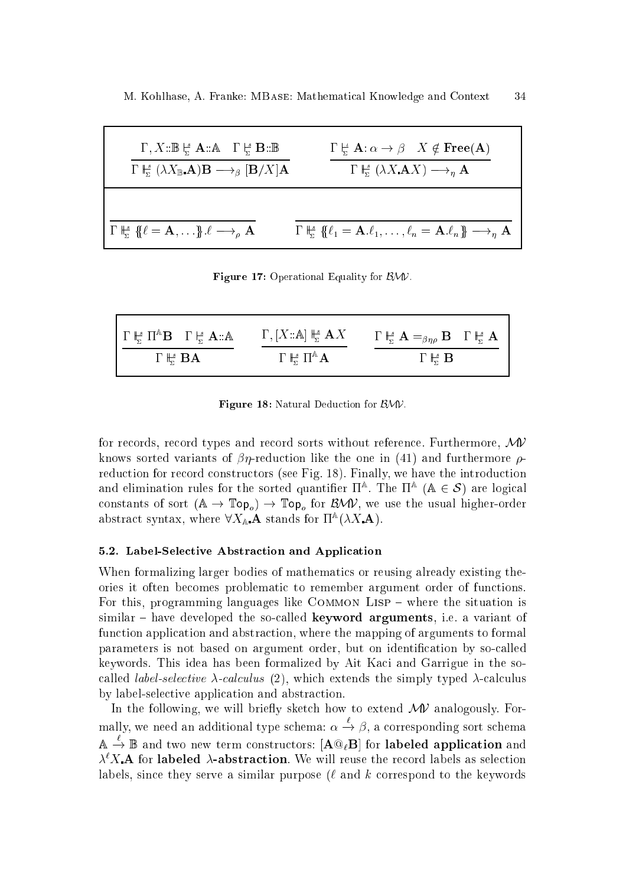$$
\frac{\Gamma, X::\mathbb{B} \underset{\Sigma}{\models} \mathbf{A::A} \quad \Gamma \underset{\Sigma}{\models} \mathbf{B::\mathbb{B}}}{\Gamma \underset{\Sigma}{\models} (\lambda X_{\mathbb{B}}.\mathbf{A})\mathbf{B} \longrightarrow_{\beta} [\mathbf{B}/X] \mathbf{A}} \qquad \qquad \frac{\Gamma \underset{\Sigma}{\models} \mathbf{A}: \alpha \to \beta \quad X \notin \mathbf{Free}(\mathbf{A})}{\Gamma \underset{\Sigma}{\models} (\lambda X.\mathbf{A}X) \longrightarrow_{\eta} \mathbf{A}}
$$
\n
$$
\frac{\Gamma \underset{\Sigma}{\models} (\lambda X.\mathbf{A}X) \longrightarrow_{\eta} \mathbf{A}}{\Gamma \underset{\Sigma}{\models} (\lambda X.\mathbf{A}X) \longrightarrow_{\eta} \mathbf{A}}
$$

Figure 17: Operational Equality for  $B\mathcal{W}$ .

| $\Gamma \models^s \Pi^{\mathbb{A}} \mathbf{B} \quad \Gamma \models^s \mathbf{A} :: \mathbb{A}$ | $\Gamma, [X:\mathbb{A}] \Vdash_{\Sigma} \mathbf{A} X$  | $\Gamma \Vdash_{\Sigma}^{\mathscr{B}} \mathbf{A} =_{\beta\eta\rho} \mathbf{B} \quad \Gamma \Vdash_{\Sigma}^{\mathscr{B}} \mathbf{A}$ |
|------------------------------------------------------------------------------------------------|--------------------------------------------------------|--------------------------------------------------------------------------------------------------------------------------------------|
| $\Gamma \nvdash$ <b>BA</b>                                                                     | $\Gamma \Vdash_{\nabla}^s \Pi^{\mathbb{A}} \mathbf{A}$ | $\Gamma \nvdash B$                                                                                                                   |

Figure 18: Natural Deduction for  $B\mathcal{W}$ .

for records, record types and record sorts without reference. Furthermore, MV knows sorted variants of  $\beta\eta$ -reduction like the one in (41) and furthermore  $\rho$ reduction for record constructors (see Fig. 18). Finally, we have the introduction and elimination rules for the sorted quantifier  $\Pi^{\mathbb{A}}$ . The  $\Pi^{\mathbb{A}}$  ( $\mathbb{A} \in \mathcal{S}$ ) are logical constants of sort  $(A \to Top_{\alpha}) \to Top_{\alpha}$  for  $B\mathcal{M}V$ , we use the usual higher-order abstract syntax, where  $\forall X_{\mathbb{A}}$ **A** stands for  $\Pi^{\mathbb{A}}(\lambda X \mathbf{A})$ .

## 5.2. Label-Sele
tive Abstra
tion and Appli
ation

When formalizing larger bodies of mathematics or reusing already existing theories it often be
omes problemati to remember argument order of fun
tions. For this, programming languages like COMMON LISP  $-$  where the situation is similar – have developed the so-called **keyword arguments**, i.e. a variant of function application and abstraction, where the mapping of arguments to formal parameters is not based on argument order, but on identification by so-called keywords. This idea has been formalized by Ait Kaci and Garrigue in the socalled *label-selective*  $\lambda$ -calculus (2), which extends the simply typed  $\lambda$ -calculus by label-selective application and abstraction.

In the following, we will briefly sketch how to extend  $\mathcal{M}\mathcal{V}$  analogously. Formally, we need an additional type schema:  $\alpha \rightarrow \beta$ , a corresponding sort schema  $\mathbb{A} \xrightarrow{\sim} \mathbb{B}$  and two new term constructors:  $[\mathbf{A} \mathbb{Q}_\ell \mathbf{B}]$  for labeled application and  $\lambda^{\ell} X$  A for labeled  $\lambda$ -abstraction. We will reuse the record labels as selection labels, since they serve a similar purpose  $(\ell \text{ and } k \text{ correspond to the keywords})$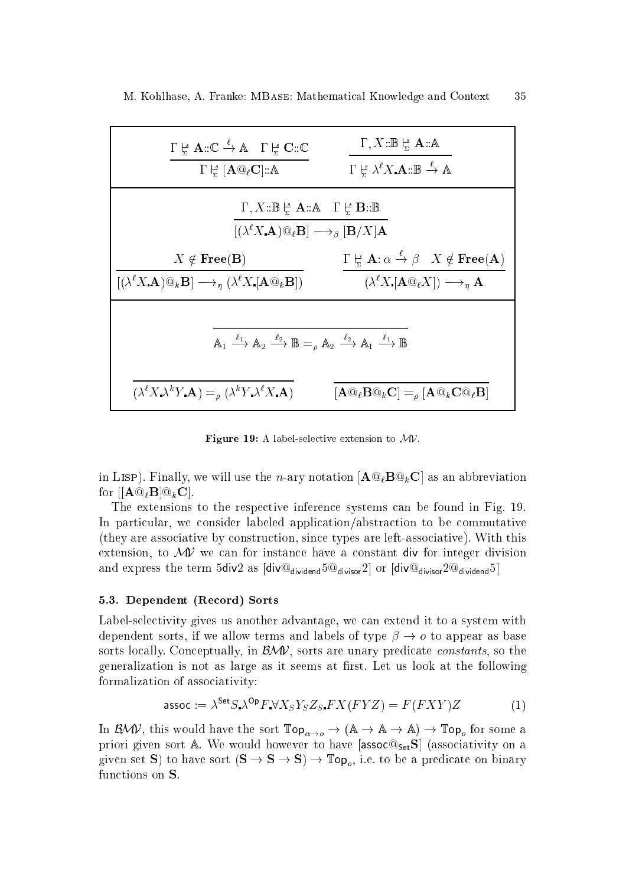| $\Gamma \stackrel{s}{\Vdash} \mathbf{A} : \mathbb{C} \stackrel{\ell}{\to} \mathbb{A} \quad \Gamma \stackrel{s}{\Vdash} \mathbf{C} : \mathbb{C}$<br>$\Gamma \vdash \mathbf{A} \mathbb{Q}_{\ell} \mathbf{C} :: \mathbb{A}$                 | $\Gamma, X \mathbb{B} \models A \mathbb{A}$<br>$\Gamma \vdash^s \lambda^{\ell} X \mathbf{A} : \mathbb{B} \xrightarrow{\ell} \mathbb{A}$ |
|------------------------------------------------------------------------------------------------------------------------------------------------------------------------------------------------------------------------------------------|-----------------------------------------------------------------------------------------------------------------------------------------|
| $\Gamma, X \mathpunct{:}\mathbb{B} \models A \mathpunct{:}\mathbb{A} \quad \Gamma \models B \mathpunct{:}\mathbb{B}$<br>$[(\lambda^{\ell} X \mathbf{A}) \mathbb{Q}_{\ell} \mathbf{B}] \longrightarrow_{\beta} [\mathbf{B}/X] \mathbf{A}$ |                                                                                                                                         |
| $X \notin \text{Free}(B)$                                                                                                                                                                                                                | $\Gamma \models \mathbf{A} : \alpha \xrightarrow{\ell} \beta \quad X \notin \mathbf{Free}(\mathbf{A})$                                  |
| $[(\lambda^{\ell} X. \mathbf{A}) \mathbb{Q}_k \mathbf{B}] \longrightarrow_{\eta} (\lambda^{\ell} X. [\mathbf{A} \mathbb{Q}_k \mathbf{B}])$                                                                                               | $(\lambda^{\ell} X \cdot [\mathbf{A} \otimes_{\ell} X]) \longrightarrow_{\eta} \mathbf{A}$                                              |

 $A_1 \xrightarrow{\ell_1} A_2 \xrightarrow{\ell_2} B =_\rho A_2 \xrightarrow{\ell_2} A_1 \xrightarrow{\ell_1} B$  $(\lambda^{\ell} X. \lambda^{k} Y. \mathbf{A}) =_{\rho} (\lambda^{k} Y. \lambda^{\ell} X. \mathbf{A})$  $\overline{[{\bf A} @_{\ell}{\bf B} @_{k}{\bf C}]} =_{\rho} [{\bf A} @_{k}{\bf C} @_{\ell}{\bf B}]$ 

Figure 19: A label-selective extension to  $\mathcal{MV}$ .

in LISP). Finally, we will use the *n*-ary notation  $[\mathbf{A} \mathbb{Q}_{\ell} \mathbf{B} \mathbb{Q}_{k} \mathbf{C}]$  as an abbreviation for  $[ [A \mathbb{Q}_{\ell} B] \mathbb{Q}_{k} C ]$ .

The extensions to the respective inference systems can be found in Fig. 19. In particular, we consider labeled application/abstraction to be commutative (they are associative by construction, since types are left-associative). With this extension, to  $\mathcal{M}$  we can for instance have a constant div for integer division and express the term 5div2 as  $\left[$  div@dividend5@divisor2 $\right]$  or  $\left[$  div@divisor2@dividend5 $\right]$ 

## 5.3. Dependent (Record) Sorts

Label-selectivity gives us another advantage, we can extend it to a system with dependent sorts, if we allow terms and labels of type  $\beta \to o$  to appear as base sorts locally. Conceptually, in  $B\mathcal{W}$ , sorts are unary predicate *constants*, so the generalization is not as large as it seems at first. Let us look at the following formalization of associativity:

$$
\text{assoc} := \lambda^{\text{Set}} S \cdot \lambda^{\text{Op}} F \cdot \forall X_S Y_S Z_S F X (F Y Z) = F (F X Y) Z \tag{1}
$$

In  $B\mathcal{M}V$ , this would have the sort  $\mathbb{Top}_{\alpha\to\rho}\to(\mathbb{A}\to\mathbb{A}\to\mathbb{A})\to\mathbb{Top}_{\rho}$  for some a priori given sort A. We would however to have [ $\text{assoc@}_{\text{Set}} S$ ] (associativity on a given set S) to have sort  $(S \to S \to S) \to \mathbb{Top}_o$ , i.e. to be a predicate on binary functions on S.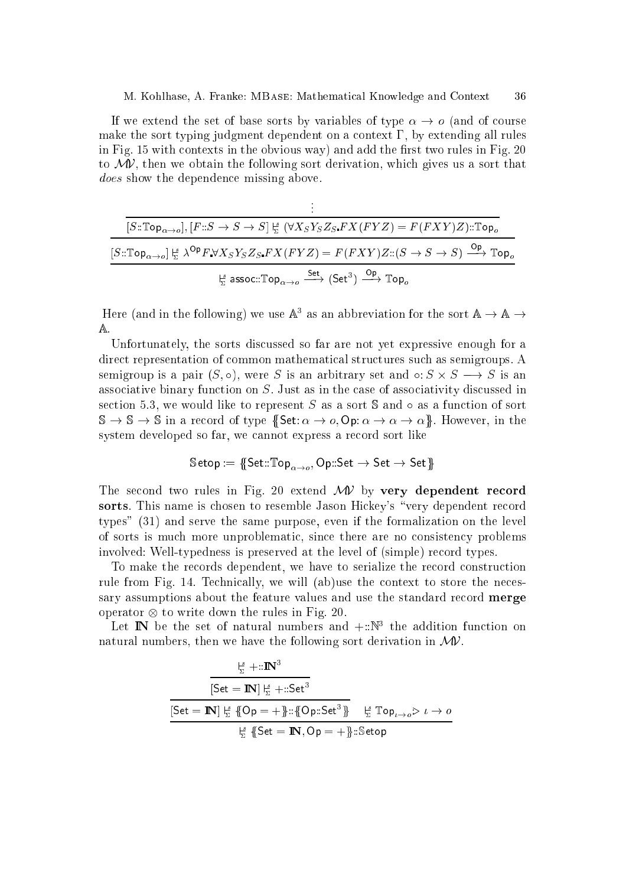If we extend the set of base sorts by variables of type  $\alpha \to o$  (and of course make the sort typing judgment dependent on a context  $\Gamma$ , by extending all rules in Fig.  $15$  with contexts in the obvious way) and add the first two rules in Fig. 20 to  $\mathcal{M}V$ , then we obtain the following sort derivation, which gives us a sort that does show the dependence missing above.

| $[S:\text{Top}_{\alpha\rightarrow o}], [F:S\rightarrow S\rightarrow S] \models_{\Sigma}^s (\forall X_S Y_S Z_S F X (FY Z) = F (FXY)Z)$ : Top <sub>o</sub>                                                                          |
|------------------------------------------------------------------------------------------------------------------------------------------------------------------------------------------------------------------------------------|
| $[S::Top_{\alpha\rightarrow o}] \overset{\iota_s}{\rightarrow} \lambda^{\mathsf{Op}} F \forall X_S Y_S Z_S.FX(FYZ) = F(FXY)Z :: (S \rightarrow S \rightarrow S) \overset{\mathsf{Op}}{\longrightarrow} \mathbb{T}_{\mathsf{op}_o}$ |
| $\overline{\mathcal{F}}_2$ assoc:: $\mathbb{Top}_{\alpha\to 0} \xrightarrow{\text{Set}} (\text{Set}^3) \xrightarrow{\text{Op}} \mathbb{Top}_{\alpha}$                                                                              |

Here (and in the following) we use  $\mathbb{A}^3$  as an abbreviation for the sort  $\mathbb{A} \to \mathbb{A} \to$  $\mathbb A$  .

Unfortunately, the sorts discussed so far are not yet expressive enough for a direct representation of common mathematical structures such as semigroups. A semigroup is a pair (S;  $\mu$ ), were S is an arbitrary set and  $\mu$  . S is an arbitrary associative binary function on S. Just as in the case of associativity discussed in section 5.3, we would like to represent S as a sort  $S$  and  $\circ$  as a function of sort  $\mathbb{S} \to \mathbb{S} \to \mathbb{S}$  in a record of type  $\{\mathsf{Set}:\alpha \to o, \mathsf{Op}:\alpha \to \alpha \to \alpha\}$ . However, in the system developed so far, we cannot express a record sort like

$$
\text{Setop} := \{\!\!\{\text{Set::Top}_{\alpha \to o}, \text{Op::Set} \to \text{Set} \to \text{Set}\}\!\!\}
$$

The second two rules in Fig. 20 extend  $\mathcal{M}V$  by very dependent record sorts. This name is chosen to resemble Jason Hickey's "very dependent record types" (31) and serve the same purpose, even if the formalization on the level of sorts is mu
h more unproblemati
, sin
e there are no onsisten
y problems involved: Well-typedness is preserved at the level of (simple) record types.

To make the records dependent, we have to serialize the record construction rule from Fig. 14. Technically, we will (ab)use the context to store the necessary assumptions about the feature values and use the standard record merge operator () is watch the rule in Fig. 20. A . 20.

Let **IN** be the set of natural numbers and  $\pm$ ::N<sup>3</sup> the addition function on natural numbers, then we have the following sort derivation in  $\mathcal{M}V$ .

$$
\frac{\frac{1}{\sum_{\Sigma}^{s}} + \dots \mathbf{IN}^{3}}{[\mathsf{Set} = \mathbf{IN}] \frac{1}{\sum_{\Sigma}^{s}} + \dots \mathsf{Set}^{3}}
$$
\n
$$
\frac{\mathsf{Set} = \mathbf{IN}] \frac{1 \cdot s}{\sum_{\Sigma}^{s}} \{ \mathsf{Op} = + \} \dots \{ \mathsf{Op} \dots \mathsf{Set}^{3} \}}{\frac{1 \cdot s}{\sum_{\Sigma}^{s}} \{ \mathsf{Set} = \mathbf{IN}, \mathsf{Op} = + \} \dots \mathsf{Setop}}
$$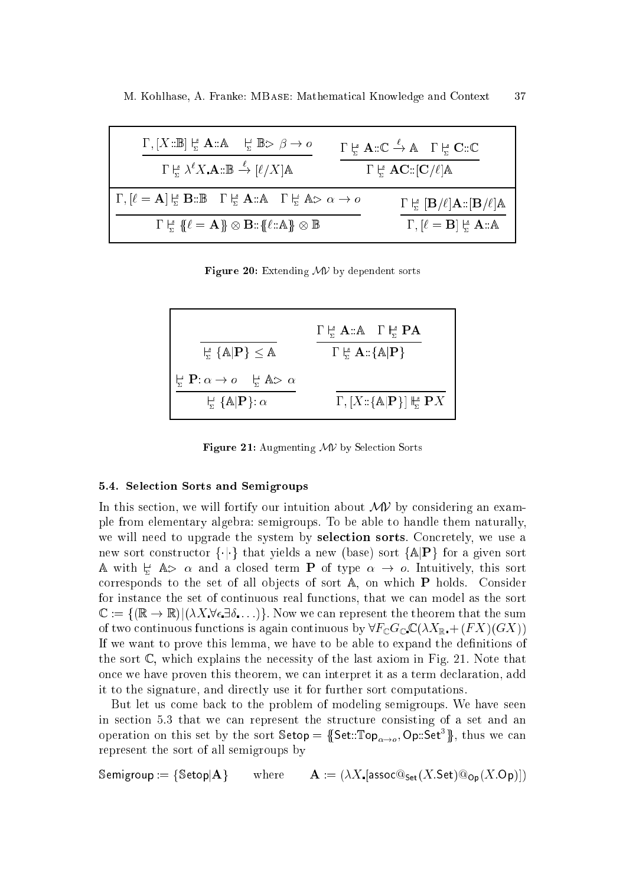| $\Gamma, [X::B] \underset{\Sigma}{\Leftrightarrow} \mathbf{A::A} \quad \underset{\Sigma}{\Leftrightarrow} \mathbb{B} \geq \beta \rightarrow o$  | $\Gamma \stackrel{s}{\vdash} \mathbf{A} :: \mathbb{C} \stackrel{\ell}{\to} \mathbb{A} \quad \Gamma \stackrel{s}{\vdash} \mathbf{C} :: \mathbb{C}$ |
|-------------------------------------------------------------------------------------------------------------------------------------------------|---------------------------------------------------------------------------------------------------------------------------------------------------|
| $\Gamma \vdash^s \lambda^{\ell} X \mathbf{A} : \mathbb{B} \xrightarrow{\ell} [\ell/X] \mathbb{A}$                                               | $\Gamma \vdash_{\nabla}^{\nabla} \mathbf{AC} :: [\mathbf{C}/\ell] \mathbb{A}$                                                                     |
| $\Gamma, [\ell = A] \models_{\Sigma} \mathbf{B} : \mathbb{B} \quad \Gamma \models_{\Sigma} A : A \quad \Gamma \models A > \alpha \rightarrow 0$ | $\Gamma \vdash_{\nabla}^s [\mathbf{B}/\ell] \mathbf{A} :: [\mathbf{B}/\ell] \mathbb{A}$                                                           |
| $\Gamma \uplus \{\ell = A\} \otimes B : \{\ell : A\} \otimes B$                                                                                 | $\Gamma$ , $\ell = \mathbf{B}$ $\vert \xi$ <b>A</b> :: A                                                                                          |

**Figure 20:** Extending  $\mathcal{M}$  by dependent sorts

| $L_{\Sigma}^{\epsilon} \{\mathbb{A} \mathbf{P}\}\leq \mathbb{A}$                                                             | $\Gamma \vdash_{\Sigma}^s \mathbf{A} : A \quad \Gamma \vdash_{\Sigma}^s \mathbf{PA}$<br>$\Gamma \uplus \mathbf{A} : {\mathbf{A}}   {\mathbf{P}}\}$ |
|------------------------------------------------------------------------------------------------------------------------------|----------------------------------------------------------------------------------------------------------------------------------------------------|
| $\frac{14}{5}$ P: $\alpha \to o$ $\frac{14}{5}$ A $\ge \alpha$<br>$L \nightharpoonup \{\mathbb{A} \mathbf{P}\}\colon \alpha$ | $\Gamma$ , $[X:\{\mathbb{A} \mathbf{P}\}\]\ \mathbb{R}$ <b>P</b> X                                                                                 |

Figure 21: Augmenting  $\mathcal{MV}$  by Selection Sorts

#### 5.4. Selection Sorts and Semigroups

In this section, we will fortify our intuition about  $\mathcal{MV}$  by considering an example from elementary algebra: semigroups. To be able to handle them naturally, we will need to upgrade the system by **selection sorts**. Concretely, we use a new sort constructor  $\{\cdot | \cdot \}$  that yields a new (base) sort  $\{A\|\mathbf{P}\}\$ for a given sort A with  $\frac{11}{5}$  A>  $\alpha$  and a closed term **P** of type  $\alpha \to \alpha$ . Intuitively, this sort corresponds to the set of all objects of sort A, on which P holds. Consider for instance the set of continuous real functions, that we can model as the sort  $\mathbb{C} := \{(\mathbb{R} \to \mathbb{R}) | (\lambda X \forall \epsilon \exists \delta \dots) \}.$  Now we can represent the theorem that the sum of two continuous functions is again continuous by  $\forall F_{\mathbb{C}}G_{\mathbb{C}}\mathbb{C}(\lambda X_{\mathbb{R}} + (FX)(GX))$ If we want to prove this lemma, we have to be able to expand the definitions of the sort  $\mathbb{C}$ , which explains the necessity of the last axiom in Fig. 21. Note that once we have proven this theorem, we can interpret it as a term declaration, add it to the signature, and directly use it for further sort computations.

But let us come back to the problem of modeling semigroups. We have seen in section 5.3 that we can represent the structure consisting of a set and an operation on this set by the sort  $\text{Setop} = \{\text{Set::Top}_{\alpha \to \alpha}, \text{Op::Set}^3\}$ , thus we can represent the sort of all semigroups by

 $\mathbf{A} := (\lambda X \cdot [\text{assoc} @_{\mathsf{Set}} (X.\mathsf{Set}) @_{\mathsf{Op}} (X.\mathsf{Op})])$ Semigroup := {Setop| $A$ } where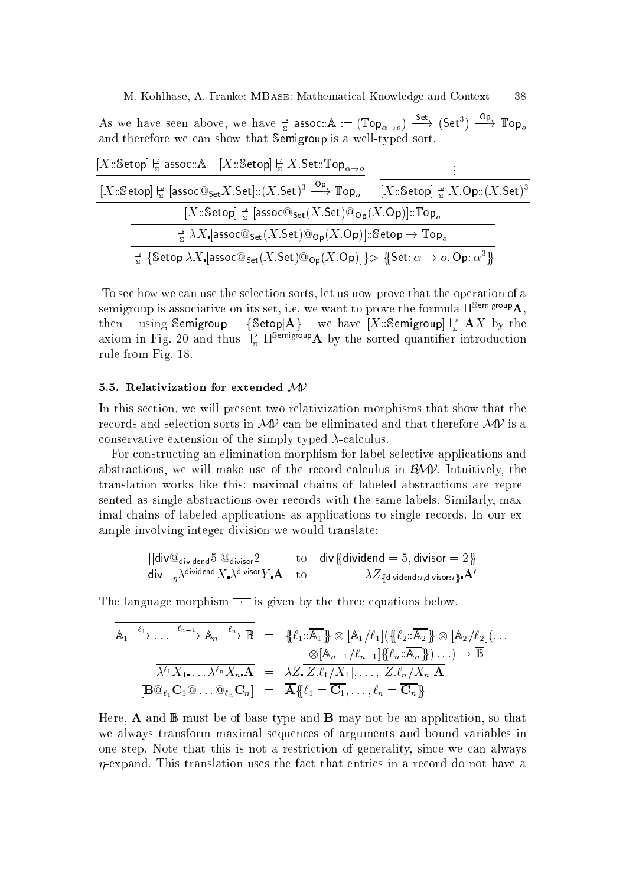As we have seen above, we have  $\frac{1}{2}$  assoc::  $\mathbb{A} := (\mathbb{Top}_{\alpha \to o}) \stackrel{\text{Set}}{\longrightarrow} (\mathsf{Set}^3) \stackrel{\text{Op}}{\longrightarrow} \mathbb{Top}_{o}$ and therefore we can show that Semigroup is a well-typed sort.

$$
\frac{[X:\text{Step}]\underset{\Sigma}{\models}\text{assoc::A}\quad[X:\text{Step}]\underset{\Sigma}{\models}\text{XSet:}\text{Top}\underset{\Sigma}{\models}\text{XSet:}\text{Top}_{\alpha\rightarrow o}}{\underbrace{[X:\text{Step}]\underset{\Sigma}{\models}\text{[assoc@}_{\text{Set}}X.\text{Set}]:\cdot(X.\text{Set})^3\xrightarrow{\text{Op}}\text{Top}_{o}}}\frac{\vdots}{[X:\text{Step}]\underset{\Sigma}{\models}\text{[assoc@}_{\text{Set}}X.\text{Set}]}:\cdot}{\underbrace{[X:\text{Step}]\underset{\Sigma}{\models}\text{[assoc@}_{\text{Set}}(X.\text{Set})\text{@}_{\text{Op}}(X.\text{Op})]:\cdot\text{Top}_{o}}}_{\underbrace{\underset{\Sigma}{\models}\lambda X.\text{[assoc@}_{\text{Set}}(X.\text{Set})\text{@}_{\text{Op}}(X.\text{Op})]:\cdot\text{Step}\rightarrow\text{Top}_{o}}}
$$

To see how we can use the selection sorts, let us now prove that the operation of a semigroup is associative on its set, i.e. we want to prove the formula  $\Pi^{\text{Semigroup}}A$ , then — using Semigroup  $=$  {Setop| ${\bf A}\}$  — we have  $[X$  ::Semigroup]  $\mathbb{H}^{\mathrm{s}}_{\Sigma}$   ${\bf A} X$  by the axiom in Fig. 20 and thus  $\frac{1}{2} \prod^{\text{Semigroup}} A$  by the sorted quantifier introduction rule from Fig. 18.

## 5.5. Relativization for extended MV

In this section, we will present two relativization morphisms that show that the records and selection sorts in  $\mathcal{M}$  can be eliminated and that therefore  $\mathcal{M}$  is a conservative extension of the simply typed  $\lambda$ -calculus.

For constructing an elimination morphism for label-selective applications and abstractions, we will make use of the record calculus in  $\mathcal{B}\mathcal{W}$ . Intuitively, the translation works like this: maximal hains of labeled abstra
tions are represented as single abstractions over records with the same labels. Similarly, maximal chains of labeled applications as applications to single records. In our example involving integer division we would translate:

$$
\begin{array}{lll}\left[\left(\mathsf{div}@_{\mathsf{dividend}}5\right)@_{\mathsf{divisor}}2\right] & \quad\text{to}\quad\mathsf{div}\{\!\!\{ \mathsf{dividend} = 5, \mathsf{divisor} = 2\}\!\!\!\!\!\}\\\mathsf{div}\!=_{\eta}\lambda^{\mathsf{dividend}}X.\lambda^{\mathsf{divisor}Y}.\mathbf{A} & \quad\text{to} & \quad\lambda Z_{\text{\{dividend}:t,\mathsf{divisor}:t}\mathbf{I}}.\mathbf{A}'\end{array}
$$

The language morphism  $\overline{\phantom{a}}$  is given by the three equations below.

$$
\mathbb{A}_{1} \xrightarrow{\ell_{1}} \dots \xrightarrow{\ell_{n-1}} \mathbb{A}_{n} \xrightarrow{\ell_{n}} \mathbb{B} = \{\!\!\{ \ell_{1} \colon \overline{A_{1}} \}\!\!\} \otimes [\mathbb{A}_{1} / \ell_{1}] (\{\!\!\{ \ell_{2} \colon \overline{A_{2}} \}\!\!\} \otimes [\mathbb{A}_{2} / \ell_{2}] (\dots
$$
\n
$$
\frac{\otimes [\mathbb{A}_{n-1} / \ell_{n-1}] \{\!\!\{ \ell_{n} \colon \overline{A_{n}} \}\!\!\} \dots ) \rightarrow \overline{\mathbb{B}}}{[\mathbf{B} \mathbb{Q}_{\ell_{1}} \mathbf{C}_{1} \mathbb{Q} \dots \mathbb{Q}_{\ell_{n}} \mathbf{C}_{n}]} = \mathbf{A} Z \{\!\!\{ \ell_{1} \colon \overline{Z \cdot \ell_{1}} / X_{1} \}, \dots, \{\!\!\{ \mathbb{Z} \cdot \ell_{n} / X_{n} \}\!\!\} \,\!]\mathbf{A}}{\{\!\!\{ \mathbf{B} \mathbb{Q}_{\ell_{1}} \mathbf{C}_{1} \mathbb{Q} \dots \mathbb{Q}_{\ell_{n}} \mathbf{C}_{n}]} = \mathbf{A} \{\!\!\{ \ell_{1} = \overline{\mathbf{C}_{1}}, \dots, \ell_{n} = \overline{\mathbf{C}_{n}} \}\!\!\}
$$

Here, **A** and  $\mathbb{B}$  must be of base type and **B** may not be an application, so that we always transform maximal sequen
es of arguments and bound variables in one step. Note that this is not a restri
tion of generality, sin
e we an always  $\eta$ -expand. This translation uses the fact that entries in a record do not have a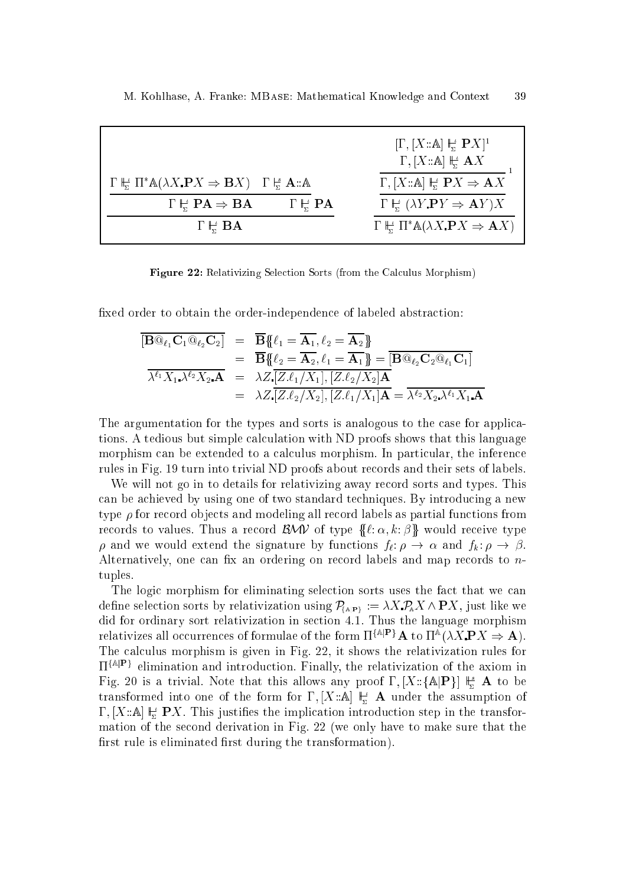|                                                                                                                      | $[\Gamma, [X:\mathbb{A}] \Vdash_{\Sigma} \mathbf{P} X]^1$<br>$\Gamma, [X:\mathbb{A}] \Vdash \mathbf{A} X$ |
|----------------------------------------------------------------------------------------------------------------------|-----------------------------------------------------------------------------------------------------------|
| $\Gamma \Vdash \Gamma^* \mathbb{A}(\lambda X.PX \Rightarrow BX)$ $\Gamma \Vdash_{\Sigma}^s \mathbf{A} :: \mathbb{A}$ | $\Gamma$ , $[X:\mathbb{A}] \Vdash_{\Sigma} \mathbf{P} X \Rightarrow \mathbf{A} X$                         |
| $\Gamma \models \mathrm{PA} \Rightarrow \mathrm{BA}$<br>$\Gamma \not\models \mathbf{PA}$                             | $\Gamma \models (\lambda Y \, \mathbf{P} Y \Rightarrow \mathbf{A} Y) X$                                   |
| $\Gamma \nvdash$ <b>BA</b>                                                                                           | $\Gamma \Vdash_{\mathcal{F}} \Pi^* \mathbb{A}(\lambda X, \mathbf{P} X \Rightarrow \mathbf{A} X)$          |

Figure 22: Relativizing Selection Sorts (from the Calculus Morphism)

fixed order to obtain the order-independence of labeled abstraction:

$$
\overline{B^{\mathbb{Q}}\ell_1 C_1 \mathbb{Q}\ell_2 C_2]} = \overline{B} \{ \ell_1 = \overline{A_1}, \ell_2 = \overline{A_2} \}
$$
\n
$$
= \overline{B} \{ \ell_2 = \overline{A_2}, \ell_1 = \overline{A_1} \} = \overline{B} \mathbb{Q} \ell_2 C_2 \mathbb{Q} \ell_1 C_1
$$
\n
$$
\overline{\lambda^{\ell_1} X_1 \lambda^{\ell_2} X_2 \mathbf{A}} = \lambda Z \overline{[Z.\ell_1/X_1], [Z.\ell_2/X_2] \mathbf{A}}
$$
\n
$$
= \lambda Z \overline{[Z.\ell_2/X_2], [Z.\ell_1/X_1] \mathbf{A}} = \overline{\lambda^{\ell_2} X_2 \lambda^{\ell_1} X_1 \mathbf{A}}
$$

The argumentation for the types and sorts is analogous to the case for applications. A tedious but simple calculation with ND proofs shows that this language morphism can be extended to a calculus morphism. In particular, the inference rules in Fig. 19 turn into trivial ND proofs about records and their sets of labels.

We will not go in to details for relativizing away re
ord sorts and types. This an be a
hieved by using one of two standard te
hniques. By introdu
ing a new type  $\rho$  for record objects and modeling all record labels as partial functions from records to values. Thus a record  $\mathcal{B}M\mathcal{V}$  of type  $\{\ell:\alpha,k:\beta\}$  would receive type  $\rho$  and we would extend the signature by functions  $f_{\ell}: \rho \to \alpha$  and  $f_k: \rho \to \beta$ . Alternatively, one can fix an ordering on record labels and map records to  $n$ tuples.

The logic morphism for eliminating selection sorts uses the fact that we can define selection sorts by relativization using  $\mathcal{P}_{\text{AIP}} := \lambda X \mathcal{P}_{\text{A}} X \wedge \mathbf{P} X$ , just like we did for ordinary sort relativization in section 4.1. Thus the language morphism relativizes all occurrences of formulae of the form  $\Pi^{\{\mathbb{A}|\mathbf{P}\}}\mathbf{A}$  to  $\Pi^\mathbb{A}(\lambda X.\mathbf{P} X\Rightarrow \mathbf{A})$ . The calculus morphism is given in Fig. 22, it shows the relativization rules for  $\Pi^{\{\mathbb{A}|\mathbf{P}\}}$  elimination and introduction. Finally, the relativization of the axiom in Fig. 20 is a trivial. Note that this allows any proof  $\Gamma, [X:\{\mathbb{A}|\mathbf{P}\}] \Vdash^s_{\Sigma} \mathbf{A}$  to be transformed into one of the form for  $\Gamma, [X : A] \Vdash_{\Sigma}^{\mathbb{L}} A$  under the assumption of  $\Gamma, [X : A] \Vdash$   $\Gamma$   $\longrightarrow$  PX. This justifies the implication introduction step in the transformation of the se
ond derivation in Fig. 22 (we only have to make sure that the first rule is eliminated first during the transformation).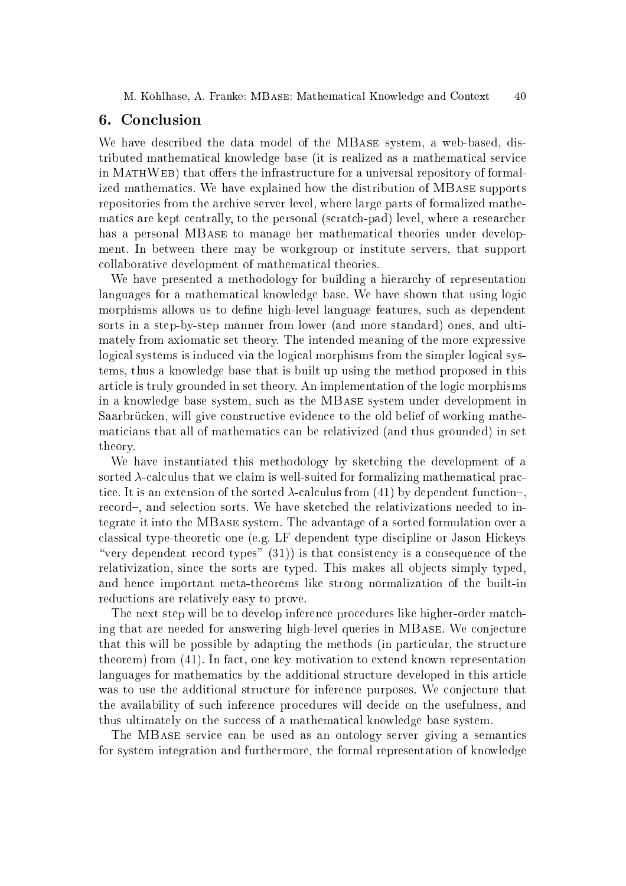M. Kohlhase, A. Franke: MBase: Mathemati
al Knowledge and Context 40

## 6. Con
lusion

We have described the data model of the MBASE system, a web-based, distributed mathemati
al knowledge base (it is realized as a mathemati
al servi
e in MATHWEB) that offers the infrastructure for a universal repository of formalized mathematics. We have explained how the distribution of MBASE supports repositories from the ar
hive server level, where large parts of formalized mathematics are kept centrally, to the personal (scratch-pad) level, where a researcher has a personal MBASE to manage her mathematical theories under development. In between there may be workgroup or institute servers, that support ollaborative development of mathemati
al theories.

We have presented a methodology for building a hierarchy of representation languages for a mathematical knowledge base. We have shown that using logic morphisms allows us to define high-level language features, such as dependent sorts in a step-by-step manner from lower (and more standard) ones, and ultimately from axiomatic set theory. The intended meaning of the more expressive logical systems is induced via the logical morphisms from the simpler logical systems, thus a knowledge base that is built up using the method proposed in this arti
le is truly grounded in set theory. An implementation of the logi morphisms in a knowledge base system, su
h as the MBase system under development in Saarbrücken, will give constructive evidence to the old belief of working mathematicians that all of mathematics can be relativized (and thus grounded) in set theory.

We have instantiated this methodology by sket
hing the development of a sorted  $\lambda$ -calculus that we claim is well-suited for formalizing mathematical practice. It is an extension of the sorted  $\lambda$ -calculus from (41) by dependent functionrecord-, and selection sorts. We have sketched the relativizations needed to integrate it into the MBase system. The advantage of a sorted formulation over a classical type-theoretic one (e.g. LF dependent type discipline or Jason Hickeys "very dependent record types"  $(31)$ ) is that consistency is a consequence of the relativization, since the sorts are typed. This makes all objects simply typed, and hen
e important meta-theorems like strong normalization of the built-in redu
tions are relatively easy to prove.

The next step will be to develop inferen
e pro
edures like higher-order mat
hing that are needed for answering high-level queries in MBASE. We conjecture that this will be possible by adapting the methods (in particular, the structure theorem) from (41). In fa
t, one key motivation to extend known representation languages for mathematics by the additional structure developed in this article was to use the additional structure for inference purposes. We conjecture that the availability of such inference procedures will decide on the usefulness, and thus ultimately on the success of a mathematical knowledge base system.

The MBASE service can be used as an ontology server giving a semantics for system integration and furthermore, the formal representation of knowledge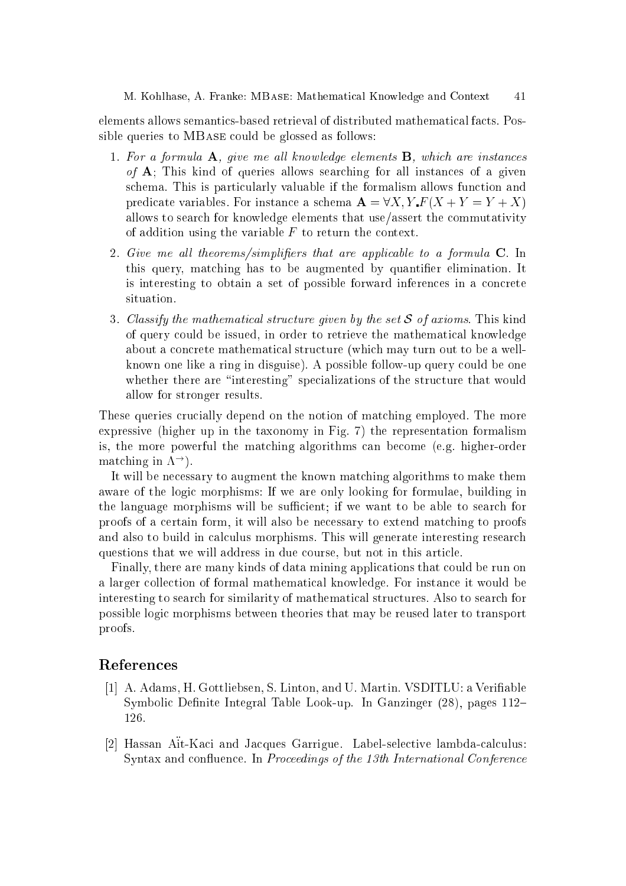41

elements allows semantics-based retrieval of distributed mathematical facts. Possible queries to MBASE could be glossed as follows:

- 1. For a formula  $\bf{A}$ , give me all knowledge elements  $\bf{B}$ , which are instances of  $\bf{A}$ ; This kind of queries allows searching for all instances of a given schema. This is particularly valuable if the formalism allows function and predicate variables. For instance a schema  $\mathbf{A} = \forall X, Y, F(X + Y = Y + X)$ allows to sear
h for knowledge elements that use/assert the ommutativity of addition using the variable  $F$  to return the context.
- 2. Give me all theorems/simplifiers that are applicable to a formula  $C$ . In this query, mat
hing has to be augmented by quantier elimination. It is interesting to obtain a set of possible forward inferen
es in a on
rete situation.
- 3. Classify the mathematical structure given by the set  $S$  of axioms. This kind of query ould be issued, in order to retrieve the mathemati
al knowledge about a concrete mathematical structure (which may turn out to be a wellknown one like a ring in disguise). A possible follow-up query could be one whether there are "interesting" specializations of the structure that would allow for stronger results.

These queries crucially depend on the notion of matching employed. The more expressive (higher up in the taxonomy in Fig. 7) the representation formalism is, the more powerful the matching algorithms can become (e.g. higher-order  $max_{\text{min}}$  in  $\Lambda$  ).

It will be necessary to augment the known matching algorithms to make them aware of the logi morphisms: If we are only looking for formulae, building in the language morphisms will be sufficient; if we want to be able to search for proofs of a ertain form, it will also be ne
essary to extend mat
hing to proofs and also to build in calculus morphisms. This will generate interesting research questions that we will address in due ourse, but not in this arti
le.

Finally, there are many kinds of data mining applications that could be run on a larger olle
tion of formal mathemati
al knowledge. For instan
e it would be interesting to search for similarity of mathematical structures. Also to search for possible logi morphisms between theories that may be reused later to transport proofs.

## Referen
es

- [1] A. Adams, H. Gottliebsen, S. Linton, and U. Martin. VSDITLU: a Verifiable Symbolic Definite Integral Table Look-up. In Ganzinger (28), pages 112-126.
- [2] Hassan Ait-Kaci and Jacques Garrigue. Label-selective lambda-calculus: Syntax and confluence. In *Proceedings of the 13th International Conference*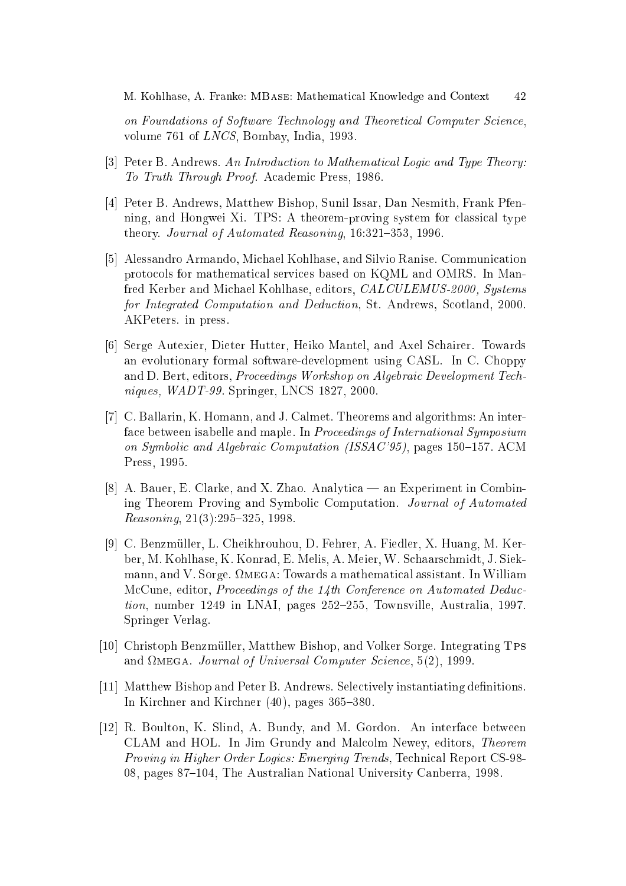on Foundations of Software Technology and Theoretical Computer Science, volume 761 of LNCS, Bombay, India, 1993.

- [3] Peter B. Andrews. An Introduction to Mathematical Logic and Type Theory: To Truth Through Proof. Academic Press, 1986.
- [4] Peter B. Andrews, Matthew Bishop, Sunil Issar, Dan Nesmith, Frank Pfenning, and Hongwei Xi. TPS: A theorem-proving system for lassi
al type theory. Journal of Automated Reasoning,  $16:321-353$ , 1996.
- [5] Alessandro Armando, Michael Kohlhase, and Silvio Ranise. Communication proto
ols for mathemati
al servi
es based on KQML and OMRS. In Manfred Kerber and Michael Kohlhase, editors, CALCULEMUS-2000, Systems for Integrated Computation and Deduction, St. Andrews, Scotland, 2000. AKPeters. in press.
- [6] Serge Autexier, Dieter Hutter, Heiko Mantel, and Axel Schairer. Towards an evolutionary formal software-development using CASL. In C. Choppy and D. Bert, editors, *Proceedings Workshop on Algebraic Development Tech*niques, WADT-99. Springer, LNCS 1827, 2000.
- $[7]$  C. Ballarin, K. Homann, and J. Calmet. Theorems and algorithms: An interface between isabelle and maple. In *Proceedings of International Symposium* on Symbolic and Algebraic Computation (ISSAC'95), pages 150-157. ACM Press, 1995.
- [8] A. Bauer, E. Clarke, and X. Zhao. Analytica an Experiment in Combining Theorem Proving and Symboli Computation. Journal of Automated  $Reasoning, 21(3):295-325, 1998.$
- [9] C. Benzmüller, L. Cheikhrouhou, D. Fehrer, A. Fiedler, X. Huang, M. Kerber, M. Kohlhase, K. Konrad, E. Melis, A. Meier, W. S
haars
hmidt, J. Siekmann, and I. Sorge. In Towards a mathematic and and and assistant and an indicated in Management. McCune, editor, *Proceedings of the 14th Conference on Automated Deduc* $tion$ , number 1249 in LNAI, pages 252–255, Townsville, Australia, 1997. Springer Verlag.
- [10] Christoph Benzmüller, Matthew Bishop, and Volker Sorge. Integrating TPs and mega. Journal of Universal Computer S
ien
e, 5(2), 1999.
- [11] Matthew Bishop and Peter B. Andrews. Selectively instantiating definitions. In Kirchner and Kirchner (40), pages 365–380.
- [12] R. Boulton, K. Slind, A. Bundy, and M. Gordon. An interface between CLAM and HOL. In Jim Grundy and Malcolm Newey, editors, Theorem Proving in Higher Order Logics: Emerging Trends, Technical Report CS-98-08, pages 87–104, The Australian National University Canberra, 1998.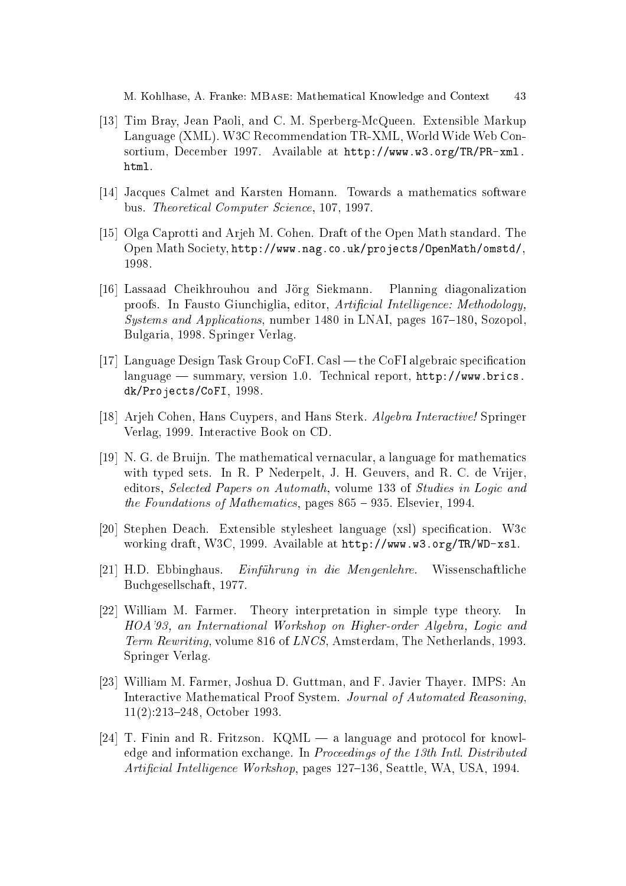- [13] Tim Bray, Jean Paoli, and C. M. Sperberg-McQueen. Extensible Markup Language (XML). W3C Recommendation TR-XML, World Wide Web Consortium, De
ember 1997. Available at http://www.w3.org/TR/PR-xml. html.
- [14] Jacques Calmet and Karsten Homann. Towards a mathematics software bus. Theoreti
al Computer S
ien
e, 107, 1997.
- [15] Olga Caprotti and Arjeh M. Cohen. Draft of the Open Math standard. The Open Math Society, http://www.nag.co.uk/projects/0penMath/omstd/, 1998.
- [16] Lassaad Cheikhrouhou and Jörg Siekmann. Planning diagonalization proofs. In Fausto Giunchiglia, editor, Artificial Intelligence: Methodology, Systems and Applications, number 1480 in LNAI, pages  $167-180$ , Sozopol, Bulgaria, 1998. Springer Verlag.
- [17] Language Design Task Group CoFI. Casl the CoFI algebraic specification language — summary, version 1.0. Technical report, http://www.brics. dk/Projects/CoFI, 1998.
- [18] Arjeh Cohen, Hans Cuypers, and Hans Sterk. Algebra Interactive! Springer Verlag, 1999. Intera
tive Book on CD.
- [19] N. G. de Bruijn. The mathematical vernacular, a language for mathematics with typed sets. In R. P Nederpelt, J. H. Geuvers, and R. C. de Vrijer, editors, Selected Papers on Automath, volume 133 of Studies in Logic and the Foundations of Mathematics, pages  $865 - 935$ . Elsevier, 1994.
- [20] Stephen Deach. Extensible stylesheet language (xsl) specification. W3c working draft, W3C, 1999. Available at http://www.w3.org/TR/WD-xsl.
- [21] H.D. Ebbinghaus. Einführung in die Mengenlehre. Wissenschaftliche Bu
hgesells
haft, 1977.
- [22] William M. Farmer. Theory interpretation in simple type theory. In HOA'93, an International Workshop on Higher-order Algebra, Logic and Term Rewriting, volume 816 of LNCS, Amsterdam, The Netherlands, 1993. Springer Verlag.
- [23] William M. Farmer, Joshua D. Guttman, and F. Javier Thayer. IMPS: An Interactive Mathematical Proof System. Journal of Automated Reasoning, 11(2):213-248, October 1993.
- [24] T. Finin and R. Fritzson.  $KQML a$  language and protocol for knowledge and information exchange. In *Proceedings of the 13th Intl. Distributed* Artificial Intelligence Workshop, pages 127–136, Seattle, WA, USA, 1994.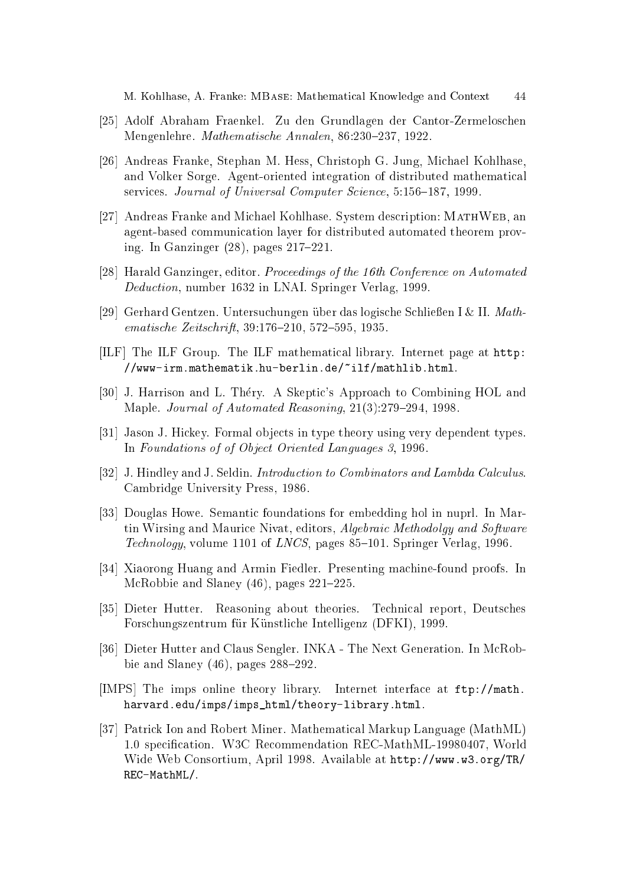M. Kohlhase, A. Franke: MBASE: Mathematical Knowledge and Context 44

- [25] Adolf Abraham Fraenkel. Zu den Grundlagen der Cantor-Zermeloschen Mengenlehre. Mathematische Annalen, 86:230-237, 1922.
- [26] Andreas Franke, Stephan M. Hess, Christoph G. Jung, Michael Kohlhase. and Volker Sorge. Agent-oriented integration of distributed mathematical services. Journal of Universal Computer Science, 5:156-187, 1999.
- [27] Andreas Franke and Michael Kohlhase. System description: MATHWEB, an agent-based communication layer for distributed automated theorem proving. In Ganzinger  $(28)$ , pages  $217-221$ .
- [28] Harald Ganzinger, editor. Proceedings of the 16th Conference on Automated *Deduction*, number 1632 in LNAI. Springer Verlag, 1999.
- [29] Gerhard Gentzen. Untersuchungen über das logische Schließen I & II. Mathematische Zeitschrift, 39:176-210, 572-595, 1935.
- [ILF] The ILF Group. The ILF mathematical library. Internet page at http: //www-irm.mathematik.hu-berlin.de/"ilf/mathlib.html.
- [30] J. Harrison and L. Théry. A Skeptic's Approach to Combining HOL and Maple. Journal of Automated Reasoning, 21(3):279-294, 1998.
- [31] Jason J. Hickey. Formal objects in type theory using very dependent types. In Foundations of of Object Oriented Languages 3, 1996.
- [32] J. Hindley and J. Seldin. Introduction to Combinators and Lambda Calculus. Cambridge University Press, 1986.
- [33] Douglas Howe, Semantic foundations for embedding hol in nuprl. In Martin Wirsing and Maurice Nivat, editors, Algebraic Methodolgy and Software Technology, volume 1101 of LNCS, pages 85-101. Springer Verlag, 1996.
- [34] Xiaorong Huang and Armin Fiedler. Presenting machine-found proofs. In McRobbie and Slaney  $(46)$ , pages  $221-225$ .
- Reasoning about theories. Technical report, Deutsches [35] Dieter Hutter. Forschungszentrum für Künstliche Intelligenz (DFKI), 1999.
- [36] Dieter Hutter and Claus Sengler. INKA The Next Generation. In McRobbie and Slaney  $(46)$ , pages  $288-292$ .
- [IMPS] The imps online theory library. Internet interface at ftp://math. harvard.edu/imps/imps\_html/theory-library.html.
- [37] Patrick Ion and Robert Miner. Mathematical Markup Language (MathML) 1.0 specification. W3C Recommendation REC-MathML-19980407, World Wide Web Consortium, April 1998. Available at http://www.w3.org/TR/ REC-MathML/.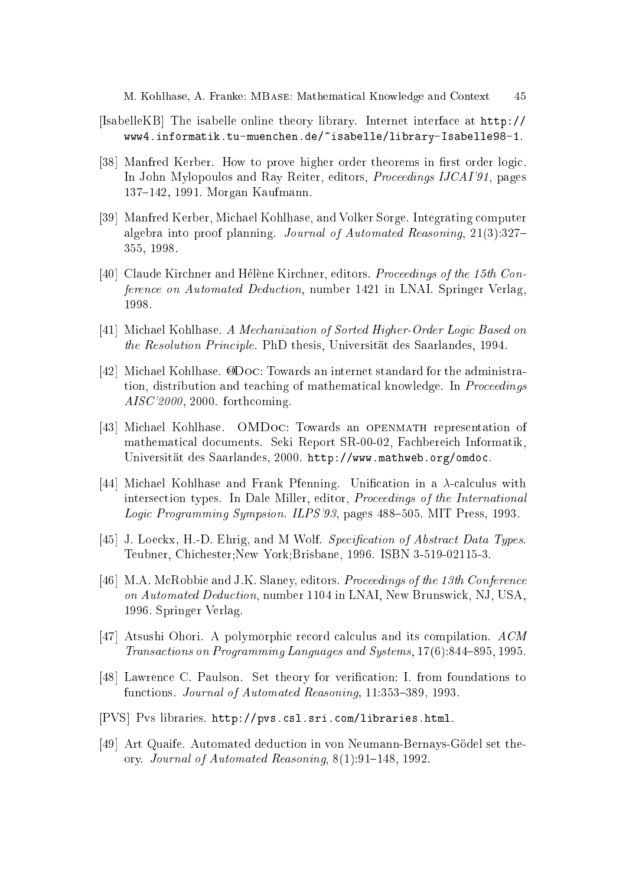- [IsabelleKB] The isabelle online theory library. Internet interface at http:// www4.informatik.tu-muen
hen.de/~isabelle/library-Isabelle98-1.
- [38] Manfred Kerber. How to prove higher order theorems in first order logic. In John Mylopoulos and Ray Reiter, editors, *Proceedings IJCAI'91*, pages 137-142, 1991. Morgan Kaufmann.
- [39] Manfred Kerber, Michael Kohlhase, and Volker Sorge. Integrating computer algebra into proof planning. Journal of Automated Reasoning,  $21(3):327-$ 355, 1998.
- [40] Claude Kirchner and Hélène Kirchner, editors. *Proceedings of the 15th Con*ference on Automated Deduction, number 1421 in LNAI. Springer Verlag, 1998.
- [41] Michael Kohlhase. A Mechanization of Sorted Higher-Order Logic Based on the Resolution Principle. PhD thesis, Universität des Saarlandes, 1994.
- [42] Michael Kohlhase. ODOC: Towards an internet standard for the administration, distribution and teaching of mathematical knowledge. In *Proceedings* AISC'2000, 2000. forth
oming.
- [43] Michael Kohlhase. OMDOC: Towards an OPENMATH representation of mathemati
al do
uments. Seki Report SR-00-02, Fa
hberei
h Informatik, Universität des Saarlandes, 2000. http://www.mathweb.org/omdoc.
- [44] Michael Kohlhase and Frank Pfenning. Unification in a  $\lambda$ -calculus with intersection types. In Dale Miller, editor, Proceedings of the International Logic Programming Sympsion. ILPS'93, pages 488-505. MIT Press, 1993.
- [45] J. Loeckx, H.-D. Ehrig, and M Wolf. Specification of Abstract Data Types. Teubner, Chi
hester;New York;Brisbane, 1996. ISBN 3-519-02115-3.
- [46] M.A. McRobbie and J.K. Slaney, editors. Proceedings of the 13th Conference on Automated Deduction, number 1104 in LNAI, New Brunswick, NJ, USA. 1996. Springer Verlag.
- [47] Atsushi Ohori. A polymorphic record calculus and its compilation.  $ACM$ Transactions on Programming Languages and Systems, 17(6):844-895, 1995.
- [48] Lawrence C. Paulson. Set theory for verification: I. from foundations to functions. *Journal of Automated Reasoning*, 11:353-389, 1993.
- [PVS] Pvs libraries. http://pvs.csl.sri.com/libraries.html.
- [49] Art Quaife. Automated deduction in von Neumann-Bernays-Gödel set theory. Journal of Automated Reasoning,  $8(1):91-148$ , 1992.